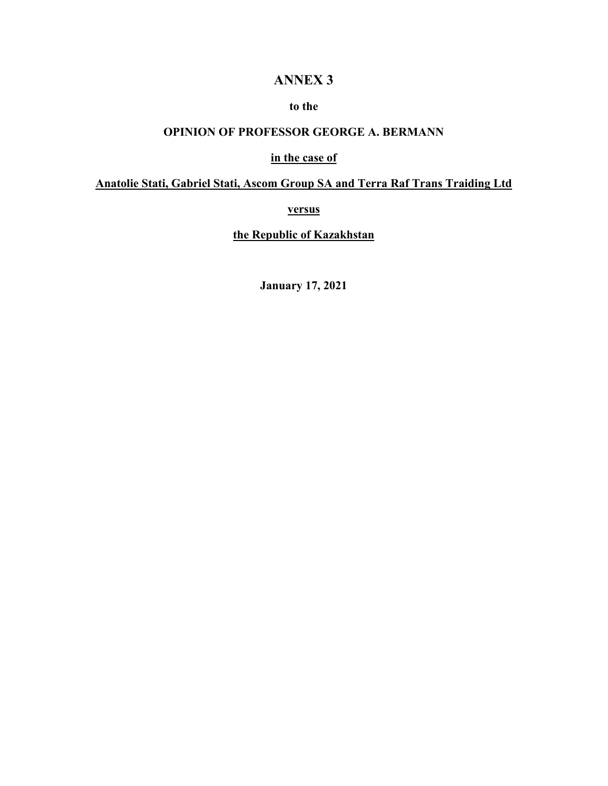# **ANNEX 3**

## **to the**

## **OPINION OF PROFESSOR GEORGE A. BERMANN**

#### **in the case of**

# **Anatolie Stati, Gabriel Stati, Ascom Group SA and Terra Raf Trans Traiding Ltd**

**versus** 

**the Republic of Kazakhstan** 

**January 17, 2021**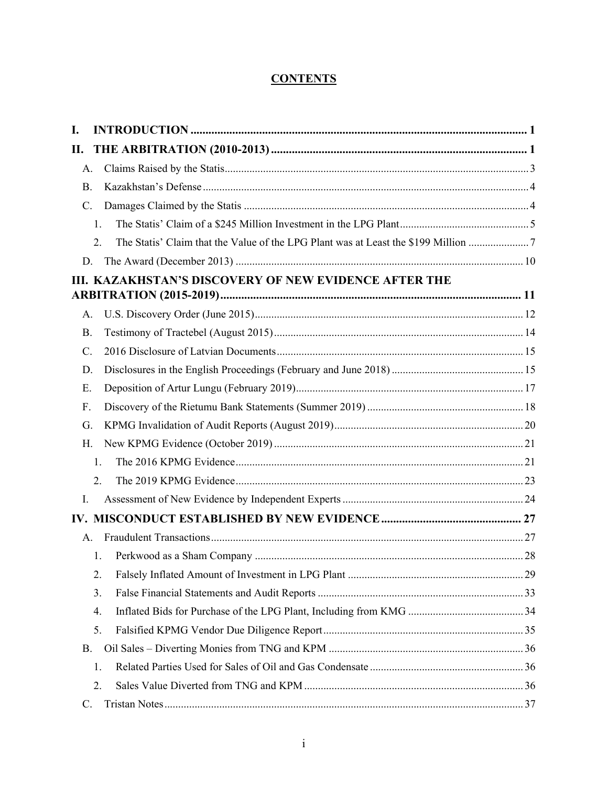# **CONTENTS**

| I. |                |                                                                                  |  |
|----|----------------|----------------------------------------------------------------------------------|--|
| П. |                |                                                                                  |  |
|    | A.             |                                                                                  |  |
|    | <b>B.</b>      |                                                                                  |  |
|    | $\mathbf{C}$ . |                                                                                  |  |
|    | 1.             |                                                                                  |  |
|    | 2.             | The Statis' Claim that the Value of the LPG Plant was at Least the \$199 Million |  |
|    | D.             |                                                                                  |  |
|    |                | III. KAZAKHSTAN'S DISCOVERY OF NEW EVIDENCE AFTER THE                            |  |
|    |                |                                                                                  |  |
|    | A.             |                                                                                  |  |
|    | <b>B.</b>      |                                                                                  |  |
|    | C.             |                                                                                  |  |
|    | D.             |                                                                                  |  |
|    | E.             |                                                                                  |  |
|    | F.             |                                                                                  |  |
|    | G.             |                                                                                  |  |
|    | H.             |                                                                                  |  |
|    | 1.             |                                                                                  |  |
|    | 2.             |                                                                                  |  |
| Ι. |                |                                                                                  |  |
|    |                |                                                                                  |  |
|    | $\mathsf{A}$ . |                                                                                  |  |
|    | 1.             |                                                                                  |  |
|    | 2.             |                                                                                  |  |
|    | 3.             |                                                                                  |  |
|    | 4.             |                                                                                  |  |
|    | 5.             |                                                                                  |  |
|    | B.             |                                                                                  |  |
|    | 1.             |                                                                                  |  |
|    | 2.             |                                                                                  |  |
|    | C.             |                                                                                  |  |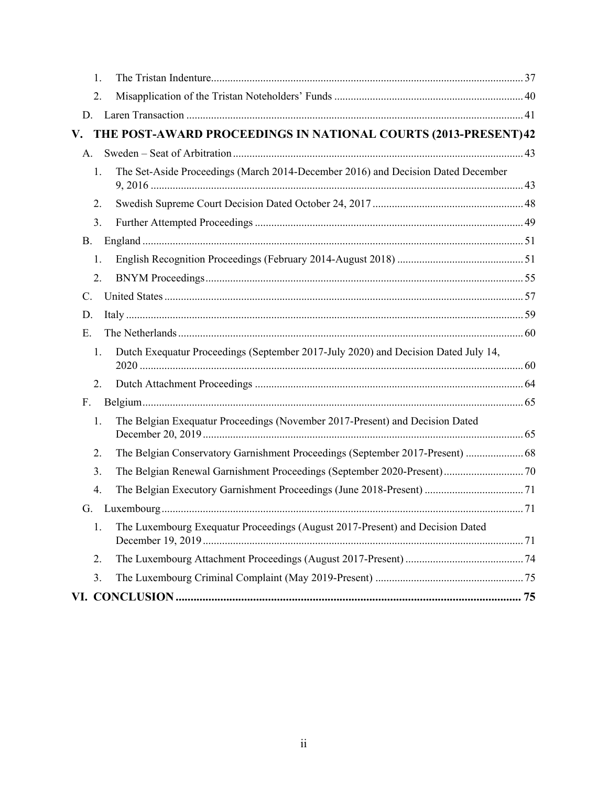| 1.        |                                                                                    |  |  |  |  |  |  |  |
|-----------|------------------------------------------------------------------------------------|--|--|--|--|--|--|--|
| 2.        |                                                                                    |  |  |  |  |  |  |  |
| D.        |                                                                                    |  |  |  |  |  |  |  |
| V.        | THE POST-AWARD PROCEEDINGS IN NATIONAL COURTS (2013-PRESENT) 42                    |  |  |  |  |  |  |  |
| A.        |                                                                                    |  |  |  |  |  |  |  |
| 1.        | The Set-Aside Proceedings (March 2014-December 2016) and Decision Dated December   |  |  |  |  |  |  |  |
| 2.        |                                                                                    |  |  |  |  |  |  |  |
| 3.        |                                                                                    |  |  |  |  |  |  |  |
| <b>B.</b> |                                                                                    |  |  |  |  |  |  |  |
| 1.        |                                                                                    |  |  |  |  |  |  |  |
| 2.        |                                                                                    |  |  |  |  |  |  |  |
| C.        |                                                                                    |  |  |  |  |  |  |  |
| D.        |                                                                                    |  |  |  |  |  |  |  |
| E.        |                                                                                    |  |  |  |  |  |  |  |
| 1.        | Dutch Exequatur Proceedings (September 2017-July 2020) and Decision Dated July 14, |  |  |  |  |  |  |  |
| 2.        |                                                                                    |  |  |  |  |  |  |  |
| F.        |                                                                                    |  |  |  |  |  |  |  |
| 1.        | The Belgian Exequatur Proceedings (November 2017-Present) and Decision Dated       |  |  |  |  |  |  |  |
| 2.        | The Belgian Conservatory Garnishment Proceedings (September 2017-Present)  68      |  |  |  |  |  |  |  |
| 3.        | The Belgian Renewal Garnishment Proceedings (September 2020-Present) 70            |  |  |  |  |  |  |  |
| 4.        |                                                                                    |  |  |  |  |  |  |  |
| G.        |                                                                                    |  |  |  |  |  |  |  |
| 1.        | The Luxembourg Exequatur Proceedings (August 2017-Present) and Decision Dated      |  |  |  |  |  |  |  |
| 2.        |                                                                                    |  |  |  |  |  |  |  |
| 3.        |                                                                                    |  |  |  |  |  |  |  |
|           |                                                                                    |  |  |  |  |  |  |  |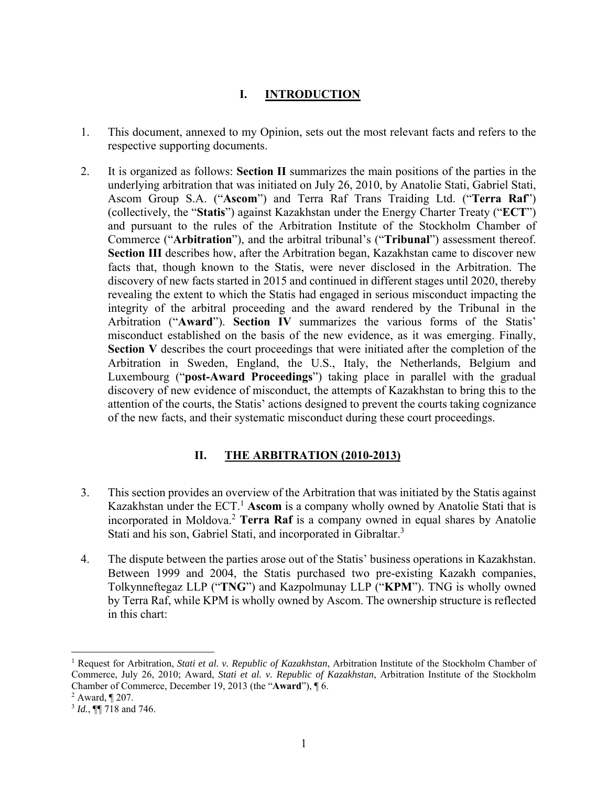# **I. INTRODUCTION**

- 1. This document, annexed to my Opinion, sets out the most relevant facts and refers to the respective supporting documents.
- 2. It is organized as follows: **Section II** summarizes the main positions of the parties in the underlying arbitration that was initiated on July 26, 2010, by Anatolie Stati, Gabriel Stati, Ascom Group S.A. ("**Ascom**") and Terra Raf Trans Traiding Ltd. ("**Terra Raf**") (collectively, the "**Statis**") against Kazakhstan under the Energy Charter Treaty ("**ECT**") and pursuant to the rules of the Arbitration Institute of the Stockholm Chamber of Commerce ("**Arbitration**"), and the arbitral tribunal's ("**Tribunal**") assessment thereof. **Section III** describes how, after the Arbitration began, Kazakhstan came to discover new facts that, though known to the Statis, were never disclosed in the Arbitration. The discovery of new facts started in 2015 and continued in different stages until 2020, thereby revealing the extent to which the Statis had engaged in serious misconduct impacting the integrity of the arbitral proceeding and the award rendered by the Tribunal in the Arbitration ("**Award**"). **Section IV** summarizes the various forms of the Statis' misconduct established on the basis of the new evidence, as it was emerging. Finally, **Section V** describes the court proceedings that were initiated after the completion of the Arbitration in Sweden, England, the U.S., Italy, the Netherlands, Belgium and Luxembourg ("**post-Award Proceedings**") taking place in parallel with the gradual discovery of new evidence of misconduct, the attempts of Kazakhstan to bring this to the attention of the courts, the Statis' actions designed to prevent the courts taking cognizance of the new facts, and their systematic misconduct during these court proceedings.

# **II. THE ARBITRATION (2010-2013)**

- 3. This section provides an overview of the Arbitration that was initiated by the Statis against Kazakhstan under the ECT.<sup>1</sup> Ascom is a company wholly owned by Anatolie Stati that is incorporated in Moldova.2 **Terra Raf** is a company owned in equal shares by Anatolie Stati and his son, Gabriel Stati, and incorporated in Gibraltar.<sup>3</sup>
- 4. The dispute between the parties arose out of the Statis' business operations in Kazakhstan. Between 1999 and 2004, the Statis purchased two pre-existing Kazakh companies, Tolkynneftegaz LLP ("**TNG**") and Kazpolmunay LLP ("**KPM**"). TNG is wholly owned by Terra Raf, while KPM is wholly owned by Ascom. The ownership structure is reflected in this chart:

<sup>1</sup> Request for Arbitration, *Stati et al. v. Republic of Kazakhstan*, Arbitration Institute of the Stockholm Chamber of Commerce, July 26, 2010; Award, *Stati et al. v. Republic of Kazakhstan*, Arbitration Institute of the Stockholm Chamber of Commerce, December 19, 2013 (the "**Award**"), ¶ 6. 2

 $2$  Award,  $\P$  207.

<sup>3</sup> *Id.*, ¶¶ 718 and 746.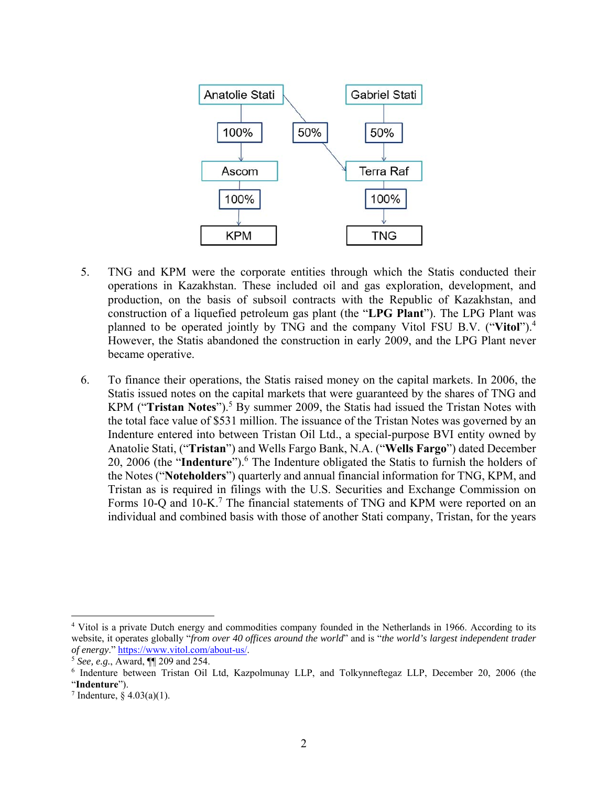

- 5. TNG and KPM were the corporate entities through which the Statis conducted their operations in Kazakhstan. These included oil and gas exploration, development, and production, on the basis of subsoil contracts with the Republic of Kazakhstan, and construction of a liquefied petroleum gas plant (the "**LPG Plant**"). The LPG Plant was planned to be operated jointly by TNG and the company Vitol FSU B.V. ("**Vitol**").4 However, the Statis abandoned the construction in early 2009, and the LPG Plant never became operative.
- 6. To finance their operations, the Statis raised money on the capital markets. In 2006, the Statis issued notes on the capital markets that were guaranteed by the shares of TNG and KPM ("Tristan Notes").<sup>5</sup> By summer 2009, the Statis had issued the Tristan Notes with the total face value of \$531 million. The issuance of the Tristan Notes was governed by an Indenture entered into between Tristan Oil Ltd., a special-purpose BVI entity owned by Anatolie Stati, ("**Tristan**") and Wells Fargo Bank, N.A. ("**Wells Fargo**") dated December 20, 2006 (the "Indenture").<sup>6</sup> The Indenture obligated the Statis to furnish the holders of the Notes ("**Noteholders**") quarterly and annual financial information for TNG, KPM, and Tristan as is required in filings with the U.S. Securities and Exchange Commission on Forms  $10-Q$  and  $10-K$ .<sup>7</sup> The financial statements of TNG and KPM were reported on an individual and combined basis with those of another Stati company, Tristan, for the years

<sup>&</sup>lt;sup>4</sup> Vitol is a private Dutch energy and commodities company founded in the Netherlands in 1966. According to its website, it operates globally "*from over 40 offices around the world*" and is "*the world's largest independent trader of energy*." https://www.vitol.com/about-us/. 5 *See, e.g.*, Award, ¶¶ 209 and 254.

<sup>6</sup> Indenture between Tristan Oil Ltd, Kazpolmunay LLP, and Tolkynneftegaz LLP, December 20, 2006 (the "**Indenture**"). 7

 $\frac{7}{1}$  Indenture, § 4.03(a)(1).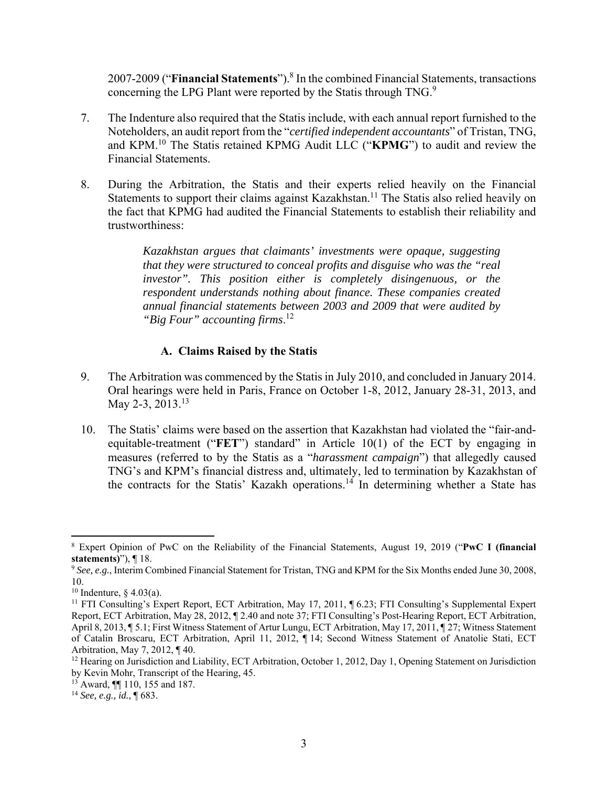2007-2009 ("**Financial Statements**").<sup>8</sup> In the combined Financial Statements, transactions concerning the LPG Plant were reported by the Statis through TNG.<sup>9</sup>

- 7. The Indenture also required that the Statis include, with each annual report furnished to the Noteholders, an audit report from the "*certified independent accountants*" of Tristan, TNG, and KPM.10 The Statis retained KPMG Audit LLC ("**KPMG**") to audit and review the Financial Statements.
- 8. During the Arbitration, the Statis and their experts relied heavily on the Financial Statements to support their claims against Kazakhstan.<sup>11</sup> The Statis also relied heavily on the fact that KPMG had audited the Financial Statements to establish their reliability and trustworthiness:

*Kazakhstan argues that claimants' investments were opaque, suggesting that they were structured to conceal profits and disguise who was the "real investor". This position either is completely disingenuous, or the respondent understands nothing about finance. These companies created annual financial statements between 2003 and 2009 that were audited by "Big Four" accounting firms*. 12

#### **A. Claims Raised by the Statis**

- 9. The Arbitration was commenced by the Statis in July 2010, and concluded in January 2014. Oral hearings were held in Paris, France on October 1-8, 2012, January 28-31, 2013, and May 2-3, 2013.<sup>13</sup>
- 10. The Statis' claims were based on the assertion that Kazakhstan had violated the "fair-andequitable-treatment ("**FET**") standard" in Article 10(1) of the ECT by engaging in measures (referred to by the Statis as a "*harassment campaign*") that allegedly caused TNG's and KPM's financial distress and, ultimately, led to termination by Kazakhstan of the contracts for the Statis' Kazakh operations.<sup>14</sup> In determining whether a State has

 8 Expert Opinion of PwC on the Reliability of the Financial Statements, August 19, 2019 ("**PwC I (financial statements)**"), ¶ 18.

<sup>9</sup> *See, e.g.*, Interim Combined Financial Statement for Tristan, TNG and KPM for the Six Months ended June 30, 2008, 10.

<sup>&</sup>lt;sup>10</sup> Indenture,  $\S$  4.03(a).

<sup>&</sup>lt;sup>11</sup> FTI Consulting's Expert Report, ECT Arbitration, May 17, 2011, ¶ 6.23; FTI Consulting's Supplemental Expert Report, ECT Arbitration, May 28, 2012, ¶ 2.40 and note 37; FTI Consulting's Post-Hearing Report, ECT Arbitration, April 8, 2013, ¶ 5.1; First Witness Statement of Artur Lungu, ECT Arbitration, May 17, 2011, ¶ 27; Witness Statement of Catalin Broscaru, ECT Arbitration, April 11, 2012, ¶ 14; Second Witness Statement of Anatolie Stati, ECT Arbitration, May 7, 2012, ¶ 40.

<sup>&</sup>lt;sup>12</sup> Hearing on Jurisdiction and Liability, ECT Arbitration, October 1, 2012, Day 1, Opening Statement on Jurisdiction by Kevin Mohr, Transcript of the Hearing, 45.

<sup>13</sup> Award, ¶¶ 110, 155 and 187.

<sup>14</sup> *See, e.g., id.*, ¶ 683.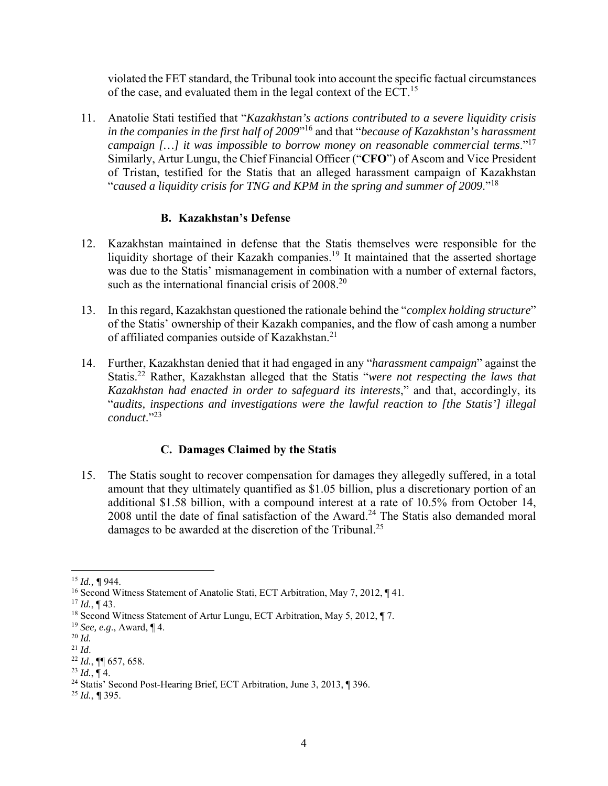violated the FET standard, the Tribunal took into account the specific factual circumstances of the case, and evaluated them in the legal context of the ECT.<sup>15</sup>

11. Anatolie Stati testified that "*Kazakhstan's actions contributed to a severe liquidity crisis in the companies in the first half of 2009*"16 and that "*because of Kazakhstan's harassment campaign […] it was impossible to borrow money on reasonable commercial terms*."17 Similarly, Artur Lungu, the Chief Financial Officer ("**CFO**") of Ascom and Vice President of Tristan, testified for the Statis that an alleged harassment campaign of Kazakhstan "*caused a liquidity crisis for TNG and KPM in the spring and summer of 2009*."<sup>18</sup>

#### **B. Kazakhstan's Defense**

- 12. Kazakhstan maintained in defense that the Statis themselves were responsible for the liquidity shortage of their Kazakh companies.<sup>19</sup> It maintained that the asserted shortage was due to the Statis' mismanagement in combination with a number of external factors, such as the international financial crisis of 2008.<sup>20</sup>
- 13. In this regard, Kazakhstan questioned the rationale behind the "*complex holding structure*" of the Statis' ownership of their Kazakh companies, and the flow of cash among a number of affiliated companies outside of Kazakhstan.<sup>21</sup>
- 14. Further, Kazakhstan denied that it had engaged in any "*harassment campaign*" against the Statis.22 Rather, Kazakhstan alleged that the Statis "*were not respecting the laws that Kazakhstan had enacted in order to safeguard its interests*," and that, accordingly, its "*audits, inspections and investigations were the lawful reaction to [the Statis'] illegal conduct*."23

## **C. Damages Claimed by the Statis**

15. The Statis sought to recover compensation for damages they allegedly suffered, in a total amount that they ultimately quantified as \$1.05 billion, plus a discretionary portion of an additional \$1.58 billion, with a compound interest at a rate of 10.5% from October 14,  $2008$  until the date of final satisfaction of the Award.<sup>24</sup> The Statis also demanded moral damages to be awarded at the discretion of the Tribunal.<sup>25</sup>

 <sup>15</sup> *Id., ¶* 944.

<sup>16</sup> Second Witness Statement of Anatolie Stati, ECT Arbitration, May 7, 2012, ¶ 41.

 $17$  *Id.*, ¶ 43.

<sup>18</sup> Second Witness Statement of Artur Lungu, ECT Arbitration, May 5, 2012, ¶ 7.

<sup>19</sup> *See, e.g*., Award, ¶ 4.

<sup>20</sup> *Id.* 

<sup>21</sup> *Id*.

<sup>22</sup> *Id.*, ¶¶ 657, 658.

<sup>&</sup>lt;sup>23</sup> *Id.*, ¶ 4.<br><sup>24</sup> Statis' Second Post-Hearing Brief, ECT Arbitration, June 3, 2013, ¶ 396.

<sup>25</sup> *Id.*, *¶* 395.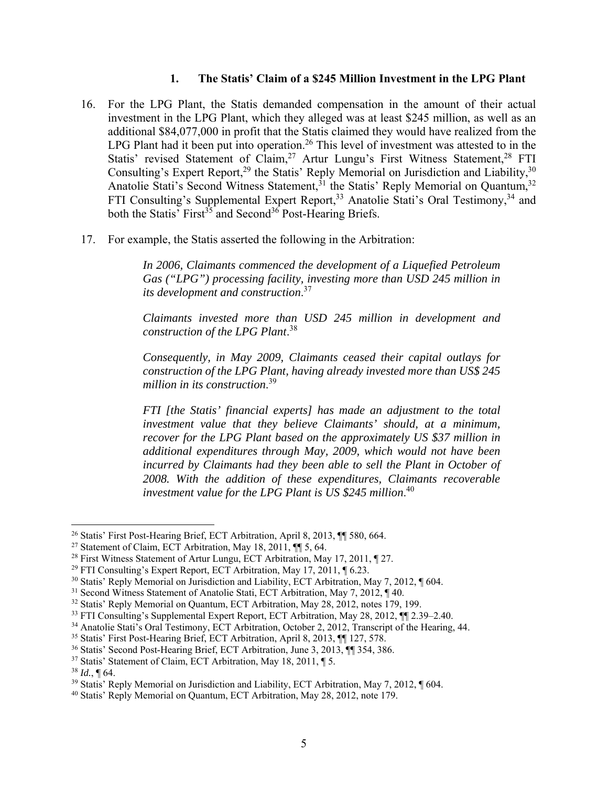#### **1. The Statis' Claim of a \$245 Million Investment in the LPG Plant**

- 16. For the LPG Plant, the Statis demanded compensation in the amount of their actual investment in the LPG Plant, which they alleged was at least \$245 million, as well as an additional \$84,077,000 in profit that the Statis claimed they would have realized from the LPG Plant had it been put into operation.<sup>26</sup> This level of investment was attested to in the Statis' revised Statement of Claim,<sup>27</sup> Artur Lungu's First Witness Statement,<sup>28</sup> FTI Consulting's Expert Report,<sup>29</sup> the Statis' Reply Memorial on Jurisdiction and Liability,<sup>30</sup> Anatolie Stati's Second Witness Statement,  $31$  the Statis' Reply Memorial on Quantum,  $32$ FTI Consulting's Supplemental Expert Report,<sup>33</sup> Anatolie Stati's Oral Testimony,<sup>34</sup> and both the Statis' First<sup>35</sup> and Second<sup>36</sup> Post-Hearing Briefs.
- 17. For example, the Statis asserted the following in the Arbitration:

*In 2006, Claimants commenced the development of a Liquefied Petroleum Gas ("LPG") processing facility, investing more than USD 245 million in its development and construction*. 37

*Claimants invested more than USD 245 million in development and construction of the LPG Plant*. 38

*Consequently, in May 2009, Claimants ceased their capital outlays for construction of the LPG Plant, having already invested more than US\$ 245 million in its construction*. 39

*FTI [the Statis' financial experts] has made an adjustment to the total investment value that they believe Claimants' should, at a minimum, recover for the LPG Plant based on the approximately US \$37 million in additional expenditures through May, 2009, which would not have been incurred by Claimants had they been able to sell the Plant in October of 2008. With the addition of these expenditures, Claimants recoverable investment value for the LPG Plant is US \$245 million*. 40

<sup>&</sup>lt;sup>26</sup> Statis' First Post-Hearing Brief, ECT Arbitration, April 8, 2013, ¶ 580, 664.

<sup>&</sup>lt;sup>27</sup> Statement of Claim, ECT Arbitration, May 18, 2011,  $\P$  5, 64.

<sup>28</sup> First Witness Statement of Artur Lungu, ECT Arbitration, May 17, 2011, ¶ 27.

<sup>&</sup>lt;sup>29</sup> FTI Consulting's Expert Report, ECT Arbitration, May 17, 2011,  $\P$  6.23.

<sup>30</sup> Statis' Reply Memorial on Jurisdiction and Liability, ECT Arbitration, May 7, 2012, ¶ 604.

<sup>31</sup> Second Witness Statement of Anatolie Stati, ECT Arbitration, May 7, 2012, ¶ 40.

<sup>32</sup> Statis' Reply Memorial on Quantum, ECT Arbitration, May 28, 2012, notes 179, 199.

<sup>33</sup> FTI Consulting's Supplemental Expert Report, ECT Arbitration, May 28, 2012, ¶¶ 2.39–2.40.

<sup>34</sup> Anatolie Stati's Oral Testimony, ECT Arbitration, October 2, 2012, Transcript of the Hearing, 44.

<sup>35</sup> Statis' First Post-Hearing Brief, ECT Arbitration, April 8, 2013, ¶¶ 127, 578.

<sup>36</sup> Statis' Second Post-Hearing Brief, ECT Arbitration, June 3, 2013, ¶¶ 354, 386.

<sup>37</sup> Statis' Statement of Claim, ECT Arbitration, May 18, 2011, ¶ 5. 38 *Id.*, ¶ 64.

<sup>39</sup> Statis' Reply Memorial on Jurisdiction and Liability, ECT Arbitration, May 7, 2012, ¶ 604.

<sup>40</sup> Statis' Reply Memorial on Quantum, ECT Arbitration, May 28, 2012, note 179.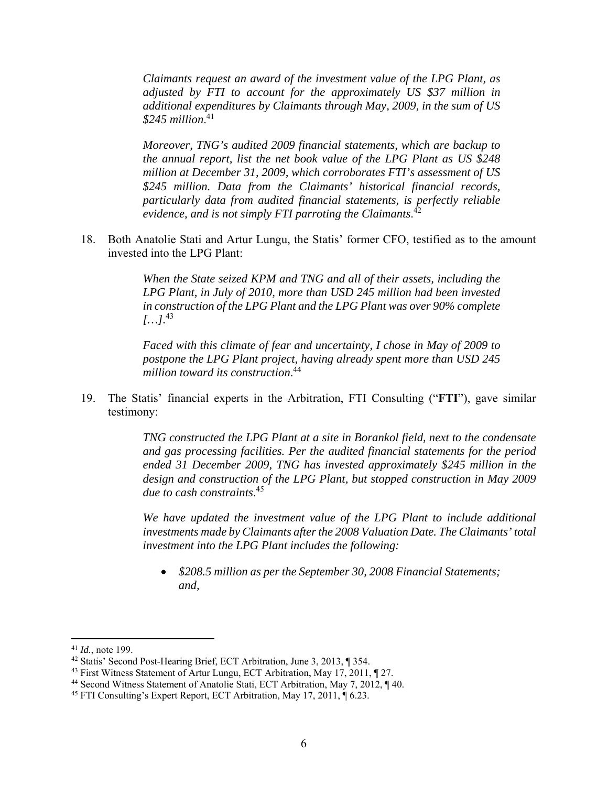*Claimants request an award of the investment value of the LPG Plant, as adjusted by FTI to account for the approximately US \$37 million in additional expenditures by Claimants through May, 2009, in the sum of US \$245 million*. 41

*Moreover, TNG's audited 2009 financial statements, which are backup to the annual report, list the net book value of the LPG Plant as US \$248 million at December 31, 2009, which corroborates FTI's assessment of US \$245 million. Data from the Claimants' historical financial records, particularly data from audited financial statements, is perfectly reliable evidence, and is not simply FTI parroting the Claimants*. 42

18. Both Anatolie Stati and Artur Lungu, the Statis' former CFO, testified as to the amount invested into the LPG Plant:

> *When the State seized KPM and TNG and all of their assets, including the LPG Plant, in July of 2010, more than USD 245 million had been invested in construction of the LPG Plant and the LPG Plant was over 90% complete*   $[...]^{43}$

> *Faced with this climate of fear and uncertainty, I chose in May of 2009 to postpone the LPG Plant project, having already spent more than USD 245 million toward its construction*. 44

19. The Statis' financial experts in the Arbitration, FTI Consulting ("**FTI**"), gave similar testimony:

> *TNG constructed the LPG Plant at a site in Borankol field, next to the condensate and gas processing facilities. Per the audited financial statements for the period ended 31 December 2009, TNG has invested approximately \$245 million in the design and construction of the LPG Plant, but stopped construction in May 2009 due to cash constraints*. 45

> We have updated the investment value of the LPG Plant to include additional *investments made by Claimants after the 2008 Valuation Date. The Claimants' total investment into the LPG Plant includes the following:*

 *\$208.5 million as per the September 30, 2008 Financial Statements; and,* 

<sup>41</sup> *Id.*, note 199.<br><sup>42</sup> Statis' Second Post-Hearing Brief, ECT Arbitration, June 3, 2013, ¶ 354.<br><sup>43</sup> First Witness Statement of Artur Lungu, ECT Arbitration, May 17, 2011, ¶ 27.

<sup>&</sup>lt;sup>44</sup> Second Witness Statement of Anatolie Stati, ECT Arbitration, May 7, 2012, ¶ 40.

<sup>45</sup> FTI Consulting's Expert Report, ECT Arbitration, May 17, 2011, ¶ 6.23.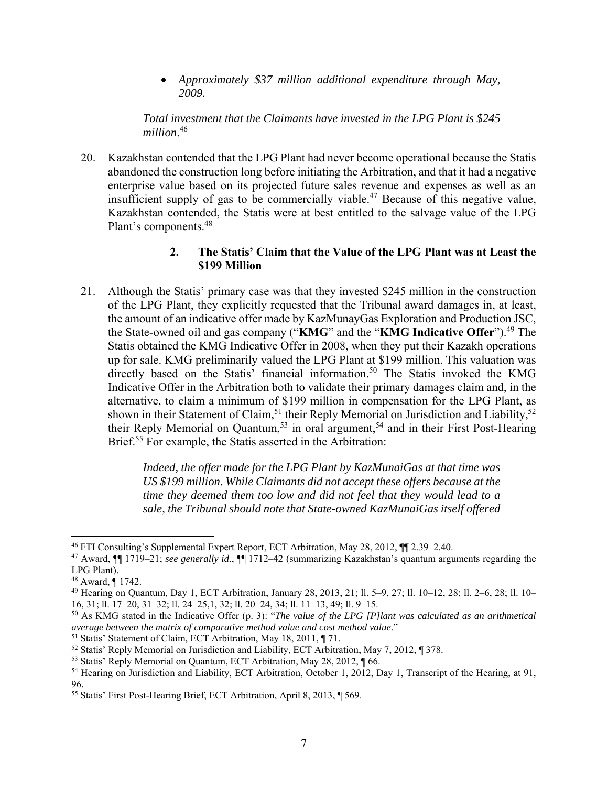*Approximately \$37 million additional expenditure through May, 2009.* 

*Total investment that the Claimants have invested in the LPG Plant is \$245 million*. 46

20. Kazakhstan contended that the LPG Plant had never become operational because the Statis abandoned the construction long before initiating the Arbitration, and that it had a negative enterprise value based on its projected future sales revenue and expenses as well as an insufficient supply of gas to be commercially viable.47 Because of this negative value, Kazakhstan contended, the Statis were at best entitled to the salvage value of the LPG Plant's components.48

#### **2. The Statis' Claim that the Value of the LPG Plant was at Least the \$199 Million**

21. Although the Statis' primary case was that they invested \$245 million in the construction of the LPG Plant, they explicitly requested that the Tribunal award damages in, at least, the amount of an indicative offer made by KazMunayGas Exploration and Production JSC, the State-owned oil and gas company ("**KMG**" and the "**KMG Indicative Offer**").49 The Statis obtained the KMG Indicative Offer in 2008, when they put their Kazakh operations up for sale. KMG preliminarily valued the LPG Plant at \$199 million. This valuation was directly based on the Statis' financial information.<sup>50</sup> The Statis invoked the KMG Indicative Offer in the Arbitration both to validate their primary damages claim and, in the alternative, to claim a minimum of \$199 million in compensation for the LPG Plant, as shown in their Statement of Claim,<sup>51</sup> their Reply Memorial on Jurisdiction and Liability,<sup>52</sup> their Reply Memorial on Quantum,<sup>53</sup> in oral argument,<sup>54</sup> and in their First Post-Hearing Brief.<sup>55</sup> For example, the Statis asserted in the Arbitration:

> *Indeed, the offer made for the LPG Plant by KazMunaiGas at that time was US \$199 million. While Claimants did not accept these offers because at the time they deemed them too low and did not feel that they would lead to a sale, the Tribunal should note that State-owned KazMunaiGas itself offered*

<sup>46</sup> FTI Consulting's Supplemental Expert Report, ECT Arbitration, May 28, 2012, ¶¶ 2.39–2.40.

<sup>47</sup> Award, ¶¶ 1719–21; *see generally id.*, ¶¶ 1712–42 (summarizing Kazakhstan's quantum arguments regarding the LPG Plant).

<sup>48</sup> Award, ¶ 1742.

<sup>49</sup> Hearing on Quantum, Day 1, ECT Arbitration, January 28, 2013, 21; ll. 5–9, 27; ll. 10–12, 28; ll. 2–6, 28; ll. 10– 16, 31; ll. 17–20, 31–32; ll. 24–25,1, 32; ll. 20–24, 34; ll. 11–13, 49; ll. 9–15.

<sup>50</sup> As KMG stated in the Indicative Offer (p. 3): "*The value of the LPG [P]lant was calculated as an arithmetical average between the matrix of comparative method value and cost method value*."

<sup>51</sup> Statis' Statement of Claim, ECT Arbitration, May 18, 2011, ¶ 71.

<sup>52</sup> Statis' Reply Memorial on Jurisdiction and Liability, ECT Arbitration, May 7, 2012, ¶ 378.

<sup>&</sup>lt;sup>53</sup> Statis' Reply Memorial on Quantum, ECT Arbitration, May 28, 2012, ¶ 66.

<sup>54</sup> Hearing on Jurisdiction and Liability, ECT Arbitration, October 1, 2012, Day 1, Transcript of the Hearing, at 91, 96.

<sup>55</sup> Statis' First Post-Hearing Brief, ECT Arbitration, April 8, 2013, ¶ 569.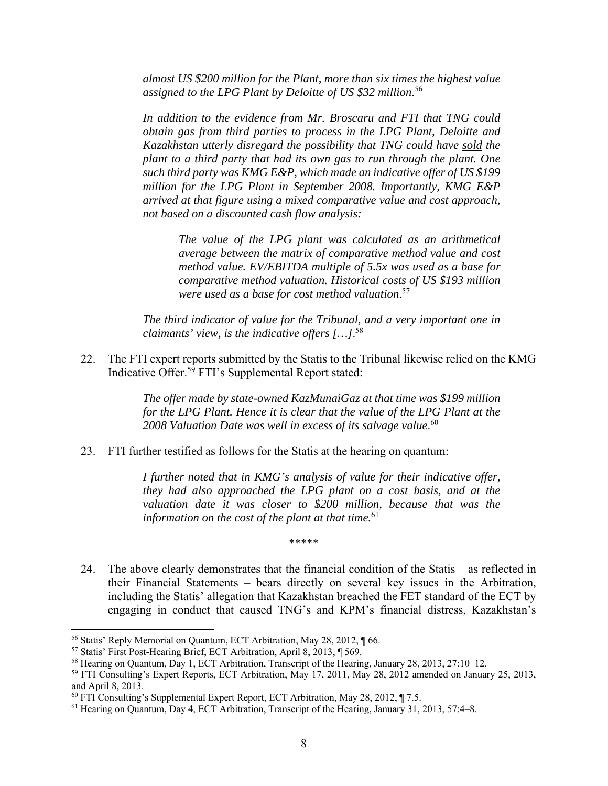*almost US \$200 million for the Plant, more than six times the highest value assigned to the LPG Plant by Deloitte of US \$32 million*. 56

*In addition to the evidence from Mr. Broscaru and FTI that TNG could obtain gas from third parties to process in the LPG Plant, Deloitte and Kazakhstan utterly disregard the possibility that TNG could have sold the plant to a third party that had its own gas to run through the plant. One such third party was KMG E&P, which made an indicative offer of US \$199 million for the LPG Plant in September 2008. Importantly, KMG E&P arrived at that figure using a mixed comparative value and cost approach, not based on a discounted cash flow analysis:* 

> *The value of the LPG plant was calculated as an arithmetical average between the matrix of comparative method value and cost method value. EV/EBITDA multiple of 5.5x was used as a base for comparative method valuation. Historical costs of US \$193 million were used as a base for cost method valuation*. 57

*The third indicator of value for the Tribunal, and a very important one in claimants' view, is the indicative offers […]*. 58

22. The FTI expert reports submitted by the Statis to the Tribunal likewise relied on the KMG Indicative Offer.59 FTI's Supplemental Report stated:

> *The offer made by state-owned KazMunaiGaz at that time was \$199 million for the LPG Plant. Hence it is clear that the value of the LPG Plant at the 2008 Valuation Date was well in excess of its salvage value*. 60

23. FTI further testified as follows for the Statis at the hearing on quantum:

*I further noted that in KMG's analysis of value for their indicative offer, they had also approached the LPG plant on a cost basis, and at the valuation date it was closer to \$200 million, because that was the information on the cost of the plant at that time.*<sup>61</sup>

- \*\*\*\*\*
- 24. The above clearly demonstrates that the financial condition of the Statis as reflected in their Financial Statements – bears directly on several key issues in the Arbitration, including the Statis' allegation that Kazakhstan breached the FET standard of the ECT by engaging in conduct that caused TNG's and KPM's financial distress, Kazakhstan's

<sup>&</sup>lt;sup>56</sup> Statis' Reply Memorial on Quantum, ECT Arbitration, May 28, 2012, ¶ 66.<br><sup>57</sup> Statis' First Post-Hearing Brief, ECT Arbitration, April 8, 2013, ¶ 569.

<sup>58</sup> Hearing on Quantum, Day 1, ECT Arbitration, Transcript of the Hearing, January 28, 2013, 27:10–12.

<sup>59</sup> FTI Consulting's Expert Reports, ECT Arbitration, May 17, 2011, May 28, 2012 amended on January 25, 2013, and April 8, 2013.

<sup>60</sup> FTI Consulting's Supplemental Expert Report, ECT Arbitration, May 28, 2012, ¶ 7.5.

<sup>&</sup>lt;sup>61</sup> Hearing on Quantum, Day 4, ECT Arbitration, Transcript of the Hearing, January 31, 2013, 57:4-8.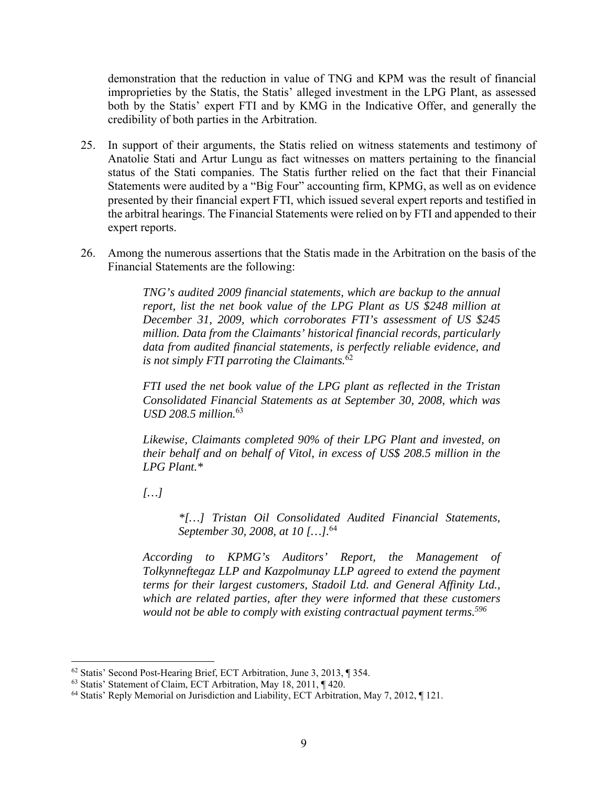demonstration that the reduction in value of TNG and KPM was the result of financial improprieties by the Statis, the Statis' alleged investment in the LPG Plant, as assessed both by the Statis' expert FTI and by KMG in the Indicative Offer, and generally the credibility of both parties in the Arbitration.

- 25. In support of their arguments, the Statis relied on witness statements and testimony of Anatolie Stati and Artur Lungu as fact witnesses on matters pertaining to the financial status of the Stati companies. The Statis further relied on the fact that their Financial Statements were audited by a "Big Four" accounting firm, KPMG, as well as on evidence presented by their financial expert FTI, which issued several expert reports and testified in the arbitral hearings. The Financial Statements were relied on by FTI and appended to their expert reports.
- 26. Among the numerous assertions that the Statis made in the Arbitration on the basis of the Financial Statements are the following:

*TNG's audited 2009 financial statements, which are backup to the annual report, list the net book value of the LPG Plant as US \$248 million at December 31, 2009, which corroborates FTI's assessment of US \$245 million. Data from the Claimants' historical financial records, particularly data from audited financial statements, is perfectly reliable evidence, and is not simply FTI parroting the Claimants.*<sup>62</sup>

*FTI used the net book value of the LPG plant as reflected in the Tristan Consolidated Financial Statements as at September 30, 2008, which was USD 208.5 million.*<sup>63</sup>

*Likewise, Claimants completed 90% of their LPG Plant and invested, on their behalf and on behalf of Vitol, in excess of US\$ 208.5 million in the LPG Plant.\** 

*[…]* 

*\*[…] Tristan Oil Consolidated Audited Financial Statements, September 30, 2008, at 10 […].*<sup>64</sup>

*According to KPMG's Auditors' Report, the Management of Tolkynneftegaz LLP and Kazpolmunay LLP agreed to extend the payment terms for their largest customers, Stadoil Ltd. and General Affinity Ltd., which are related parties, after they were informed that these customers would not be able to comply with existing contractual payment terms.596*

  $62$  Statis' Second Post-Hearing Brief, ECT Arbitration, June 3, 2013,  $\P$  354.

<sup>63</sup> Statis' Statement of Claim, ECT Arbitration, May 18, 2011, ¶ 420.

<sup>64</sup> Statis' Reply Memorial on Jurisdiction and Liability, ECT Arbitration, May 7, 2012, ¶ 121.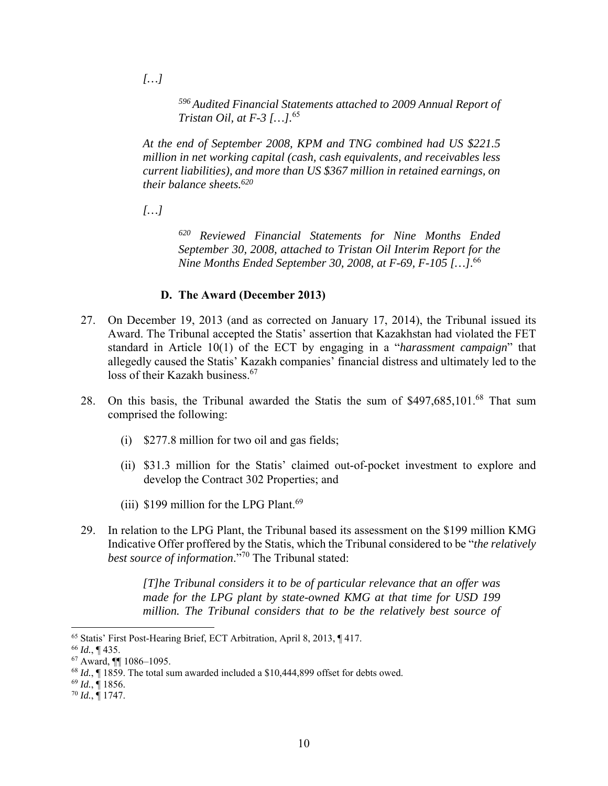*[…]* 

*<sup>596</sup> Audited Financial Statements attached to 2009 Annual Report of Tristan Oil, at F-3 […].*<sup>65</sup>

*At the end of September 2008, KPM and TNG combined had US \$221.5 million in net working capital (cash, cash equivalents, and receivables less current liabilities), and more than US \$367 million in retained earnings, on their balance sheets.620*

*[…]* 

*620 Reviewed Financial Statements for Nine Months Ended September 30, 2008, attached to Tristan Oil Interim Report for the Nine Months Ended September 30, 2008, at F-69, F-105 […].*<sup>66</sup>

## **D. The Award (December 2013)**

- 27. On December 19, 2013 (and as corrected on January 17, 2014), the Tribunal issued its Award. The Tribunal accepted the Statis' assertion that Kazakhstan had violated the FET standard in Article 10(1) of the ECT by engaging in a "*harassment campaign*" that allegedly caused the Statis' Kazakh companies' financial distress and ultimately led to the loss of their Kazakh business.<sup>67</sup>
- 28. On this basis, the Tribunal awarded the Statis the sum of \$497,685,101.<sup>68</sup> That sum comprised the following:
	- (i) \$277.8 million for two oil and gas fields;
	- (ii) \$31.3 million for the Statis' claimed out-of-pocket investment to explore and develop the Contract 302 Properties; and
	- (iii) \$199 million for the LPG Plant.<sup>69</sup>
- 29. In relation to the LPG Plant, the Tribunal based its assessment on the \$199 million KMG Indicative Offer proffered by the Statis, which the Tribunal considered to be "*the relatively best source of information*."<sup>70</sup> The Tribunal stated:

*[T]he Tribunal considers it to be of particular relevance that an offer was made for the LPG plant by state-owned KMG at that time for USD 199 million. The Tribunal considers that to be the relatively best source of* 

 65 Statis' First Post-Hearing Brief, ECT Arbitration, April 8, 2013, ¶ 417.

<sup>66</sup> *Id.*, ¶ 435.

<sup>67</sup> Award, ¶¶ 1086–1095.

<sup>68</sup> *Id.*, ¶ 1859. The total sum awarded included a \$10,444,899 offset for debts owed.

<sup>69</sup> *Id.*, ¶ 1856.

<sup>70</sup> *Id.*, ¶ 1747.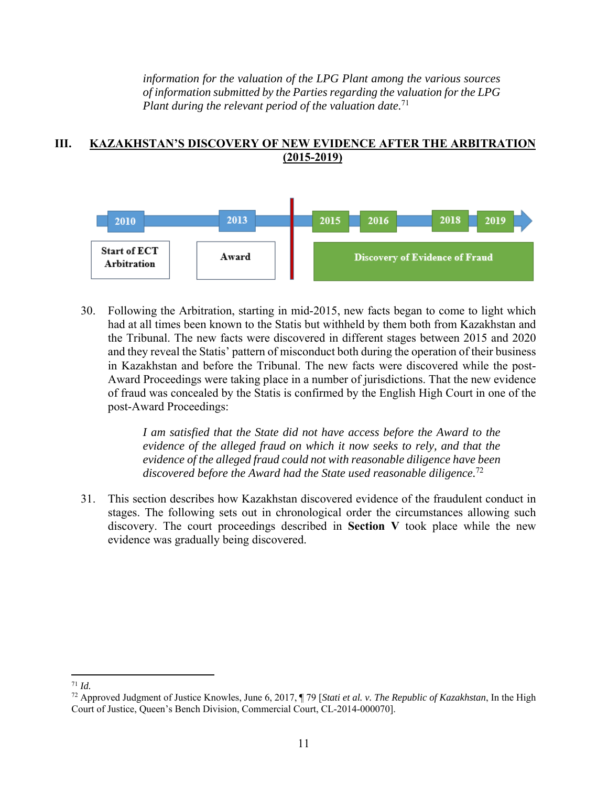*information for the valuation of the LPG Plant among the various sources of information submitted by the Parties regarding the valuation for the LPG Plant during the relevant period of the valuation date.*<sup>71</sup>

#### **III. KAZAKHSTAN'S DISCOVERY OF NEW EVIDENCE AFTER THE ARBITRATION (2015-2019)**



30. Following the Arbitration, starting in mid-2015, new facts began to come to light which had at all times been known to the Statis but withheld by them both from Kazakhstan and the Tribunal. The new facts were discovered in different stages between 2015 and 2020 and they reveal the Statis' pattern of misconduct both during the operation of their business in Kazakhstan and before the Tribunal. The new facts were discovered while the post-Award Proceedings were taking place in a number of jurisdictions. That the new evidence of fraud was concealed by the Statis is confirmed by the English High Court in one of the post-Award Proceedings:

> *I am satisfied that the State did not have access before the Award to the evidence of the alleged fraud on which it now seeks to rely, and that the evidence of the alleged fraud could not with reasonable diligence have been discovered before the Award had the State used reasonable diligence.*<sup>72</sup>

31. This section describes how Kazakhstan discovered evidence of the fraudulent conduct in stages. The following sets out in chronological order the circumstances allowing such discovery. The court proceedings described in **Section V** took place while the new evidence was gradually being discovered.

  $71$  *Id.* 

<sup>72</sup> Approved Judgment of Justice Knowles, June 6, 2017, ¶ 79 [*Stati et al. v. The Republic of Kazakhstan*, In the High Court of Justice, Queen's Bench Division, Commercial Court, CL-2014-000070].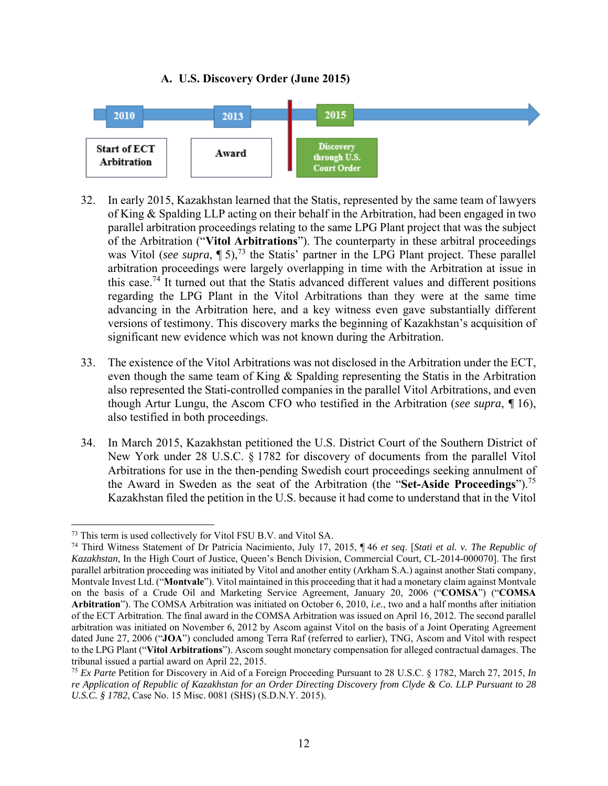## **A. U.S. Discovery Order (June 2015)**



- 32. In early 2015, Kazakhstan learned that the Statis, represented by the same team of lawyers of King & Spalding LLP acting on their behalf in the Arbitration, had been engaged in two parallel arbitration proceedings relating to the same LPG Plant project that was the subject of the Arbitration ("**Vitol Arbitrations**"). The counterparty in these arbitral proceedings was Vitol (*see supra*, ¶ 5),<sup>73</sup> the Statis' partner in the LPG Plant project. These parallel arbitration proceedings were largely overlapping in time with the Arbitration at issue in this case.<sup>74</sup> It turned out that the Statis advanced different values and different positions regarding the LPG Plant in the Vitol Arbitrations than they were at the same time advancing in the Arbitration here, and a key witness even gave substantially different versions of testimony. This discovery marks the beginning of Kazakhstan's acquisition of significant new evidence which was not known during the Arbitration.
- 33. The existence of the Vitol Arbitrations was not disclosed in the Arbitration under the ECT, even though the same team of King & Spalding representing the Statis in the Arbitration also represented the Stati-controlled companies in the parallel Vitol Arbitrations, and even though Artur Lungu, the Ascom CFO who testified in the Arbitration (*see supra*, *¶* 16), also testified in both proceedings.
- 34. In March 2015, Kazakhstan petitioned the U.S. District Court of the Southern District of New York under 28 U.S.C. § 1782 for discovery of documents from the parallel Vitol Arbitrations for use in the then-pending Swedish court proceedings seeking annulment of the Award in Sweden as the seat of the Arbitration (the "**Set-Aside Proceedings**").75 Kazakhstan filed the petition in the U.S. because it had come to understand that in the Vitol

<sup>73</sup> This term is used collectively for Vitol FSU B.V. and Vitol SA. 74 Third Witness Statement of Dr Patricia Nacimiento, July 17, 2015, ¶ 46 *et seq*. [*Stati et al. v. The Republic of Kazakhstan*, In the High Court of Justice, Queen's Bench Division, Commercial Court, CL-2014-000070]. The first parallel arbitration proceeding was initiated by Vitol and another entity (Arkham S.A.) against another Stati company, Montvale Invest Ltd. ("**Montvale**"). Vitol maintained in this proceeding that it had a monetary claim against Montvale on the basis of a Crude Oil and Marketing Service Agreement, January 20, 2006 ("**COMSA**") ("**COMSA Arbitration**"). The COMSA Arbitration was initiated on October 6, 2010, *i.e.*, two and a half months after initiation of the ECT Arbitration. The final award in the COMSA Arbitration was issued on April 16, 2012. The second parallel arbitration was initiated on November 6, 2012 by Ascom against Vitol on the basis of a Joint Operating Agreement dated June 27, 2006 ("**JOA**") concluded among Terra Raf (referred to earlier), TNG, Ascom and Vitol with respect to the LPG Plant ("**Vitol Arbitrations**"). Ascom sought monetary compensation for alleged contractual damages. The tribunal issued a partial award on April 22, 2015.

<sup>75</sup> *Ex Parte* Petition for Discovery in Aid of a Foreign Proceeding Pursuant to 28 U.S.C. § 1782, March 27, 2015, *In re Application of Republic of Kazakhstan for an Order Directing Discovery from Clyde & Co. LLP Pursuant to 28 U.S.C. § 1782*, Case No. 15 Misc. 0081 (SHS) (S.D.N.Y. 2015).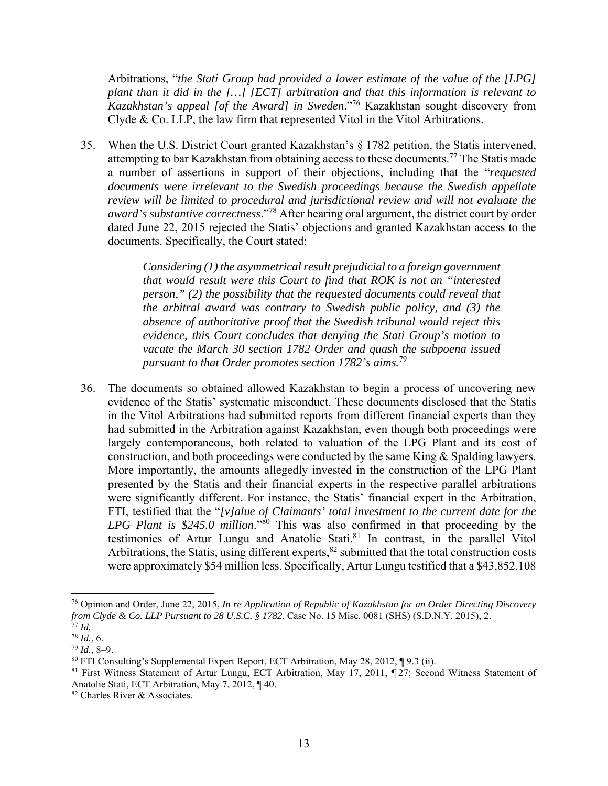Arbitrations, "*the Stati Group had provided a lower estimate of the value of the [LPG] plant than it did in the […] [ECT] arbitration and that this information is relevant to Kazakhstan's appeal [of the Award] in Sweden*."76 Kazakhstan sought discovery from Clyde & Co. LLP, the law firm that represented Vitol in the Vitol Arbitrations.

35. When the U.S. District Court granted Kazakhstan's § 1782 petition, the Statis intervened, attempting to bar Kazakhstan from obtaining access to these documents.<sup>77</sup> The Statis made a number of assertions in support of their objections, including that the "*requested documents were irrelevant to the Swedish proceedings because the Swedish appellate review will be limited to procedural and jurisdictional review and will not evaluate the award's substantive correctness*."78 After hearing oral argument, the district court by order dated June 22, 2015 rejected the Statis' objections and granted Kazakhstan access to the documents. Specifically, the Court stated:

> *Considering (1) the asymmetrical result prejudicial to a foreign government that would result were this Court to find that ROK is not an "interested person," (2) the possibility that the requested documents could reveal that the arbitral award was contrary to Swedish public policy, and (3) the absence of authoritative proof that the Swedish tribunal would reject this evidence, this Court concludes that denying the Stati Group's motion to vacate the March 30 section 1782 Order and quash the subpoena issued pursuant to that Order promotes section 1782's aims.*<sup>79</sup>

36. The documents so obtained allowed Kazakhstan to begin a process of uncovering new evidence of the Statis' systematic misconduct. These documents disclosed that the Statis in the Vitol Arbitrations had submitted reports from different financial experts than they had submitted in the Arbitration against Kazakhstan, even though both proceedings were largely contemporaneous, both related to valuation of the LPG Plant and its cost of construction, and both proceedings were conducted by the same King & Spalding lawyers. More importantly, the amounts allegedly invested in the construction of the LPG Plant presented by the Statis and their financial experts in the respective parallel arbitrations were significantly different. For instance, the Statis' financial expert in the Arbitration, FTI, testified that the "*[v]alue of Claimants' total investment to the current date for the LPG Plant is \$245.0 million*."<sup>80</sup> This was also confirmed in that proceeding by the testimonies of Artur Lungu and Anatolie Stati.<sup>81</sup> In contrast, in the parallel Vitol Arbitrations, the Statis, using different experts,  $82$  submitted that the total construction costs were approximately \$54 million less. Specifically, Artur Lungu testified that a \$43,852,108

<sup>76</sup> Opinion and Order, June 22, 2015, *In re Application of Republic of Kazakhstan for an Order Directing Discovery from Clyde & Co. LLP Pursuant to 28 U.S.C. § 1782*, Case No. 15 Misc. 0081 (SHS) (S.D.N.Y. 2015), 2. 77 *Id.*

<sup>78</sup> *Id.*, 6.

<sup>79</sup> *Id.*, 8–9.

<sup>80</sup> FTI Consulting's Supplemental Expert Report, ECT Arbitration, May 28, 2012, ¶ 9.3 (ii).

<sup>81</sup> First Witness Statement of Artur Lungu, ECT Arbitration, May 17, 2011, ¶ 27; Second Witness Statement of Anatolie Stati, ECT Arbitration, May 7, 2012, ¶ 40.

<sup>82</sup> Charles River & Associates.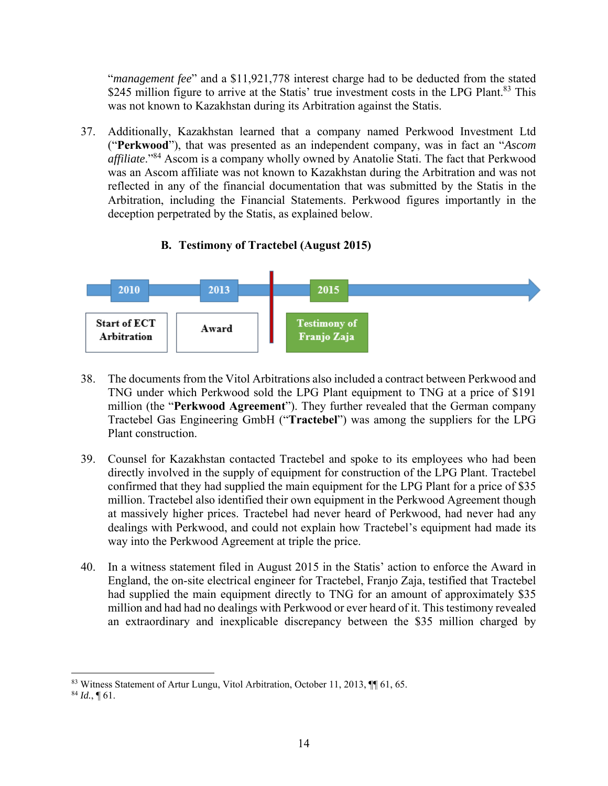"*management fee*" and a \$11,921,778 interest charge had to be deducted from the stated \$245 million figure to arrive at the Statis' true investment costs in the LPG Plant.<sup>83</sup> This was not known to Kazakhstan during its Arbitration against the Statis.

37. Additionally, Kazakhstan learned that a company named Perkwood Investment Ltd ("**Perkwood**"), that was presented as an independent company, was in fact an "*Ascom affiliate*."84 Ascom is a company wholly owned by Anatolie Stati. The fact that Perkwood was an Ascom affiliate was not known to Kazakhstan during the Arbitration and was not reflected in any of the financial documentation that was submitted by the Statis in the Arbitration, including the Financial Statements. Perkwood figures importantly in the deception perpetrated by the Statis, as explained below.

# **B. Testimony of Tractebel (August 2015)**



- 38. The documents from the Vitol Arbitrations also included a contract between Perkwood and TNG under which Perkwood sold the LPG Plant equipment to TNG at a price of \$191 million (the "**Perkwood Agreement**"). They further revealed that the German company Tractebel Gas Engineering GmbH ("**Tractebel**") was among the suppliers for the LPG Plant construction.
- 39. Counsel for Kazakhstan contacted Tractebel and spoke to its employees who had been directly involved in the supply of equipment for construction of the LPG Plant. Tractebel confirmed that they had supplied the main equipment for the LPG Plant for a price of \$35 million. Tractebel also identified their own equipment in the Perkwood Agreement though at massively higher prices. Tractebel had never heard of Perkwood, had never had any dealings with Perkwood, and could not explain how Tractebel's equipment had made its way into the Perkwood Agreement at triple the price.
- 40. In a witness statement filed in August 2015 in the Statis' action to enforce the Award in England, the on-site electrical engineer for Tractebel, Franjo Zaja, testified that Tractebel had supplied the main equipment directly to TNG for an amount of approximately \$35 million and had had no dealings with Perkwood or ever heard of it. This testimony revealed an extraordinary and inexplicable discrepancy between the \$35 million charged by

<sup>83</sup> Witness Statement of Artur Lungu, Vitol Arbitration, October 11, 2013, ¶¶ 61, 65.

 $84$  *Id.*, 161.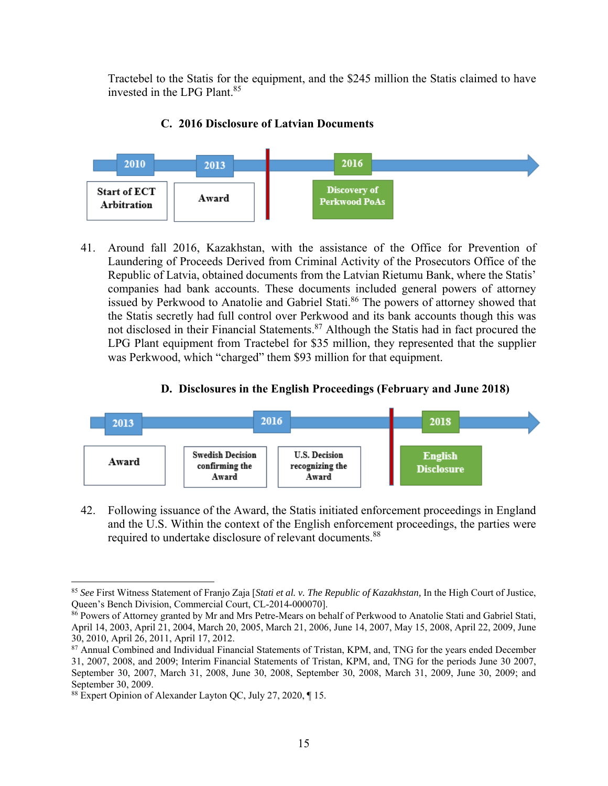Tractebel to the Statis for the equipment, and the \$245 million the Statis claimed to have invested in the LPG Plant.85

## **C. 2016 Disclosure of Latvian Documents**



41. Around fall 2016, Kazakhstan, with the assistance of the Office for Prevention of Laundering of Proceeds Derived from Criminal Activity of the Prosecutors Office of the Republic of Latvia, obtained documents from the Latvian Rietumu Bank, where the Statis' companies had bank accounts. These documents included general powers of attorney issued by Perkwood to Anatolie and Gabriel Stati.<sup>86</sup> The powers of attorney showed that the Statis secretly had full control over Perkwood and its bank accounts though this was not disclosed in their Financial Statements.<sup>87</sup> Although the Statis had in fact procured the LPG Plant equipment from Tractebel for \$35 million, they represented that the supplier was Perkwood, which "charged" them \$93 million for that equipment.

## **D. Disclosures in the English Proceedings (February and June 2018)**



42. Following issuance of the Award, the Statis initiated enforcement proceedings in England and the U.S. Within the context of the English enforcement proceedings, the parties were required to undertake disclosure of relevant documents.<sup>88</sup>

 <sup>85</sup> *See* First Witness Statement of Franjo Zaja [*Stati et al. v. The Republic of Kazakhstan,* In the High Court of Justice, Queen's Bench Division, Commercial Court, CL-2014-000070].

<sup>86</sup> Powers of Attorney granted by Mr and Mrs Petre-Mears on behalf of Perkwood to Anatolie Stati and Gabriel Stati, April 14, 2003, April 21, 2004, March 20, 2005, March 21, 2006, June 14, 2007, May 15, 2008, April 22, 2009, June 30, 2010, April 26, 2011, April 17, 2012.

<sup>&</sup>lt;sup>87</sup> Annual Combined and Individual Financial Statements of Tristan, KPM, and, TNG for the years ended December 31, 2007, 2008, and 2009; Interim Financial Statements of Tristan, KPM, and, TNG for the periods June 30 2007, September 30, 2007, March 31, 2008, June 30, 2008, September 30, 2008, March 31, 2009, June 30, 2009; and September 30, 2009.

<sup>88</sup> Expert Opinion of Alexander Layton QC, July 27, 2020, ¶ 15.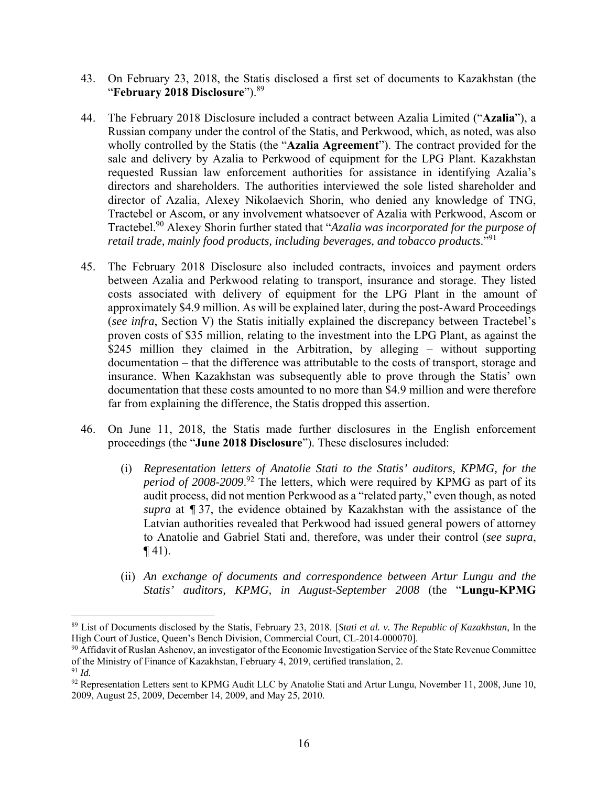- 43. On February 23, 2018, the Statis disclosed a first set of documents to Kazakhstan (the "**February 2018 Disclosure**").89
- 44. The February 2018 Disclosure included a contract between Azalia Limited ("**Azalia**"), a Russian company under the control of the Statis, and Perkwood, which, as noted, was also wholly controlled by the Statis (the "**Azalia Agreement**"). The contract provided for the sale and delivery by Azalia to Perkwood of equipment for the LPG Plant. Kazakhstan requested Russian law enforcement authorities for assistance in identifying Azalia's directors and shareholders. The authorities interviewed the sole listed shareholder and director of Azalia, Alexey Nikolaevich Shorin, who denied any knowledge of TNG, Tractebel or Ascom, or any involvement whatsoever of Azalia with Perkwood, Ascom or Tractebel.90 Alexey Shorin further stated that "*Azalia was incorporated for the purpose of retail trade, mainly food products, including beverages, and tobacco products*."91
- 45. The February 2018 Disclosure also included contracts, invoices and payment orders between Azalia and Perkwood relating to transport, insurance and storage. They listed costs associated with delivery of equipment for the LPG Plant in the amount of approximately \$4.9 million. As will be explained later, during the post-Award Proceedings (*see infra*, Section V) the Statis initially explained the discrepancy between Tractebel's proven costs of \$35 million, relating to the investment into the LPG Plant, as against the \$245 million they claimed in the Arbitration, by alleging – without supporting documentation – that the difference was attributable to the costs of transport, storage and insurance. When Kazakhstan was subsequently able to prove through the Statis' own documentation that these costs amounted to no more than \$4.9 million and were therefore far from explaining the difference, the Statis dropped this assertion.
- 46. On June 11, 2018, the Statis made further disclosures in the English enforcement proceedings (the "**June 2018 Disclosure**"). These disclosures included:
	- (i) *Representation letters of Anatolie Stati to the Statis' auditors, KPMG, for the period of 2008-2009*. 92 The letters, which were required by KPMG as part of its audit process, did not mention Perkwood as a "related party," even though, as noted *supra* at *¶* 37, the evidence obtained by Kazakhstan with the assistance of the Latvian authorities revealed that Perkwood had issued general powers of attorney to Anatolie and Gabriel Stati and, therefore, was under their control (*see supra*,  $\P(41)$ .
	- (ii) *An exchange of documents and correspondence between Artur Lungu and the Statis' auditors, KPMG, in August-September 2008* (the "**Lungu-KPMG**

<sup>89</sup> List of Documents disclosed by the Statis, February 23, 2018. [*Stati et al. v. The Republic of Kazakhstan*, In the High Court of Justice, Queen's Bench Division, Commercial Court, CL-2014-000070].

<sup>&</sup>lt;sup>90</sup> Affidavit of Ruslan Ashenov, an investigator of the Economic Investigation Service of the State Revenue Committee of the Ministry of Finance of Kazakhstan, February 4, 2019, certified translation, 2.

<sup>91</sup> *Id.*

<sup>92</sup> Representation Letters sent to KPMG Audit LLC by Anatolie Stati and Artur Lungu, November 11, 2008, June 10, 2009, August 25, 2009, December 14, 2009, and May 25, 2010.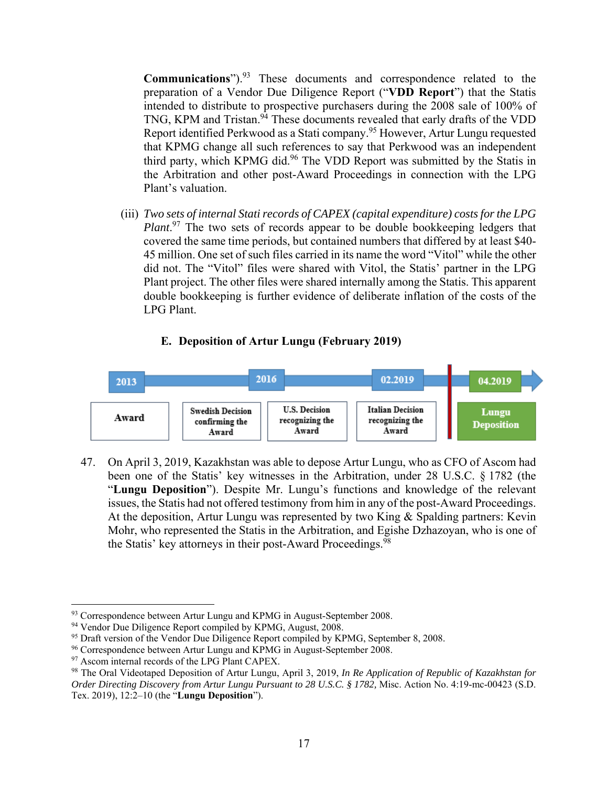**Communications**").93 These documents and correspondence related to the preparation of a Vendor Due Diligence Report ("**VDD Report**") that the Statis intended to distribute to prospective purchasers during the 2008 sale of 100% of TNG, KPM and Tristan.<sup>94</sup> These documents revealed that early drafts of the VDD Report identified Perkwood as a Stati company.95 However, Artur Lungu requested that KPMG change all such references to say that Perkwood was an independent third party, which KPMG did.<sup>96</sup> The VDD Report was submitted by the Statis in the Arbitration and other post-Award Proceedings in connection with the LPG Plant's valuation.

(iii) *Two sets of internal Stati records of CAPEX (capital expenditure) costs for the LPG*  Plant.<sup>97</sup> The two sets of records appear to be double bookkeeping ledgers that covered the same time periods, but contained numbers that differed by at least \$40- 45 million. One set of such files carried in its name the word "Vitol" while the other did not. The "Vitol" files were shared with Vitol, the Statis' partner in the LPG Plant project. The other files were shared internally among the Statis. This apparent double bookkeeping is further evidence of deliberate inflation of the costs of the LPG Plant.

#### **E. Deposition of Artur Lungu (February 2019)**



47. On April 3, 2019, Kazakhstan was able to depose Artur Lungu, who as CFO of Ascom had been one of the Statis' key witnesses in the Arbitration, under 28 U.S.C. § 1782 (the "**Lungu Deposition**"). Despite Mr. Lungu's functions and knowledge of the relevant issues, the Statis had not offered testimony from him in any of the post-Award Proceedings. At the deposition, Artur Lungu was represented by two King & Spalding partners: Kevin Mohr, who represented the Statis in the Arbitration, and Egishe Dzhazoyan, who is one of the Statis' key attorneys in their post-Award Proceedings.<sup>98</sup>

<sup>93</sup> Correspondence between Artur Lungu and KPMG in August-September 2008.

<sup>&</sup>lt;sup>94</sup> Vendor Due Diligence Report compiled by KPMG, August, 2008.

<sup>&</sup>lt;sup>95</sup> Draft version of the Vendor Due Diligence Report compiled by KPMG, September 8, 2008.

<sup>&</sup>lt;sup>96</sup> Correspondence between Artur Lungu and KPMG in August-September 2008.

<sup>&</sup>lt;sup>97</sup> Ascom internal records of the LPG Plant CAPEX.

<sup>98</sup> The Oral Videotaped Deposition of Artur Lungu, April 3, 2019, *In Re Application of Republic of Kazakhstan for Order Directing Discovery from Artur Lungu Pursuant to 28 U.S.C. § 1782, Misc. Action No. 4:19-mc-00423 (S.D.* Tex. 2019), 12:2–10 (the "**Lungu Deposition**").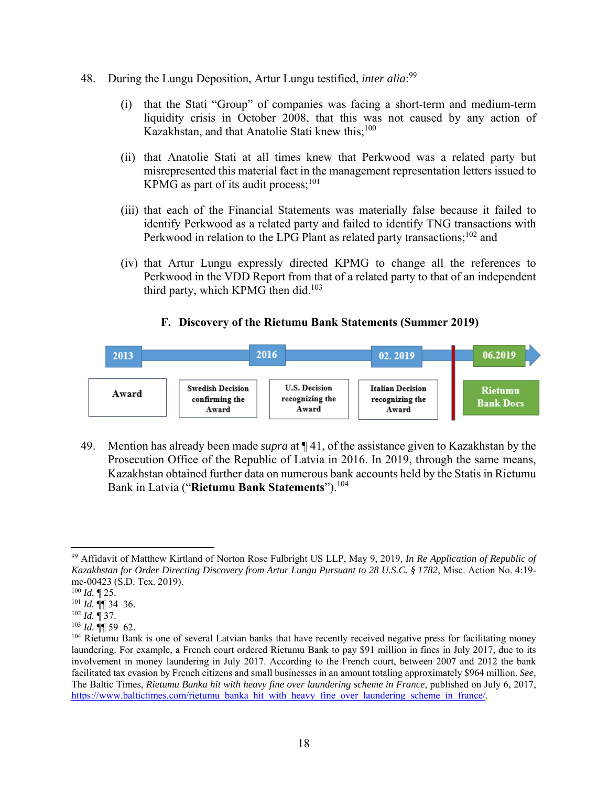- 48. During the Lungu Deposition, Artur Lungu testified, *inter alia*: 99
	- (i) that the Stati "Group" of companies was facing a short-term and medium-term liquidity crisis in October 2008, that this was not caused by any action of Kazakhstan, and that Anatolie Stati knew this;<sup>100</sup>
	- (ii) that Anatolie Stati at all times knew that Perkwood was a related party but misrepresented this material fact in the management representation letters issued to KPMG as part of its audit process; $^{101}$
	- (iii) that each of the Financial Statements was materially false because it failed to identify Perkwood as a related party and failed to identify TNG transactions with Perkwood in relation to the LPG Plant as related party transactions;<sup>102</sup> and
	- (iv) that Artur Lungu expressly directed KPMG to change all the references to Perkwood in the VDD Report from that of a related party to that of an independent third party, which KPMG then did.<sup>103</sup>

## **F. Discovery of the Rietumu Bank Statements (Summer 2019)**



49. Mention has already been made *supra* at ¶ 41, of the assistance given to Kazakhstan by the Prosecution Office of the Republic of Latvia in 2016. In 2019, through the same means, Kazakhstan obtained further data on numerous bank accounts held by the Statis in Rietumu Bank in Latvia ("**Rietumu Bank Statements**").104

<sup>99</sup> Affidavit of Matthew Kirtland of Norton Rose Fulbright US LLP, May 9, 2019*, In Re Application of Republic of Kazakhstan for Order Directing Discovery from Artur Lungu Pursuant to 28 U.S.C. § 1782*, Misc. Action No. 4:19 mc-00423 (S.D. Tex. 2019).

<sup>100</sup> *Id.* ¶ 25.

 $101$  *Id.* **¶** 34–36.

<sup>102</sup> *Id.* ¶ 37.

<sup>103</sup> *Id.* ¶¶ 59–62.

<sup>&</sup>lt;sup>104</sup> Rietumu Bank is one of several Latvian banks that have recently received negative press for facilitating money laundering. For example, a French court ordered Rietumu Bank to pay \$91 million in fines in July 2017, due to its involvement in money laundering in July 2017. According to the French court, between 2007 and 2012 the bank facilitated tax evasion by French citizens and small businesses in an amount totaling approximately \$964 million. *See,*  The Baltic Times, *Rietumu Banka hit with heavy fine over laundering scheme in France*, published on July 6, 2017, https://www.baltictimes.com/rietumu\_banka\_hit\_with\_heavy\_fine\_over\_laundering\_scheme\_in\_france/.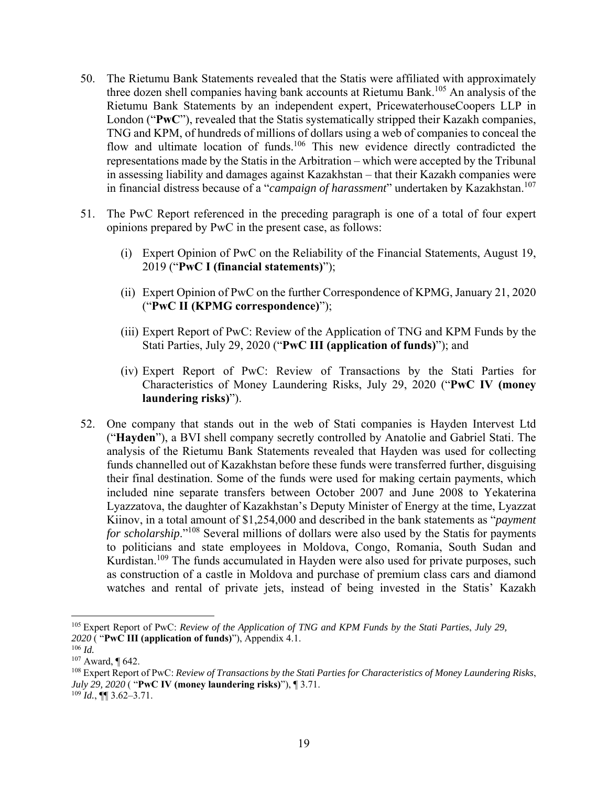- 50. The Rietumu Bank Statements revealed that the Statis were affiliated with approximately three dozen shell companies having bank accounts at Rietumu Bank.<sup>105</sup> An analysis of the Rietumu Bank Statements by an independent expert, PricewaterhouseCoopers LLP in London ("**PwC**"), revealed that the Statis systematically stripped their Kazakh companies, TNG and KPM, of hundreds of millions of dollars using a web of companies to conceal the flow and ultimate location of funds.<sup>106</sup> This new evidence directly contradicted the representations made by the Statis in the Arbitration – which were accepted by the Tribunal in assessing liability and damages against Kazakhstan – that their Kazakh companies were in financial distress because of a "*campaign of harassment*" undertaken by Kazakhstan.<sup>107</sup>
- 51. The PwC Report referenced in the preceding paragraph is one of a total of four expert opinions prepared by PwC in the present case, as follows:
	- (i) Expert Opinion of PwC on the Reliability of the Financial Statements, August 19, 2019 ("**PwC I (financial statements)**");
	- (ii) Expert Opinion of PwC on the further Correspondence of KPMG, January 21, 2020 ("**PwC II (KPMG correspondence)**");
	- (iii) Expert Report of PwC: Review of the Application of TNG and KPM Funds by the Stati Parties, July 29, 2020 ("**PwC III (application of funds)**"); and
	- (iv) Expert Report of PwC: Review of Transactions by the Stati Parties for Characteristics of Money Laundering Risks, July 29, 2020 ("**PwC IV (money laundering risks)**").
- 52. One company that stands out in the web of Stati companies is Hayden Intervest Ltd ("**Hayden**"), a BVI shell company secretly controlled by Anatolie and Gabriel Stati. The analysis of the Rietumu Bank Statements revealed that Hayden was used for collecting funds channelled out of Kazakhstan before these funds were transferred further, disguising their final destination. Some of the funds were used for making certain payments, which included nine separate transfers between October 2007 and June 2008 to Yekaterina Lyazzatova, the daughter of Kazakhstan's Deputy Minister of Energy at the time, Lyazzat Kiinov, in a total amount of \$1,254,000 and described in the bank statements as "*payment for scholarship*."108 Several millions of dollars were also used by the Statis for payments to politicians and state employees in Moldova, Congo, Romania, South Sudan and Kurdistan.<sup>109</sup> The funds accumulated in Hayden were also used for private purposes, such as construction of a castle in Moldova and purchase of premium class cars and diamond watches and rental of private jets, instead of being invested in the Statis' Kazakh

<sup>105</sup> Expert Report of PwC: *Review of the Application of TNG and KPM Funds by the Stati Parties*, *July 29, 2020* ( "**PwC III (application of funds)**"), Appendix 4.1.

<sup>106</sup> *Id.*

<sup>107</sup> Award, ¶ 642.

<sup>108</sup> Expert Report of PwC: *Review of Transactions by the Stati Parties for Characteristics of Money Laundering Risks*, *July 29, 2020* ( "**PwC IV (money laundering risks)**"), ¶ 3.71.

 $^{109}$  *Id.*, ¶[ 3.62–3.71.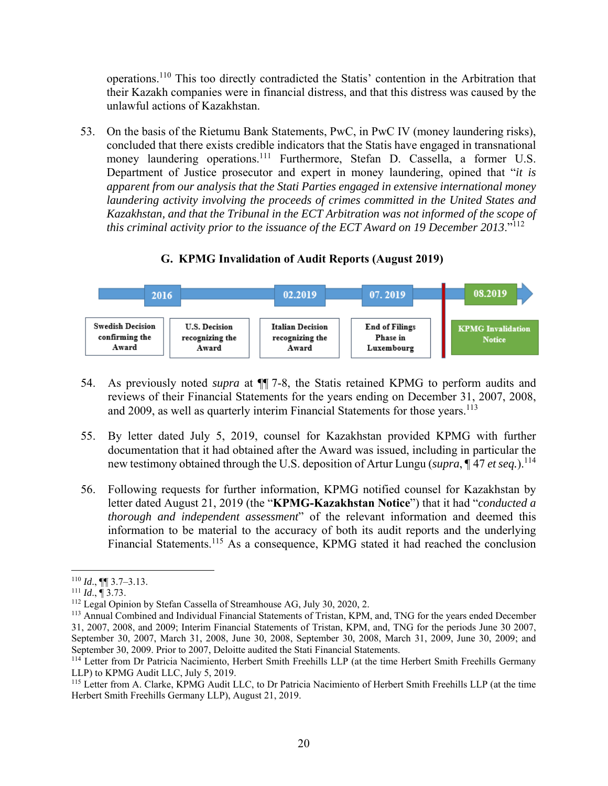operations.110 This too directly contradicted the Statis' contention in the Arbitration that their Kazakh companies were in financial distress, and that this distress was caused by the unlawful actions of Kazakhstan.

53. On the basis of the Rietumu Bank Statements, PwC, in PwC IV (money laundering risks), concluded that there exists credible indicators that the Statis have engaged in transnational money laundering operations.<sup>111</sup> Furthermore, Stefan D. Cassella, a former U.S. Department of Justice prosecutor and expert in money laundering, opined that "*it is apparent from our analysis that the Stati Parties engaged in extensive international money laundering activity involving the proceeds of crimes committed in the United States and Kazakhstan, and that the Tribunal in the ECT Arbitration was not informed of the scope of this criminal activity prior to the issuance of the ECT Award on 19 December 2013*."<sup>112</sup>

#### 08.2019 02.2019 07.2019 2016 **Swedish Decision End of Filings U.S. Decision Italian Decision KPMG** Invalidation confirming the recognizing the recognizing the Phase in **Notice** Award Award Award Luxembourg

# **G. KPMG Invalidation of Audit Reports (August 2019)**

- 54. As previously noted *supra* at ¶¶ 7-8, the Statis retained KPMG to perform audits and reviews of their Financial Statements for the years ending on December 31, 2007, 2008, and 2009, as well as quarterly interim Financial Statements for those years.<sup>113</sup>
- 55. By letter dated July 5, 2019, counsel for Kazakhstan provided KPMG with further documentation that it had obtained after the Award was issued, including in particular the new testimony obtained through the U.S. deposition of Artur Lungu (*supra*, ¶ 47 *et seq.*).<sup>114</sup>
- 56. Following requests for further information, KPMG notified counsel for Kazakhstan by letter dated August 21, 2019 (the "**KPMG-Kazakhstan Notice**") that it had "*conducted a thorough and independent assessment*" of the relevant information and deemed this information to be material to the accuracy of both its audit reports and the underlying Financial Statements.<sup>115</sup> As a consequence, KPMG stated it had reached the conclusion

<sup>110</sup> *Id.*, **[1]** 3.7–3.13.<br><sup>111</sup> *Id.*, **[1** 3.73.]<br><sup>112</sup> Legal Opinion by Stefan Cassella of Streamhouse AG, July 30, 2020, 2.

<sup>&</sup>lt;sup>113</sup> Annual Combined and Individual Financial Statements of Tristan, KPM, and, TNG for the years ended December 31, 2007, 2008, and 2009; Interim Financial Statements of Tristan, KPM, and, TNG for the periods June 30 2007, September 30, 2007, March 31, 2008, June 30, 2008, September 30, 2008, March 31, 2009, June 30, 2009; and September 30, 2009. Prior to 2007, Deloitte audited the Stati Financial Statements.

<sup>&</sup>lt;sup>114</sup> Letter from Dr Patricia Nacimiento, Herbert Smith Freehills LLP (at the time Herbert Smith Freehills Germany LLP) to KPMG Audit LLC, July 5, 2019.

<sup>&</sup>lt;sup>115</sup> Letter from A. Clarke, KPMG Audit LLC, to Dr Patricia Nacimiento of Herbert Smith Freehills LLP (at the time Herbert Smith Freehills Germany LLP), August 21, 2019.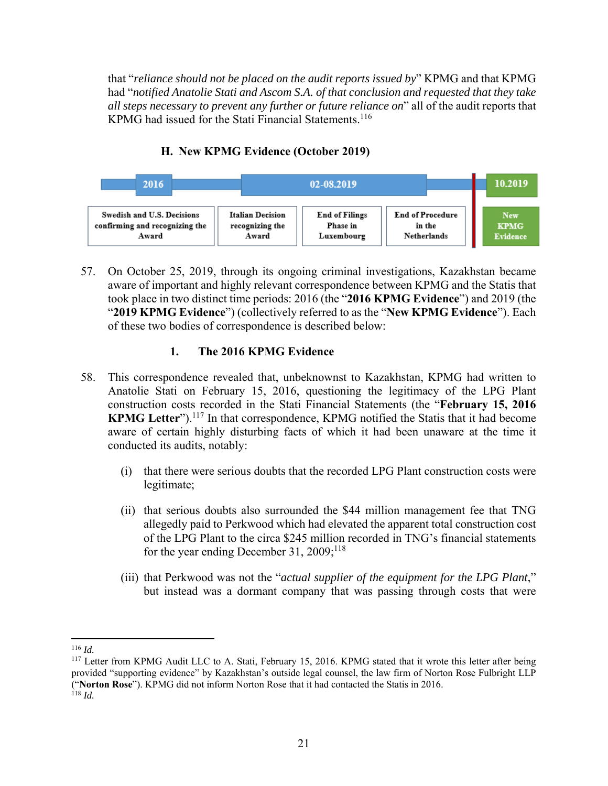that "*reliance should not be placed on the audit reports issued by*" KPMG and that KPMG had "*notified Anatolie Stati and Ascom S.A. of that conclusion and requested that they take all steps necessary to prevent any further or future reliance on*" all of the audit reports that KPMG had issued for the Stati Financial Statements.<sup>116</sup>



# **H. New KPMG Evidence (October 2019)**

57. On October 25, 2019, through its ongoing criminal investigations, Kazakhstan became aware of important and highly relevant correspondence between KPMG and the Statis that took place in two distinct time periods: 2016 (the "**2016 KPMG Evidence**") and 2019 (the "**2019 KPMG Evidence**") (collectively referred to as the "**New KPMG Evidence**"). Each of these two bodies of correspondence is described below:

# **1. The 2016 KPMG Evidence**

- 58. This correspondence revealed that, unbeknownst to Kazakhstan, KPMG had written to Anatolie Stati on February 15, 2016, questioning the legitimacy of the LPG Plant construction costs recorded in the Stati Financial Statements (the "**February 15, 2016**  KPMG Letter").<sup>117</sup> In that correspondence, KPMG notified the Statis that it had become aware of certain highly disturbing facts of which it had been unaware at the time it conducted its audits, notably:
	- (i) that there were serious doubts that the recorded LPG Plant construction costs were legitimate;
	- (ii) that serious doubts also surrounded the \$44 million management fee that TNG allegedly paid to Perkwood which had elevated the apparent total construction cost of the LPG Plant to the circa \$245 million recorded in TNG's financial statements for the year ending December 31,  $2009;^{118}$
	- (iii) that Perkwood was not the "*actual supplier of the equipment for the LPG Plant*," but instead was a dormant company that was passing through costs that were

 <sup>116</sup> *Id.* 

<sup>&</sup>lt;sup>117</sup> Letter from KPMG Audit LLC to A. Stati, February 15, 2016. KPMG stated that it wrote this letter after being provided "supporting evidence" by Kazakhstan's outside legal counsel, the law firm of Norton Rose Fulbright LLP ("**Norton Rose**"). KPMG did not inform Norton Rose that it had contacted the Statis in 2016. <sup>118</sup> *Id.*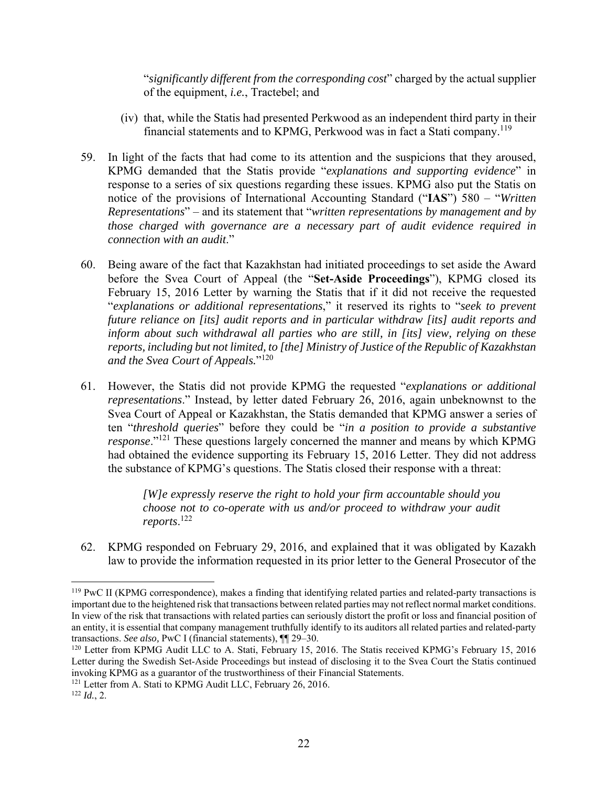"*significantly different from the corresponding cost*" charged by the actual supplier of the equipment, *i.e.*, Tractebel; and

- (iv) that, while the Statis had presented Perkwood as an independent third party in their financial statements and to KPMG, Perkwood was in fact a Stati company.<sup>119</sup>
- 59. In light of the facts that had come to its attention and the suspicions that they aroused, KPMG demanded that the Statis provide "*explanations and supporting evidence*" in response to a series of six questions regarding these issues. KPMG also put the Statis on notice of the provisions of International Accounting Standard ("**IAS**") 580 – "*Written Representations*" – and its statement that "*written representations by management and by those charged with governance are a necessary part of audit evidence required in connection with an audit*."
- 60. Being aware of the fact that Kazakhstan had initiated proceedings to set aside the Award before the Svea Court of Appeal (the "**Set-Aside Proceedings**"), KPMG closed its February 15, 2016 Letter by warning the Statis that if it did not receive the requested "*explanations or additional representations*," it reserved its rights to "*seek to prevent future reliance on [its] audit reports and in particular withdraw [its] audit reports and inform about such withdrawal all parties who are still, in [its] view, relying on these reports, including but not limited, to [the] Ministry of Justice of the Republic of Kazakhstan and the Svea Court of Appeals.*"120
- 61. However, the Statis did not provide KPMG the requested "*explanations or additional representations*." Instead, by letter dated February 26, 2016, again unbeknownst to the Svea Court of Appeal or Kazakhstan, the Statis demanded that KPMG answer a series of ten "*threshold queries*" before they could be "*in a position to provide a substantive response*."121 These questions largely concerned the manner and means by which KPMG had obtained the evidence supporting its February 15, 2016 Letter. They did not address the substance of KPMG's questions. The Statis closed their response with a threat:

*[W]e expressly reserve the right to hold your firm accountable should you choose not to co-operate with us and/or proceed to withdraw your audit reports*. 122

62. KPMG responded on February 29, 2016, and explained that it was obligated by Kazakh law to provide the information requested in its prior letter to the General Prosecutor of the

<sup>&</sup>lt;sup>119</sup> PwC II (KPMG correspondence), makes a finding that identifying related parties and related-party transactions is important due to the heightened risk that transactions between related parties may not reflect normal market conditions. In view of the risk that transactions with related parties can seriously distort the profit or loss and financial position of an entity, it is essential that company management truthfully identify to its auditors all related parties and related-party transactions. *See also,* PwC I (financial statements), ¶¶ 29–30.

<sup>&</sup>lt;sup>120</sup> Letter from KPMG Audit LLC to A. Stati, February 15, 2016. The Statis received KPMG's February 15, 2016 Letter during the Swedish Set-Aside Proceedings but instead of disclosing it to the Svea Court the Statis continued invoking KPMG as a guarantor of the trustworthiness of their Financial Statements. 121 Letter from A. Stati to KPMG Audit LLC, February 26, 2016. 122 *Id.*, 2.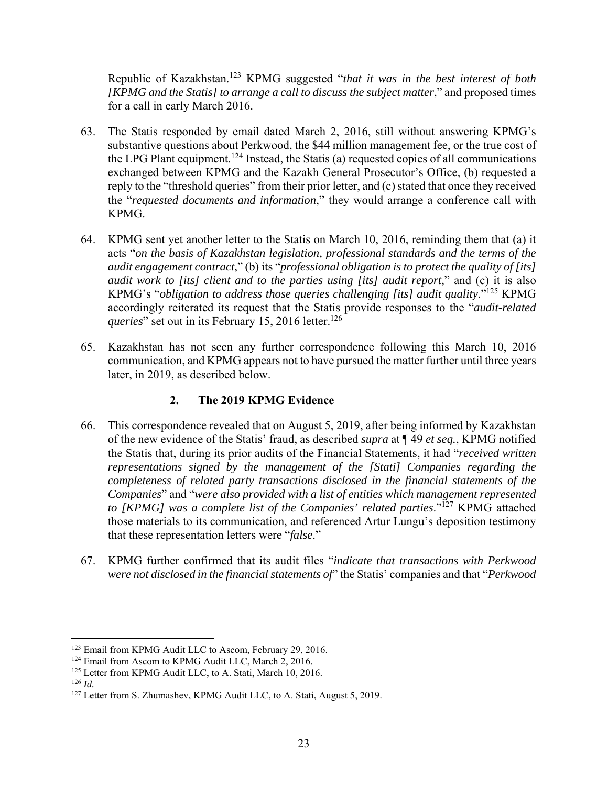Republic of Kazakhstan.123 KPMG suggested "*that it was in the best interest of both [KPMG and the Statis] to arrange a call to discuss the subject matter*," and proposed times for a call in early March 2016.

- 63. The Statis responded by email dated March 2, 2016, still without answering KPMG's substantive questions about Perkwood, the \$44 million management fee, or the true cost of the LPG Plant equipment.<sup>124</sup> Instead, the Statis (a) requested copies of all communications exchanged between KPMG and the Kazakh General Prosecutor's Office, (b) requested a reply to the "threshold queries" from their prior letter, and (c) stated that once they received the "*requested documents and information*," they would arrange a conference call with KPMG.
- 64. KPMG sent yet another letter to the Statis on March 10, 2016, reminding them that (a) it acts "*on the basis of Kazakhstan legislation, professional standards and the terms of the audit engagement contract*," (b) its "*professional obligation is to protect the quality of [its] audit work to [its] client and to the parties using [its] audit report*," and (c) it is also KPMG's "*obligation to address those queries challenging [its] audit quality*."125 KPMG accordingly reiterated its request that the Statis provide responses to the "*audit-related queries*" set out in its February 15, 2016 letter.<sup>126</sup>
- 65. Kazakhstan has not seen any further correspondence following this March 10, 2016 communication, and KPMG appears not to have pursued the matter further until three years later, in 2019, as described below.

# **2. The 2019 KPMG Evidence**

- 66. This correspondence revealed that on August 5, 2019, after being informed by Kazakhstan of the new evidence of the Statis' fraud, as described *supra* at ¶ 49 *et seq.*, KPMG notified the Statis that, during its prior audits of the Financial Statements, it had "*received written representations signed by the management of the [Stati] Companies regarding the completeness of related party transactions disclosed in the financial statements of the Companies*" and "*were also provided with a list of entities which management represented to [KPMG] was a complete list of the Companies' related parties*."127 KPMG attached those materials to its communication, and referenced Artur Lungu's deposition testimony that these representation letters were "*false*."
- 67. KPMG further confirmed that its audit files "*indicate that transactions with Perkwood were not disclosed in the financial statements of*" the Statis' companies and that "*Perkwood*

<sup>&</sup>lt;sup>123</sup> Email from KPMG Audit LLC to Ascom, February 29, 2016.<br><sup>124</sup> Email from Ascom to KPMG Audit LLC, March 2, 2016.

<sup>&</sup>lt;sup>125</sup> Letter from KPMG Audit LLC, to A. Stati, March 10, 2016.

<sup>126</sup> *Id.*

<sup>&</sup>lt;sup>127</sup> Letter from S. Zhumashev, KPMG Audit LLC, to A. Stati, August 5, 2019.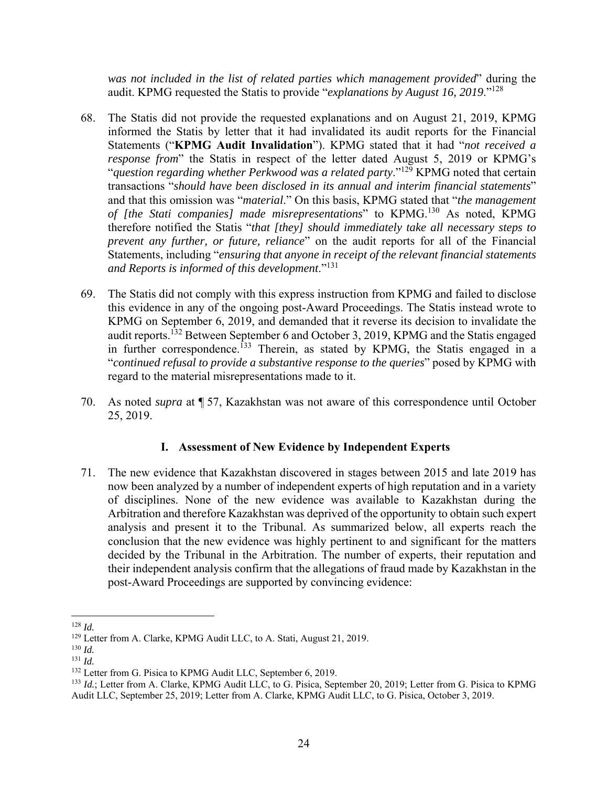*was not included in the list of related parties which management provided*" during the audit. KPMG requested the Statis to provide "*explanations by August 16, 2019*."<sup>128</sup>

- 68. The Statis did not provide the requested explanations and on August 21, 2019, KPMG informed the Statis by letter that it had invalidated its audit reports for the Financial Statements ("**KPMG Audit Invalidation**"). KPMG stated that it had "*not received a response from*" the Statis in respect of the letter dated August 5, 2019 or KPMG's "*question regarding whether Perkwood was a related party*."129 KPMG noted that certain transactions "*should have been disclosed in its annual and interim financial statements*" and that this omission was "*material*." On this basis, KPMG stated that "*the management of [the Stati companies] made misrepresentations*" to KPMG.130 As noted, KPMG therefore notified the Statis "*that [they] should immediately take all necessary steps to prevent any further, or future, reliance*" on the audit reports for all of the Financial Statements, including "*ensuring that anyone in receipt of the relevant financial statements and Reports is informed of this development*."<sup>131</sup>
- 69. The Statis did not comply with this express instruction from KPMG and failed to disclose this evidence in any of the ongoing post-Award Proceedings. The Statis instead wrote to KPMG on September 6, 2019, and demanded that it reverse its decision to invalidate the audit reports.<sup>132</sup> Between September 6 and October 3, 2019, KPMG and the Statis engaged in further correspondence.<sup>133</sup> Therein, as stated by KPMG, the Statis engaged in a "*continued refusal to provide a substantive response to the queries*" posed by KPMG with regard to the material misrepresentations made to it.
- 70. As noted *supra* at ¶ 57, Kazakhstan was not aware of this correspondence until October 25, 2019.

## **I. Assessment of New Evidence by Independent Experts**

71. The new evidence that Kazakhstan discovered in stages between 2015 and late 2019 has now been analyzed by a number of independent experts of high reputation and in a variety of disciplines. None of the new evidence was available to Kazakhstan during the Arbitration and therefore Kazakhstan was deprived of the opportunity to obtain such expert analysis and present it to the Tribunal. As summarized below, all experts reach the conclusion that the new evidence was highly pertinent to and significant for the matters decided by the Tribunal in the Arbitration. The number of experts, their reputation and their independent analysis confirm that the allegations of fraud made by Kazakhstan in the post-Award Proceedings are supported by convincing evidence:

 <sup>128</sup> *Id.* 

<sup>&</sup>lt;sup>129</sup> Letter from A. Clarke, KPMG Audit LLC, to A. Stati, August 21, 2019.

<sup>130</sup> *Id.*

<sup>131</sup> *Id.*

<sup>&</sup>lt;sup>132</sup> Letter from G. Pisica to KPMG Audit LLC, September 6, 2019.

<sup>133</sup> *Id.*; Letter from A. Clarke, KPMG Audit LLC, to G. Pisica, September 20, 2019; Letter from G. Pisica to KPMG Audit LLC, September 25, 2019; Letter from A. Clarke, KPMG Audit LLC, to G. Pisica, October 3, 2019.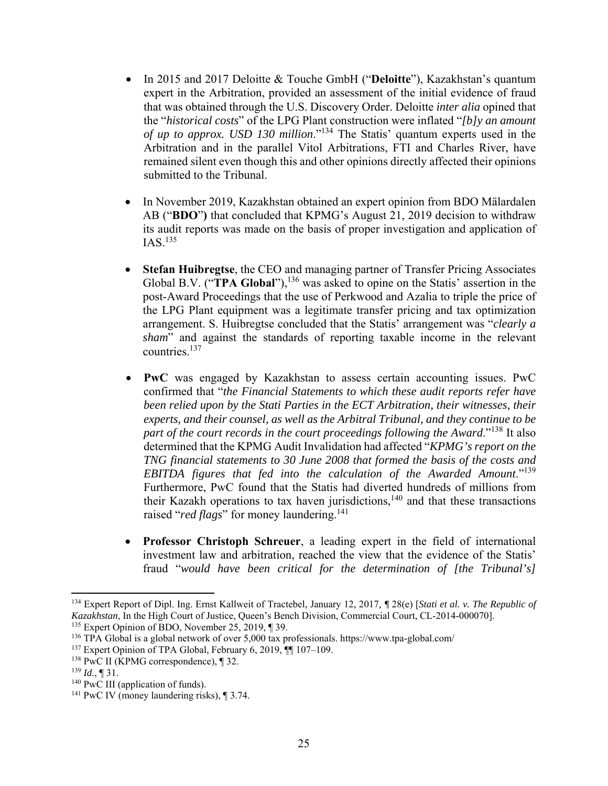- In 2015 and 2017 Deloitte & Touche GmbH ("**Deloitte**"), Kazakhstan's quantum expert in the Arbitration, provided an assessment of the initial evidence of fraud that was obtained through the U.S. Discovery Order. Deloitte *inter alia* opined that the "*historical costs*" of the LPG Plant construction were inflated "*[b]y an amount of up to approx. USD 130 million*."134 The Statis' quantum experts used in the Arbitration and in the parallel Vitol Arbitrations, FTI and Charles River, have remained silent even though this and other opinions directly affected their opinions submitted to the Tribunal.
- In November 2019, Kazakhstan obtained an expert opinion from BDO Mälardalen AB ("**BDO**"**)** that concluded that KPMG's August 21, 2019 decision to withdraw its audit reports was made on the basis of proper investigation and application of  $IAS.135$
- **Stefan Huibregtse**, the CEO and managing partner of Transfer Pricing Associates Global B.V. ("**TPA Global**"),<sup>136</sup> was asked to opine on the Statis' assertion in the post-Award Proceedings that the use of Perkwood and Azalia to triple the price of the LPG Plant equipment was a legitimate transfer pricing and tax optimization arrangement. S. Huibregtse concluded that the Statis' arrangement was "*clearly a sham*" and against the standards of reporting taxable income in the relevant countries.137
- **PwC** was engaged by Kazakhstan to assess certain accounting issues. PwC confirmed that "*the Financial Statements to which these audit reports refer have been relied upon by the Stati Parties in the ECT Arbitration, their witnesses, their experts, and their counsel, as well as the Arbitral Tribunal, and they continue to be part of the court records in the court proceedings following the Award*."138 It also determined that the KPMG Audit Invalidation had affected "*KPMG's report on the TNG financial statements to 30 June 2008 that formed the basis of the costs and EBITDA figures that fed into the calculation of the Awarded Amount*."139 Furthermore, PwC found that the Statis had diverted hundreds of millions from their Kazakh operations to tax haven jurisdictions,<sup>140</sup> and that these transactions raised "*red flags*" for money laundering.<sup>141</sup>
- **Professor Christoph Schreuer**, a leading expert in the field of international investment law and arbitration, reached the view that the evidence of the Statis' fraud "*would have been critical for the determination of [the Tribunal's]*

<sup>134</sup> Expert Report of Dipl. Ing. Ernst Kallweit of Tractebel, January 12, 2017*, ¶* 28(e) [*Stati et al. v. The Republic of Kazakhstan*, In the High Court of Justice, Queen's Bench Division, Commercial Court, CL-2014-000070]. 135 Expert Opinion of BDO, November 25, 2019, ¶ 39.

<sup>136</sup> TPA Global is a global network of over 5,000 tax professionals. https://www.tpa-global.com/

<sup>137</sup> Expert Opinion of TPA Global, February 6, 2019, ¶¶ 107–109.

<sup>138</sup> PwC II (KPMG correspondence), ¶ 32.

 $^{139}$  *Id.*, ¶ 31.

<sup>&</sup>lt;sup>140</sup> PwC III (application of funds).<br><sup>141</sup> PwC IV (money laundering risks),  $\P$  3.74.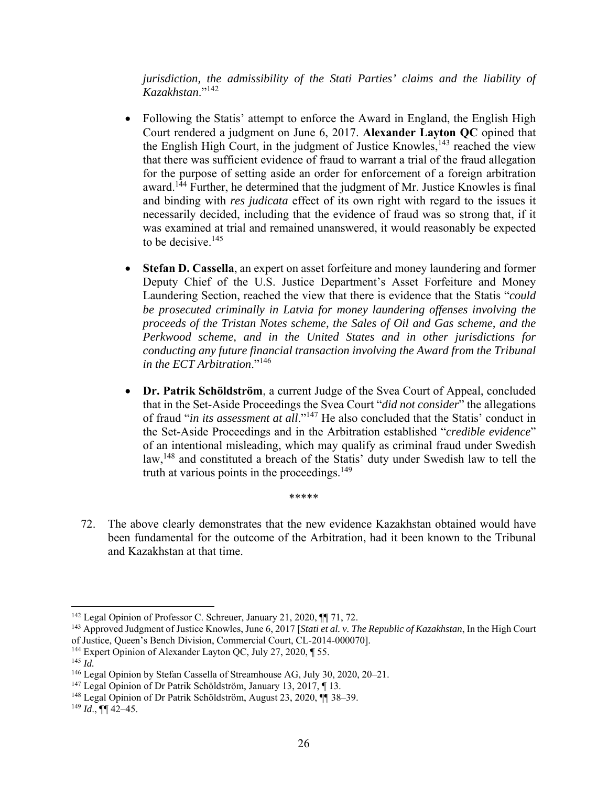*jurisdiction, the admissibility of the Stati Parties' claims and the liability of Kazakhstan*."<sup>142</sup>

- Following the Statis' attempt to enforce the Award in England, the English High Court rendered a judgment on June 6, 2017. **Alexander Layton QC** opined that the English High Court, in the judgment of Justice Knowles,  $143$  reached the view that there was sufficient evidence of fraud to warrant a trial of the fraud allegation for the purpose of setting aside an order for enforcement of a foreign arbitration award.144 Further, he determined that the judgment of Mr. Justice Knowles is final and binding with *res judicata* effect of its own right with regard to the issues it necessarily decided, including that the evidence of fraud was so strong that, if it was examined at trial and remained unanswered, it would reasonably be expected to be decisive.<sup>145</sup>
- **Stefan D. Cassella**, an expert on asset forfeiture and money laundering and former Deputy Chief of the U.S. Justice Department's Asset Forfeiture and Money Laundering Section, reached the view that there is evidence that the Statis "*could be prosecuted criminally in Latvia for money laundering offenses involving the proceeds of the Tristan Notes scheme, the Sales of Oil and Gas scheme, and the Perkwood scheme, and in the United States and in other jurisdictions for conducting any future financial transaction involving the Award from the Tribunal in the ECT Arbitration*."<sup>146</sup>
- **Dr. Patrik Schöldström**, a current Judge of the Svea Court of Appeal, concluded that in the Set-Aside Proceedings the Svea Court "*did not consider*" the allegations of fraud "*in its assessment at all*."147 He also concluded that the Statis' conduct in the Set-Aside Proceedings and in the Arbitration established "*credible evidence*" of an intentional misleading, which may qualify as criminal fraud under Swedish law,<sup>148</sup> and constituted a breach of the Statis' duty under Swedish law to tell the truth at various points in the proceedings. $149$
- 72. The above clearly demonstrates that the new evidence Kazakhstan obtained would have been fundamental for the outcome of the Arbitration, had it been known to the Tribunal and Kazakhstan at that time.

\*\*\*\*\*

<sup>&</sup>lt;sup>142</sup> Legal Opinion of Professor C. Schreuer, January 21, 2020, ¶ 71, 72.

<sup>143</sup> Approved Judgment of Justice Knowles, June 6, 2017 [*Stati et al. v. The Republic of Kazakhstan*, In the High Court of Justice, Queen's Bench Division, Commercial Court, CL-2014-000070]. 144 Expert Opinion of Alexander Layton QC, July 27, 2020, ¶ 55.

<sup>145</sup> *Id.*

<sup>&</sup>lt;sup>146</sup> Legal Opinion by Stefan Cassella of Streamhouse AG, July 30, 2020, 20–21.<br><sup>147</sup> Legal Opinion of Dr Patrik Schöldström, January 13, 2017, ¶ 13.

<sup>&</sup>lt;sup>148</sup> Legal Opinion of Dr Patrik Schöldström, August 23, 2020, ¶¶ 38–39.

 $^{149}$  *Id.*, ¶[ 42–45.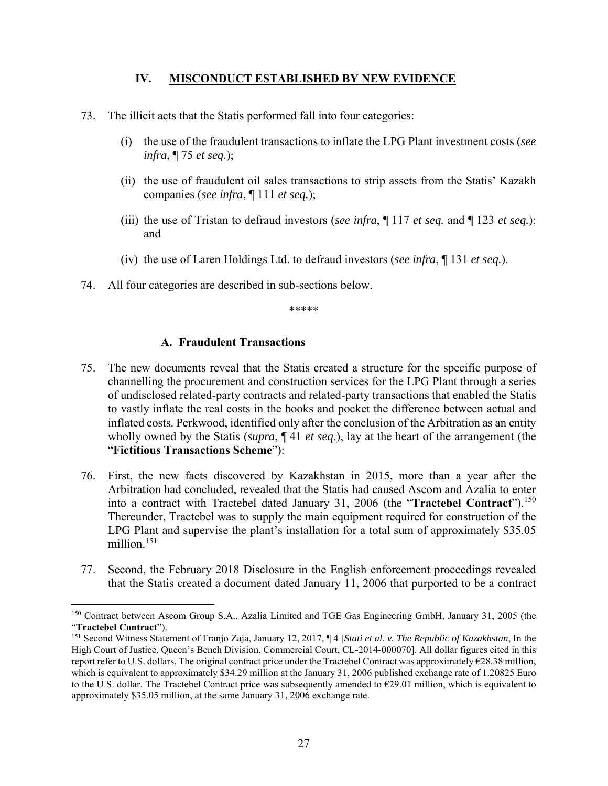#### **IV. MISCONDUCT ESTABLISHED BY NEW EVIDENCE**

- 73. The illicit acts that the Statis performed fall into four categories:
	- (i) the use of the fraudulent transactions to inflate the LPG Plant investment costs (*see infra*, ¶ 75 *et seq.*);
	- (ii) the use of fraudulent oil sales transactions to strip assets from the Statis' Kazakh companies (*see infra*, ¶ 111 *et seq.*);
	- (iii) the use of Tristan to defraud investors (*see infra*, ¶ 117 *et seq.* and ¶ 123 *et seq.*); and
	- (iv) the use of Laren Holdings Ltd. to defraud investors (*see infra*, ¶ 131 *et seq.*).
- 74. All four categories are described in sub-sections below.

\*\*\*\*\*

#### **A. Fraudulent Transactions**

- 75. The new documents reveal that the Statis created a structure for the specific purpose of channelling the procurement and construction services for the LPG Plant through a series of undisclosed related-party contracts and related-party transactions that enabled the Statis to vastly inflate the real costs in the books and pocket the difference between actual and inflated costs. Perkwood, identified only after the conclusion of the Arbitration as an entity wholly owned by the Statis (*supra*, ¶ 41 *et seq*.), lay at the heart of the arrangement (the "**Fictitious Transactions Scheme**"):
- 76. First, the new facts discovered by Kazakhstan in 2015, more than a year after the Arbitration had concluded, revealed that the Statis had caused Ascom and Azalia to enter into a contract with Tractebel dated January 31, 2006 (the "**Tractebel Contract**").<sup>150</sup> Thereunder, Tractebel was to supply the main equipment required for construction of the LPG Plant and supervise the plant's installation for a total sum of approximately \$35.05 million.<sup>151</sup>
- 77. Second, the February 2018 Disclosure in the English enforcement proceedings revealed that the Statis created a document dated January 11, 2006 that purported to be a contract

<sup>150</sup> Contract between Ascom Group S.A., Azalia Limited and TGE Gas Engineering GmbH, January 31, 2005 (the "**Tractebel Contract**").

<sup>151</sup> Second Witness Statement of Franjo Zaja, January 12, 2017, ¶ 4 [*Stati et al. v. The Republic of Kazakhstan*, In the High Court of Justice, Queen's Bench Division, Commercial Court, CL-2014-000070]. All dollar figures cited in this report refer to U.S. dollars. The original contract price under the Tractebel Contract was approximately €28.38 million, which is equivalent to approximately \$34.29 million at the January 31, 2006 published exchange rate of 1.20825 Euro to the U.S. dollar. The Tractebel Contract price was subsequently amended to  $\epsilon$ 29.01 million, which is equivalent to approximately \$35.05 million, at the same January 31, 2006 exchange rate.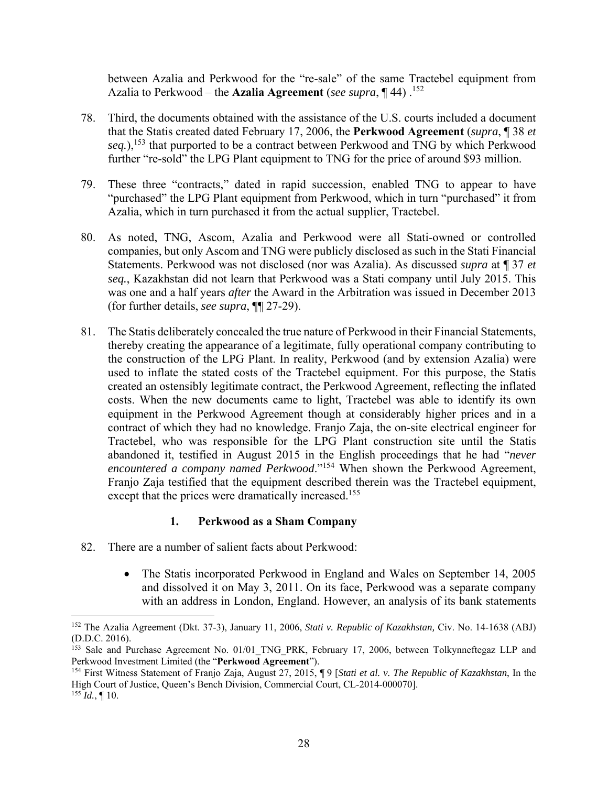between Azalia and Perkwood for the "re-sale" of the same Tractebel equipment from Azalia to Perkwood – the **Azalia Agreement** (*see supra*, **[44**) .<sup>152</sup>

- 78. Third, the documents obtained with the assistance of the U.S. courts included a document that the Statis created dated February 17, 2006, the **Perkwood Agreement** (*supra*, ¶ 38 *et*  seq.),<sup>153</sup> that purported to be a contract between Perkwood and TNG by which Perkwood further "re-sold" the LPG Plant equipment to TNG for the price of around \$93 million.
- 79. These three "contracts," dated in rapid succession, enabled TNG to appear to have "purchased" the LPG Plant equipment from Perkwood, which in turn "purchased" it from Azalia, which in turn purchased it from the actual supplier, Tractebel.
- 80. As noted, TNG, Ascom, Azalia and Perkwood were all Stati-owned or controlled companies, but only Ascom and TNG were publicly disclosed as such in the Stati Financial Statements. Perkwood was not disclosed (nor was Azalia). As discussed *supra* at ¶ 37 *et seq.*, Kazakhstan did not learn that Perkwood was a Stati company until July 2015. This was one and a half years *after* the Award in the Arbitration was issued in December 2013 (for further details, *see supra*, ¶¶ 27-29).
- 81. The Statis deliberately concealed the true nature of Perkwood in their Financial Statements, thereby creating the appearance of a legitimate, fully operational company contributing to the construction of the LPG Plant. In reality, Perkwood (and by extension Azalia) were used to inflate the stated costs of the Tractebel equipment. For this purpose, the Statis created an ostensibly legitimate contract, the Perkwood Agreement, reflecting the inflated costs. When the new documents came to light, Tractebel was able to identify its own equipment in the Perkwood Agreement though at considerably higher prices and in a contract of which they had no knowledge. Franjo Zaja, the on-site electrical engineer for Tractebel, who was responsible for the LPG Plant construction site until the Statis abandoned it, testified in August 2015 in the English proceedings that he had "*never encountered a company named Perkwood*."154 When shown the Perkwood Agreement, Franjo Zaja testified that the equipment described therein was the Tractebel equipment, except that the prices were dramatically increased.<sup>155</sup>

## **1. Perkwood as a Sham Company**

- 82. There are a number of salient facts about Perkwood:
	- The Statis incorporated Perkwood in England and Wales on September 14, 2005 and dissolved it on May 3, 2011. On its face, Perkwood was a separate company with an address in London, England. However, an analysis of its bank statements

<sup>152</sup> The Azalia Agreement (Dkt. 37-3), January 11, 2006, *Stati v. Republic of Kazakhstan,* Civ. No. 14-1638 (ABJ) (D.D.C. 2016).

<sup>&</sup>lt;sup>153</sup> Sale and Purchase Agreement No. 01/01\_TNG\_PRK, February 17, 2006, between Tolkynneftegaz LLP and Perkwood Investment Limited (the "**Perkwood Agreement**").

<sup>154</sup> First Witness Statement of Franjo Zaja, August 27, 2015, ¶ 9 [*Stati et al. v. The Republic of Kazakhstan*, In the High Court of Justice, Queen's Bench Division, Commercial Court, CL-2014-000070].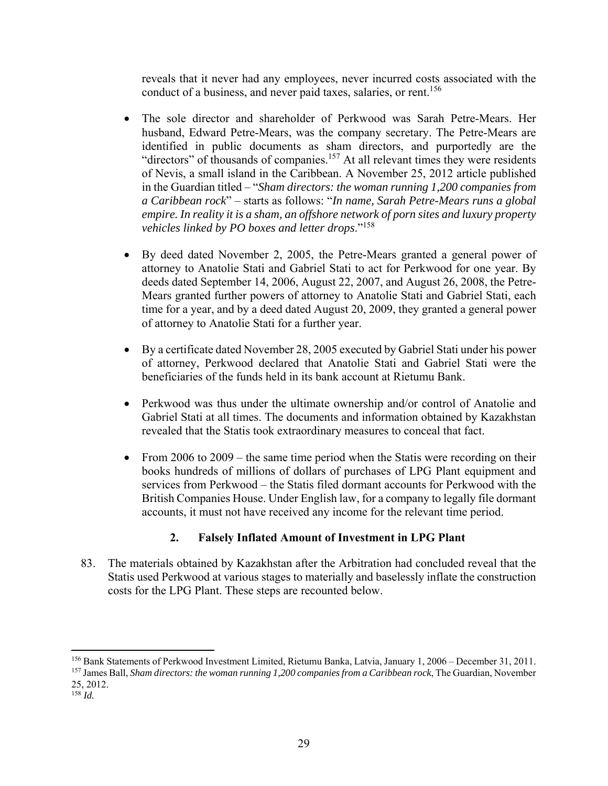reveals that it never had any employees, never incurred costs associated with the conduct of a business, and never paid taxes, salaries, or rent.<sup>156</sup>

- The sole director and shareholder of Perkwood was Sarah Petre-Mears. Her husband, Edward Petre-Mears, was the company secretary. The Petre-Mears are identified in public documents as sham directors, and purportedly are the "directors" of thousands of companies.<sup>157</sup> At all relevant times they were residents of Nevis, a small island in the Caribbean. A November 25, 2012 article published in the Guardian titled – "*Sham directors: the woman running 1,200 companies from a Caribbean rock*" – starts as follows: "*In name, Sarah Petre-Mears runs a global empire. In reality it is a sham, an offshore network of porn sites and luxury property vehicles linked by PO boxes and letter drops*."158
- By deed dated November 2, 2005, the Petre-Mears granted a general power of attorney to Anatolie Stati and Gabriel Stati to act for Perkwood for one year. By deeds dated September 14, 2006, August 22, 2007, and August 26, 2008, the Petre-Mears granted further powers of attorney to Anatolie Stati and Gabriel Stati, each time for a year, and by a deed dated August 20, 2009, they granted a general power of attorney to Anatolie Stati for a further year.
- By a certificate dated November 28, 2005 executed by Gabriel Stati under his power of attorney, Perkwood declared that Anatolie Stati and Gabriel Stati were the beneficiaries of the funds held in its bank account at Rietumu Bank.
- Perkwood was thus under the ultimate ownership and/or control of Anatolie and Gabriel Stati at all times. The documents and information obtained by Kazakhstan revealed that the Statis took extraordinary measures to conceal that fact.
- From 2006 to 2009 the same time period when the Statis were recording on their books hundreds of millions of dollars of purchases of LPG Plant equipment and services from Perkwood – the Statis filed dormant accounts for Perkwood with the British Companies House. Under English law, for a company to legally file dormant accounts, it must not have received any income for the relevant time period.

# **2. Falsely Inflated Amount of Investment in LPG Plant**

83. The materials obtained by Kazakhstan after the Arbitration had concluded reveal that the Statis used Perkwood at various stages to materially and baselessly inflate the construction costs for the LPG Plant. These steps are recounted below.

<sup>156</sup> Bank Statements of Perkwood Investment Limited, Rietumu Banka, Latvia, January 1, 2006 – December 31, 2011.

<sup>157</sup> James Ball, *Sham directors: the woman running 1,200 companies from a Caribbean rock*, The Guardian, November 25, 2012.

<sup>158</sup> *Id.*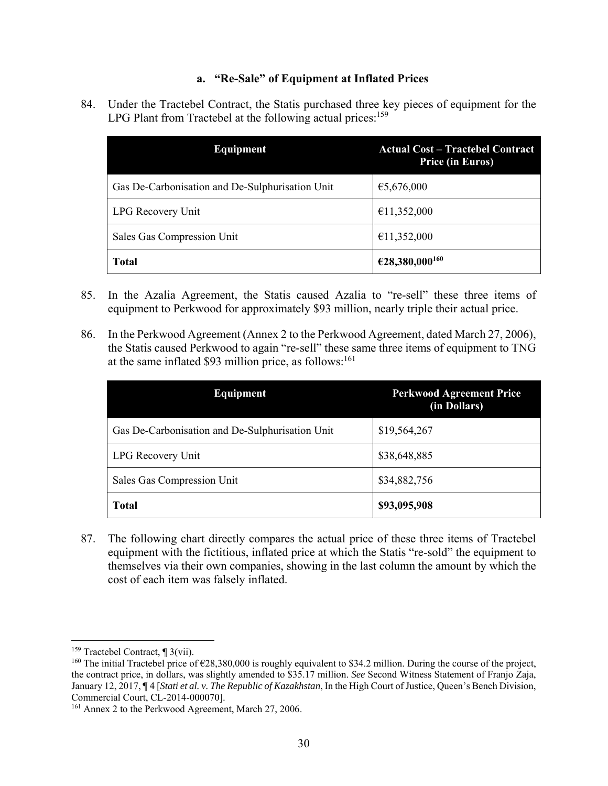## **a. "Re-Sale" of Equipment at Inflated Prices**

84. Under the Tractebel Contract, the Statis purchased three key pieces of equipment for the LPG Plant from Tractebel at the following actual prices:  $159$ 

| <b>Equipment</b>                                | <b>Actual Cost – Tractebel Contract</b><br><b>Price (in Euros)</b> |
|-------------------------------------------------|--------------------------------------------------------------------|
| Gas De-Carbonisation and De-Sulphurisation Unit | €5,676,000                                                         |
| LPG Recovery Unit                               | €11,352,000                                                        |
| Sales Gas Compression Unit                      | €11,352,000                                                        |
| <b>Total</b>                                    | €28,380,000 <sup>160</sup>                                         |

- 85. In the Azalia Agreement, the Statis caused Azalia to "re-sell" these three items of equipment to Perkwood for approximately \$93 million, nearly triple their actual price.
- 86. In the Perkwood Agreement (Annex 2 to the Perkwood Agreement, dated March 27, 2006), the Statis caused Perkwood to again "re-sell" these same three items of equipment to TNG at the same inflated \$93 million price, as follows: $161$

| <b>Equipment</b>                                | <b>Perkwood Agreement Price</b><br>(in Dollars) |
|-------------------------------------------------|-------------------------------------------------|
| Gas De-Carbonisation and De-Sulphurisation Unit | \$19,564,267                                    |
| LPG Recovery Unit                               | \$38,648,885                                    |
| Sales Gas Compression Unit                      | \$34,882,756                                    |
| <b>Total</b>                                    | \$93,095,908                                    |

87. The following chart directly compares the actual price of these three items of Tractebel equipment with the fictitious, inflated price at which the Statis "re-sold" the equipment to themselves via their own companies, showing in the last column the amount by which the cost of each item was falsely inflated.

 159 Tractebel Contract, ¶ 3(vii).

<sup>&</sup>lt;sup>160</sup> The initial Tractebel price of  $\epsilon$ 28,380,000 is roughly equivalent to \$34.2 million. During the course of the project, the contract price, in dollars, was slightly amended to \$35.17 million. *See* Second Witness Statement of Franjo Zaja, January 12, 2017, ¶ 4 [*Stati et al. v. The Republic of Kazakhstan*, In the High Court of Justice, Queen's Bench Division, Commercial Court, CL-2014-000070].

<sup>&</sup>lt;sup>161</sup> Annex 2 to the Perkwood Agreement, March 27, 2006.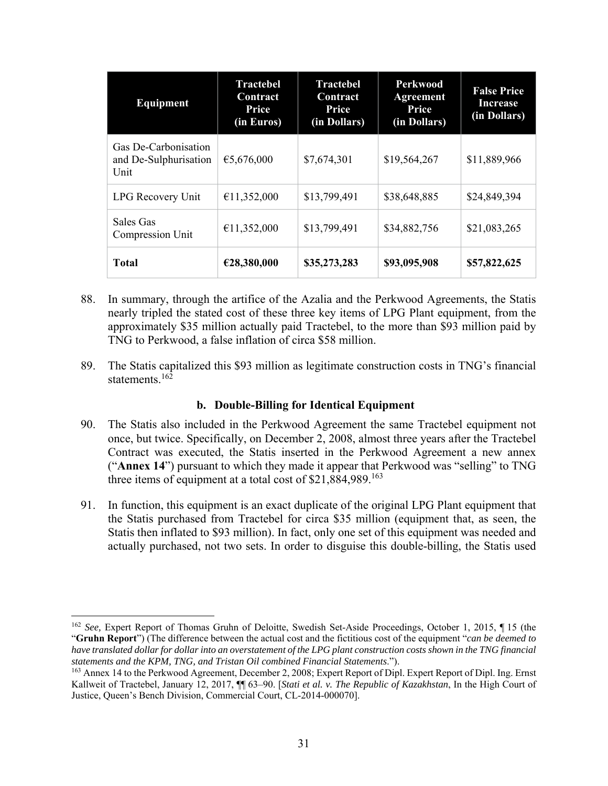| Equipment                                             | <b>Tractebel</b><br>Contract<br>Price<br>(in Euros) | <b>Tractebel</b><br>Contract<br>Price<br>(in Dollars) | <b>Perkwood</b><br><b>Agreement</b><br>Price<br>(in Dollars) | <b>False Price</b><br><b>Increase</b><br>(in Dollars) |
|-------------------------------------------------------|-----------------------------------------------------|-------------------------------------------------------|--------------------------------------------------------------|-------------------------------------------------------|
| Gas De-Carbonisation<br>and De-Sulphurisation<br>Unit | €5,676,000                                          | \$7,674,301                                           | \$19,564,267                                                 | \$11,889,966                                          |
| LPG Recovery Unit                                     | €11,352,000                                         | \$13,799,491                                          | \$38,648,885                                                 | \$24,849,394                                          |
| Sales Gas<br>Compression Unit                         | €11,352,000                                         | \$13,799,491                                          | \$34,882,756                                                 | \$21,083,265                                          |
| <b>Total</b>                                          | €28,380,000                                         | \$35,273,283                                          | \$93,095,908                                                 | \$57,822,625                                          |

- 88. In summary, through the artifice of the Azalia and the Perkwood Agreements, the Statis nearly tripled the stated cost of these three key items of LPG Plant equipment, from the approximately \$35 million actually paid Tractebel, to the more than \$93 million paid by TNG to Perkwood, a false inflation of circa \$58 million.
- 89. The Statis capitalized this \$93 million as legitimate construction costs in TNG's financial statements.162

## **b. Double-Billing for Identical Equipment**

- 90. The Statis also included in the Perkwood Agreement the same Tractebel equipment not once, but twice. Specifically, on December 2, 2008, almost three years after the Tractebel Contract was executed, the Statis inserted in the Perkwood Agreement a new annex ("**Annex 14**") pursuant to which they made it appear that Perkwood was "selling" to TNG three items of equipment at a total cost of  $$21,884,989$ <sup>163</sup>
- 91. In function, this equipment is an exact duplicate of the original LPG Plant equipment that the Statis purchased from Tractebel for circa \$35 million (equipment that, as seen, the Statis then inflated to \$93 million). In fact, only one set of this equipment was needed and actually purchased, not two sets. In order to disguise this double-billing, the Statis used

 <sup>162</sup> See, Expert Report of Thomas Gruhn of Deloitte, Swedish Set-Aside Proceedings, October 1, 2015, ¶15 (the "**Gruhn Report**") (The difference between the actual cost and the fictitious cost of the equipment "*can be deemed to have translated dollar for dollar into an overstatement of the LPG plant construction costs shown in the TNG financial statements and the KPM, TNG, and Tristan Oil combined Financial Statements*.").

<sup>163</sup> Annex 14 to the Perkwood Agreement, December 2, 2008; Expert Report of Dipl. Expert Report of Dipl. Ing. Ernst Kallweit of Tractebel, January 12, 2017, ¶¶ 63–90. [*Stati et al. v. The Republic of Kazakhstan*, In the High Court of Justice, Queen's Bench Division, Commercial Court, CL-2014-000070].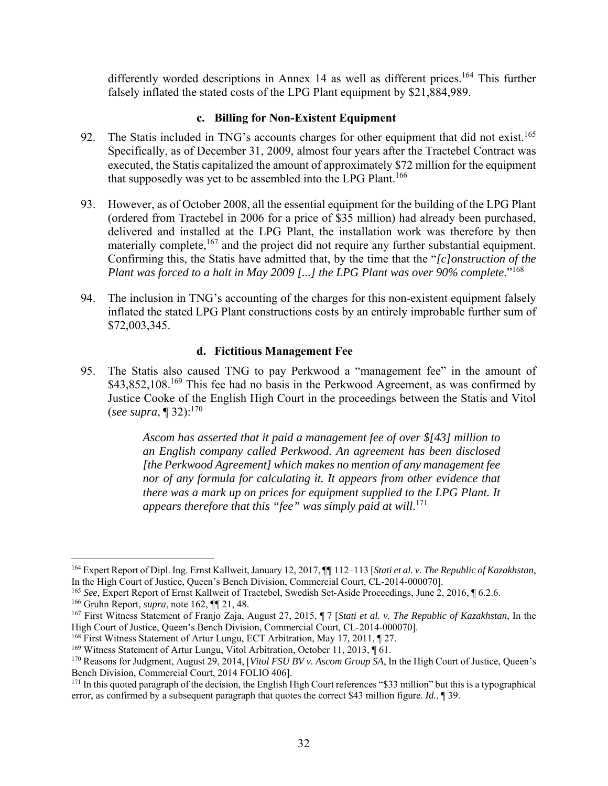differently worded descriptions in Annex 14 as well as different prices.<sup>164</sup> This further falsely inflated the stated costs of the LPG Plant equipment by \$21,884,989.

#### **c. Billing for Non-Existent Equipment**

- 92. The Statis included in TNG's accounts charges for other equipment that did not exist.<sup>165</sup> Specifically, as of December 31, 2009, almost four years after the Tractebel Contract was executed, the Statis capitalized the amount of approximately \$72 million for the equipment that supposedly was yet to be assembled into the LPG Plant.<sup>166</sup>
- 93. However, as of October 2008, all the essential equipment for the building of the LPG Plant (ordered from Tractebel in 2006 for a price of \$35 million) had already been purchased, delivered and installed at the LPG Plant, the installation work was therefore by then materially complete,<sup>167</sup> and the project did not require any further substantial equipment. Confirming this, the Statis have admitted that, by the time that the "*[c]onstruction of the Plant was forced to a halt in May 2009 [...] the LPG Plant was over 90% complete.*"<sup>168</sup>
- 94. The inclusion in TNG's accounting of the charges for this non-existent equipment falsely inflated the stated LPG Plant constructions costs by an entirely improbable further sum of \$72,003,345.

#### **d. Fictitious Management Fee**

95. The Statis also caused TNG to pay Perkwood a "management fee" in the amount of \$43,852,108.<sup>169</sup> This fee had no basis in the Perkwood Agreement, as was confirmed by Justice Cooke of the English High Court in the proceedings between the Statis and Vitol (*see supra*, ¶ 32):170

> *Ascom has asserted that it paid a management fee of over \$[43] million to an English company called Perkwood. An agreement has been disclosed [the Perkwood Agreement] which makes no mention of any management fee nor of any formula for calculating it. It appears from other evidence that there was a mark up on prices for equipment supplied to the LPG Plant. It appears therefore that this "fee" was simply paid at will.*<sup>171</sup>

 164 Expert Report of Dipl. Ing. Ernst Kallweit, January 12, 2017, ¶¶ 112–113 [*Stati et al. v. The Republic of Kazakhstan*, In the High Court of Justice, Queen's Bench Division, Commercial Court, CL-2014-000070].

<sup>165</sup> *See,* Expert Report of Ernst Kallweit of Tractebel, Swedish Set-Aside Proceedings, June 2, 2016, ¶ 6.2.6.

<sup>166</sup> Gruhn Report, *supra*, note 162, ¶¶ 21, 48.

<sup>167</sup> First Witness Statement of Franjo Zaja, August 27, 2015, ¶ 7 [*Stati et al. v. The Republic of Kazakhstan*, In the High Court of Justice, Queen's Bench Division, Commercial Court, CL-2014-000070].

<sup>168</sup> First Witness Statement of Artur Lungu, ECT Arbitration, May 17, 2011, ¶ 27.

<sup>169</sup> Witness Statement of Artur Lungu, Vitol Arbitration, October 11, 2013, ¶ 61.

<sup>170</sup> Reasons for Judgment, August 29, 2014, [*Vitol FSU BV v. Ascom Group SA*, In the High Court of Justice, Queen's Bench Division, Commercial Court, 2014 FOLIO 406].

 $171$  In this quoted paragraph of the decision, the English High Court references "\$33 million" but this is a typographical error, as confirmed by a subsequent paragraph that quotes the correct \$43 million figure. *Id.*, ¶ 39.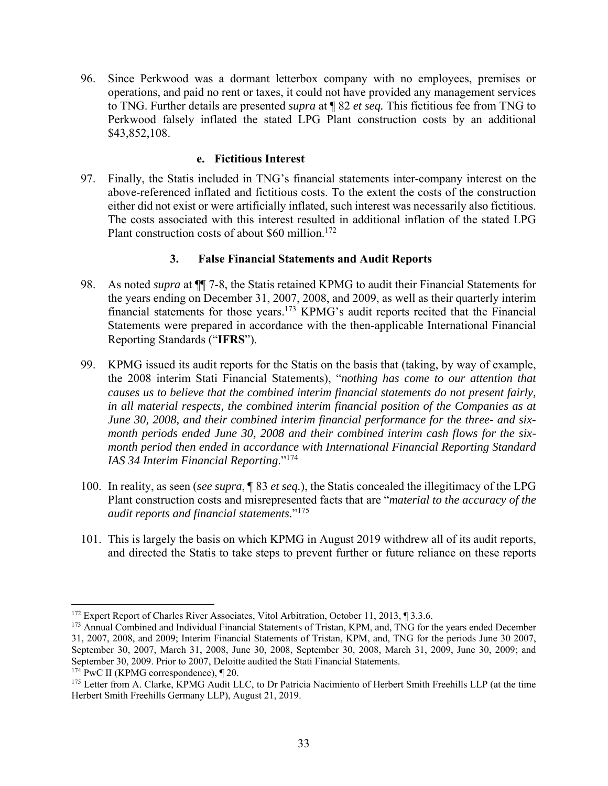96. Since Perkwood was a dormant letterbox company with no employees, premises or operations, and paid no rent or taxes, it could not have provided any management services to TNG. Further details are presented *supra* at ¶ 82 *et seq.* This fictitious fee from TNG to Perkwood falsely inflated the stated LPG Plant construction costs by an additional \$43,852,108.

#### **e. Fictitious Interest**

97. Finally, the Statis included in TNG's financial statements inter-company interest on the above-referenced inflated and fictitious costs. To the extent the costs of the construction either did not exist or were artificially inflated, such interest was necessarily also fictitious. The costs associated with this interest resulted in additional inflation of the stated LPG Plant construction costs of about \$60 million.<sup>172</sup>

#### **3. False Financial Statements and Audit Reports**

- 98. As noted *supra* at ¶¶ 7-8, the Statis retained KPMG to audit their Financial Statements for the years ending on December 31, 2007, 2008, and 2009, as well as their quarterly interim financial statements for those years.173 KPMG's audit reports recited that the Financial Statements were prepared in accordance with the then-applicable International Financial Reporting Standards ("**IFRS**").
- 99. KPMG issued its audit reports for the Statis on the basis that (taking, by way of example, the 2008 interim Stati Financial Statements), "*nothing has come to our attention that causes us to believe that the combined interim financial statements do not present fairly, in all material respects, the combined interim financial position of the Companies as at June 30, 2008, and their combined interim financial performance for the three- and sixmonth periods ended June 30, 2008 and their combined interim cash flows for the sixmonth period then ended in accordance with International Financial Reporting Standard IAS 34 Interim Financial Reporting*."<sup>174</sup>
- 100. In reality, as seen (*see supra*, ¶ 83 *et seq.*), the Statis concealed the illegitimacy of the LPG Plant construction costs and misrepresented facts that are "*material to the accuracy of the audit reports and financial statements*."175
- 101. This is largely the basis on which KPMG in August 2019 withdrew all of its audit reports, and directed the Statis to take steps to prevent further or future reliance on these reports

 $174$  PwC II (KPMG correspondence),  $\P$  20.

<sup>&</sup>lt;sup>172</sup> Expert Report of Charles River Associates, Vitol Arbitration, October 11, 2013, ¶ 3.3.6.

<sup>&</sup>lt;sup>173</sup> Annual Combined and Individual Financial Statements of Tristan, KPM, and, TNG for the years ended December 31, 2007, 2008, and 2009; Interim Financial Statements of Tristan, KPM, and, TNG for the periods June 30 2007, September 30, 2007, March 31, 2008, June 30, 2008, September 30, 2008, March 31, 2009, June 30, 2009; and September 30, 2009. Prior to 2007, Deloitte audited the Stati Financial Statements.

<sup>&</sup>lt;sup>175</sup> Letter from A. Clarke, KPMG Audit LLC, to Dr Patricia Nacimiento of Herbert Smith Freehills LLP (at the time Herbert Smith Freehills Germany LLP), August 21, 2019.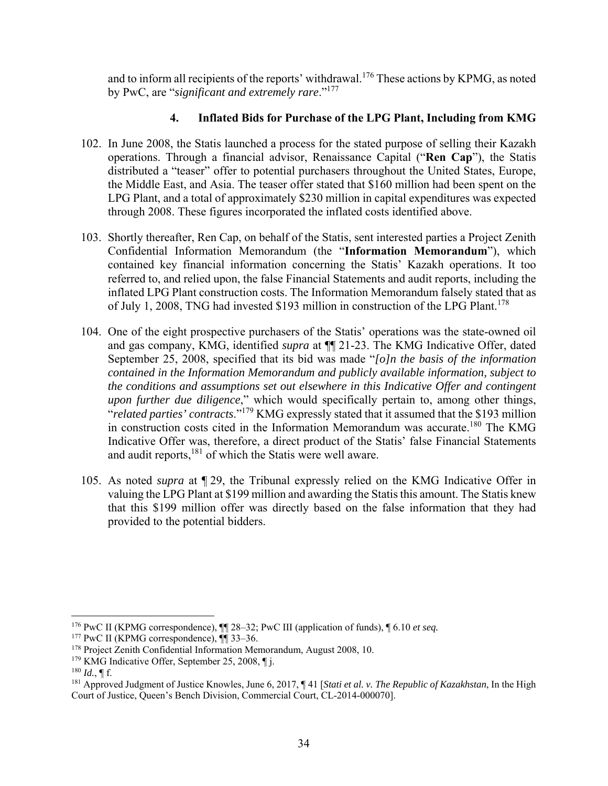and to inform all recipients of the reports' withdrawal.<sup>176</sup> These actions by KPMG, as noted by PwC, are "*significant and extremely rare*."177

# **4. Inflated Bids for Purchase of the LPG Plant, Including from KMG**

- 102. In June 2008, the Statis launched a process for the stated purpose of selling their Kazakh operations. Through a financial advisor, Renaissance Capital ("**Ren Cap**"), the Statis distributed a "teaser" offer to potential purchasers throughout the United States, Europe, the Middle East, and Asia. The teaser offer stated that \$160 million had been spent on the LPG Plant, and a total of approximately \$230 million in capital expenditures was expected through 2008. These figures incorporated the inflated costs identified above.
- 103. Shortly thereafter, Ren Cap, on behalf of the Statis, sent interested parties a Project Zenith Confidential Information Memorandum (the "**Information Memorandum**"), which contained key financial information concerning the Statis' Kazakh operations. It too referred to, and relied upon, the false Financial Statements and audit reports, including the inflated LPG Plant construction costs. The Information Memorandum falsely stated that as of July 1, 2008, TNG had invested \$193 million in construction of the LPG Plant.178
- 104. One of the eight prospective purchasers of the Statis' operations was the state-owned oil and gas company, KMG, identified *supra* at ¶¶ 21-23. The KMG Indicative Offer, dated September 25, 2008, specified that its bid was made "*[o]n the basis of the information contained in the Information Memorandum and publicly available information, subject to the conditions and assumptions set out elsewhere in this Indicative Offer and contingent upon further due diligence*," which would specifically pertain to, among other things, "*related parties' contracts*."179 KMG expressly stated that it assumed that the \$193 million in construction costs cited in the Information Memorandum was accurate.<sup>180</sup> The KMG Indicative Offer was, therefore, a direct product of the Statis' false Financial Statements and audit reports, $181$  of which the Statis were well aware.
- 105. As noted *supra* at ¶ 29, the Tribunal expressly relied on the KMG Indicative Offer in valuing the LPG Plant at \$199 million and awarding the Statis this amount. The Statis knew that this \$199 million offer was directly based on the false information that they had provided to the potential bidders.

 176 PwC II (KPMG correspondence), ¶¶ 28–32; PwC III (application of funds), ¶ 6.10 *et seq.*

 $177$  PwC II (KPMG correspondence),  $\P$  33–36.

<sup>178</sup> Project Zenith Confidential Information Memorandum, August 2008, 10.

<sup>&</sup>lt;sup>179</sup> KMG Indicative Offer, September 25, 2008, [1].

 $180$  *Id.*, **[f.**]

<sup>181</sup> Approved Judgment of Justice Knowles, June 6, 2017, ¶ 41 [*Stati et al. v. The Republic of Kazakhstan*, In the High Court of Justice, Queen's Bench Division, Commercial Court, CL-2014-000070].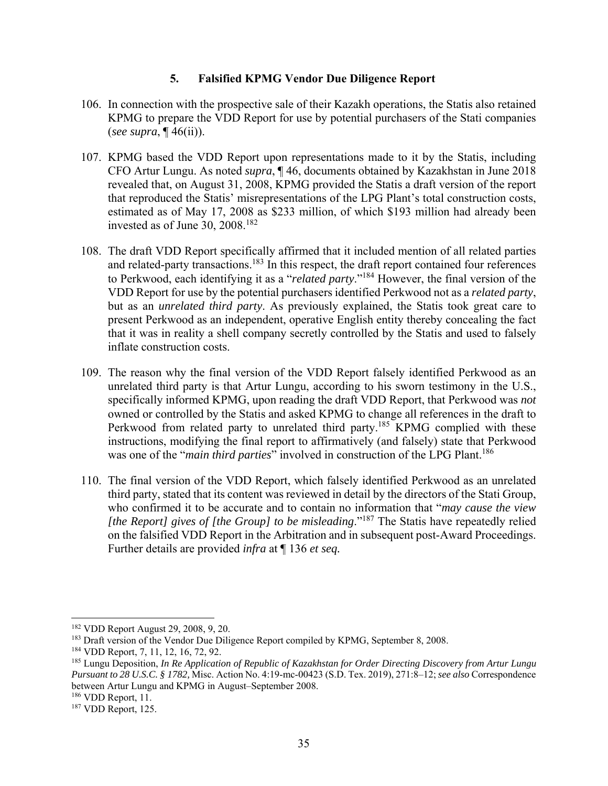## **5. Falsified KPMG Vendor Due Diligence Report**

- 106. In connection with the prospective sale of their Kazakh operations, the Statis also retained KPMG to prepare the VDD Report for use by potential purchasers of the Stati companies (*see supra*, ¶ 46(ii)).
- 107. KPMG based the VDD Report upon representations made to it by the Statis, including CFO Artur Lungu. As noted *supra*, ¶ 46, documents obtained by Kazakhstan in June 2018 revealed that, on August 31, 2008, KPMG provided the Statis a draft version of the report that reproduced the Statis' misrepresentations of the LPG Plant's total construction costs, estimated as of May 17, 2008 as \$233 million, of which \$193 million had already been invested as of June 30, 2008.182
- 108. The draft VDD Report specifically affirmed that it included mention of all related parties and related-party transactions.<sup>183</sup> In this respect, the draft report contained four references to Perkwood, each identifying it as a "*related party*."184 However, the final version of the VDD Report for use by the potential purchasers identified Perkwood not as a *related party*, but as an *unrelated third party*. As previously explained, the Statis took great care to present Perkwood as an independent, operative English entity thereby concealing the fact that it was in reality a shell company secretly controlled by the Statis and used to falsely inflate construction costs.
- 109. The reason why the final version of the VDD Report falsely identified Perkwood as an unrelated third party is that Artur Lungu, according to his sworn testimony in the U.S., specifically informed KPMG, upon reading the draft VDD Report, that Perkwood was *not* owned or controlled by the Statis and asked KPMG to change all references in the draft to Perkwood from related party to unrelated third party.<sup>185</sup> KPMG complied with these instructions, modifying the final report to affirmatively (and falsely) state that Perkwood was one of the "*main third parties*" involved in construction of the LPG Plant.<sup>186</sup>
- 110. The final version of the VDD Report, which falsely identified Perkwood as an unrelated third party, stated that its content was reviewed in detail by the directors of the Stati Group, who confirmed it to be accurate and to contain no information that "*may cause the view [the Report] gives of [the Group] to be misleading*."187 The Statis have repeatedly relied on the falsified VDD Report in the Arbitration and in subsequent post-Award Proceedings. Further details are provided *infra* at ¶ 136 *et seq.*

 182 VDD Report August 29, 2008, 9, 20.

<sup>&</sup>lt;sup>183</sup> Draft version of the Vendor Due Diligence Report compiled by KPMG, September 8, 2008.

<sup>184</sup> VDD Report, 7, 11, 12, 16, 72, 92.

<sup>185</sup> Lungu Deposition, *In Re Application of Republic of Kazakhstan for Order Directing Discovery from Artur Lungu Pursuant to 28 U.S.C. § 1782,* Misc. Action No. 4:19-mc-00423 (S.D. Tex. 2019), 271:8–12; *see also* Correspondence between Artur Lungu and KPMG in August–September 2008.

<sup>186</sup> VDD Report, 11.

<sup>&</sup>lt;sup>187</sup> VDD Report, 125.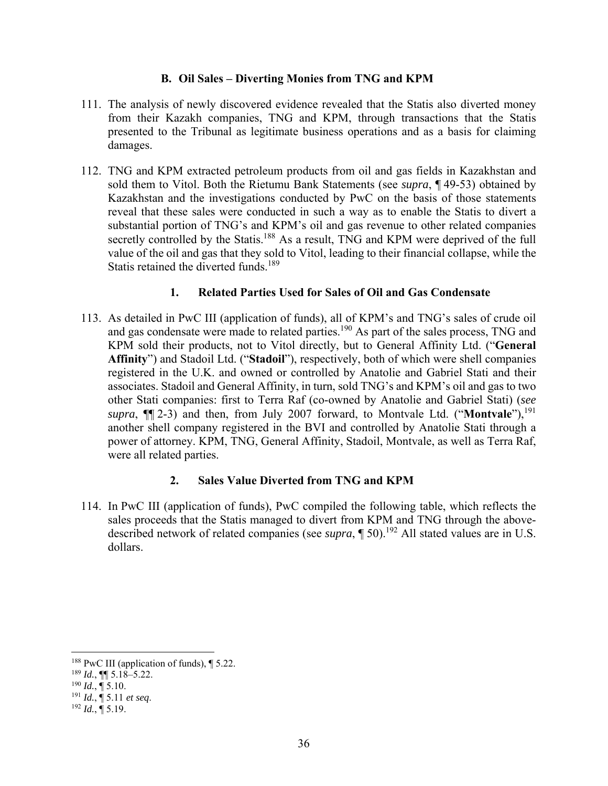### **B. Oil Sales – Diverting Monies from TNG and KPM**

- 111. The analysis of newly discovered evidence revealed that the Statis also diverted money from their Kazakh companies, TNG and KPM, through transactions that the Statis presented to the Tribunal as legitimate business operations and as a basis for claiming damages.
- 112. TNG and KPM extracted petroleum products from oil and gas fields in Kazakhstan and sold them to Vitol. Both the Rietumu Bank Statements (see *supra*, ¶ 49-53) obtained by Kazakhstan and the investigations conducted by PwC on the basis of those statements reveal that these sales were conducted in such a way as to enable the Statis to divert a substantial portion of TNG's and KPM's oil and gas revenue to other related companies secretly controlled by the Statis.<sup>188</sup> As a result, TNG and KPM were deprived of the full value of the oil and gas that they sold to Vitol, leading to their financial collapse, while the Statis retained the diverted funds.<sup>189</sup>

## **1. Related Parties Used for Sales of Oil and Gas Condensate**

113. As detailed in PwC III (application of funds), all of KPM's and TNG's sales of crude oil and gas condensate were made to related parties.<sup>190</sup> As part of the sales process, TNG and KPM sold their products, not to Vitol directly, but to General Affinity Ltd. ("**General Affinity**") and Stadoil Ltd. ("**Stadoil**"), respectively, both of which were shell companies registered in the U.K. and owned or controlled by Anatolie and Gabriel Stati and their associates. Stadoil and General Affinity, in turn, sold TNG's and KPM's oil and gas to two other Stati companies: first to Terra Raf (co-owned by Anatolie and Gabriel Stati) (*see supra*,  $\P$ [2-3) and then, from July 2007 forward, to Montvale Ltd. ("**Montvale**"),<sup>191</sup> another shell company registered in the BVI and controlled by Anatolie Stati through a power of attorney. KPM, TNG, General Affinity, Stadoil, Montvale, as well as Terra Raf, were all related parties.

## **2. Sales Value Diverted from TNG and KPM**

114. In PwC III (application of funds), PwC compiled the following table, which reflects the sales proceeds that the Statis managed to divert from KPM and TNG through the abovedescribed network of related companies (see *supra*,  $\int$  50).<sup>192</sup> All stated values are in U.S. dollars.

<sup>&</sup>lt;sup>188</sup> PwC III (application of funds),  $\P$  5.22.

 $^{189}$  *Id.*, **[[**] 5.18–5.22.

 $^{190}$  *Id.*,  $\frac{1}{9}$  5.10.

<sup>191</sup> *Id.*, ¶ 5.11 *et seq*. 192 *Id.*, ¶ 5.19.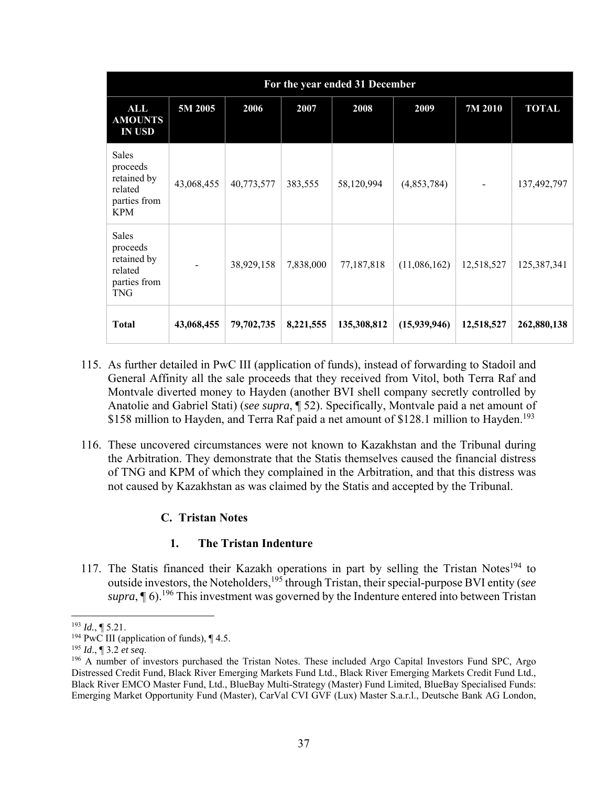| For the year ended 31 December                                            |            |            |           |             |              |            |              |
|---------------------------------------------------------------------------|------------|------------|-----------|-------------|--------------|------------|--------------|
| ALL<br><b>AMOUNTS</b><br><b>IN USD</b>                                    | 5M 2005    | 2006       | 2007      | 2008        | 2009         | 7M 2010    | <b>TOTAL</b> |
| Sales<br>proceeds<br>retained by<br>related<br>parties from<br><b>KPM</b> | 43,068,455 | 40,773,577 | 383,555   | 58,120,994  | (4,853,784)  |            | 137,492,797  |
| Sales<br>proceeds<br>retained by<br>related<br>parties from<br><b>TNG</b> |            | 38,929,158 | 7,838,000 | 77,187,818  | (11,086,162) | 12,518,527 | 125,387,341  |
| <b>Total</b>                                                              | 43,068,455 | 79,702,735 | 8,221,555 | 135,308,812 | (15,939,946) | 12,518,527 | 262,880,138  |

- 115. As further detailed in PwC III (application of funds), instead of forwarding to Stadoil and General Affinity all the sale proceeds that they received from Vitol, both Terra Raf and Montvale diverted money to Hayden (another BVI shell company secretly controlled by Anatolie and Gabriel Stati) (*see supra*, ¶ 52). Specifically, Montvale paid a net amount of \$158 million to Hayden, and Terra Raf paid a net amount of \$128.1 million to Hayden.<sup>193</sup>
- 116. These uncovered circumstances were not known to Kazakhstan and the Tribunal during the Arbitration. They demonstrate that the Statis themselves caused the financial distress of TNG and KPM of which they complained in the Arbitration, and that this distress was not caused by Kazakhstan as was claimed by the Statis and accepted by the Tribunal.

## **C. Tristan Notes**

### **1. The Tristan Indenture**

117. The Statis financed their Kazakh operations in part by selling the Tristan Notes<sup>194</sup> to outside investors, the Noteholders,195 through Tristan, their special-purpose BVI entity (*see*   $supra$ ,  $\P$  6).<sup>196</sup> This investment was governed by the Indenture entered into between Tristan

 <sup>193</sup> *Id.*, ¶ 5.21.

<sup>&</sup>lt;sup>194</sup> PwC III (application of funds),  $\P$  4.5.

<sup>195</sup> *Id.*, ¶ 3.2 *et seq.*<br><sup>196</sup> A number of investors purchased the Tristan Notes. These included Argo Capital Investors Fund SPC, Argo Distressed Credit Fund, Black River Emerging Markets Fund Ltd., Black River Emerging Markets Credit Fund Ltd., Black River EMCO Master Fund, Ltd., BlueBay Multi-Strategy (Master) Fund Limited, BlueBay Specialised Funds: Emerging Market Opportunity Fund (Master), CarVal CVI GVF (Lux) Master S.a.r.l., Deutsche Bank AG London,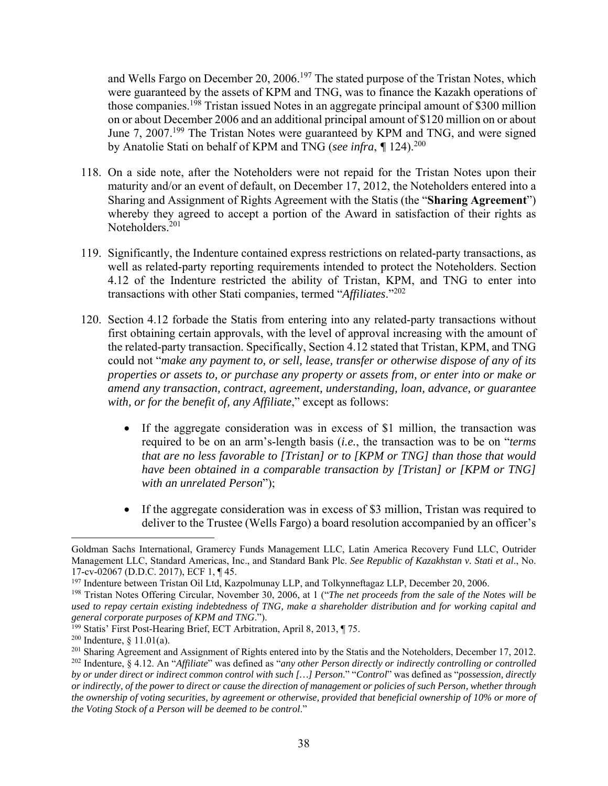and Wells Fargo on December 20, 2006.<sup>197</sup> The stated purpose of the Tristan Notes, which were guaranteed by the assets of KPM and TNG, was to finance the Kazakh operations of those companies.<sup>198</sup> Tristan issued Notes in an aggregate principal amount of \$300 million on or about December 2006 and an additional principal amount of \$120 million on or about June 7, 2007.199 The Tristan Notes were guaranteed by KPM and TNG, and were signed by Anatolie Stati on behalf of KPM and TNG (*see infra*, *¶* 124).<sup>200</sup>

- 118. On a side note, after the Noteholders were not repaid for the Tristan Notes upon their maturity and/or an event of default, on December 17, 2012, the Noteholders entered into a Sharing and Assignment of Rights Agreement with the Statis (the "**Sharing Agreement**") whereby they agreed to accept a portion of the Award in satisfaction of their rights as Noteholders.<sup>201</sup>
- 119. Significantly, the Indenture contained express restrictions on related-party transactions, as well as related-party reporting requirements intended to protect the Noteholders. Section 4.12 of the Indenture restricted the ability of Tristan, KPM, and TNG to enter into transactions with other Stati companies, termed "*Affiliates*."202
- 120. Section 4.12 forbade the Statis from entering into any related-party transactions without first obtaining certain approvals, with the level of approval increasing with the amount of the related-party transaction. Specifically, Section 4.12 stated that Tristan, KPM, and TNG could not "*make any payment to, or sell, lease, transfer or otherwise dispose of any of its properties or assets to, or purchase any property or assets from, or enter into or make or amend any transaction, contract, agreement, understanding, loan, advance, or guarantee with, or for the benefit of, any Affiliate*," except as follows:
	- If the aggregate consideration was in excess of \$1 million, the transaction was required to be on an arm's-length basis (*i.e.*, the transaction was to be on "*terms that are no less favorable to [Tristan] or to [KPM or TNG] than those that would have been obtained in a comparable transaction by [Tristan] or [KPM or TNG] with an unrelated Person*");
	- If the aggregate consideration was in excess of \$3 million, Tristan was required to deliver to the Trustee (Wells Fargo) a board resolution accompanied by an officer's

Goldman Sachs International, Gramercy Funds Management LLC, Latin America Recovery Fund LLC, Outrider Management LLC, Standard Americas, Inc., and Standard Bank Plc. *See Republic of Kazakhstan v. Stati et al*., No. 17-cv-02067 (D.D.C. 2017), ECF 1, ¶ 45.

<sup>&</sup>lt;sup>197</sup> Indenture between Tristan Oil Ltd, Kazpolmunay LLP, and Tolkynneftagaz LLP, December 20, 2006.

<sup>198</sup> Tristan Notes Offering Circular, November 30, 2006, at 1 ("*The net proceeds from the sale of the Notes will be used to repay certain existing indebtedness of TNG, make a shareholder distribution and for working capital and general corporate purposes of KPM and TNG*.").

<sup>199</sup> Statis' First Post-Hearing Brief, ECT Arbitration, April 8, 2013, ¶ 75.

<sup>&</sup>lt;sup>200</sup> Indenture,  $§$  11.01(a).

<sup>&</sup>lt;sup>201</sup> Sharing Agreement and Assignment of Rights entered into by the Statis and the Noteholders, December 17, 2012. 202 Indenture, § 4.12. An "*Affiliate*" was defined as "*any other Person directly or indirectly controlling or controlled by or under direct or indirect common control with such […] Person*." "*Control*" was defined as "*possession, directly or indirectly, of the power to direct or cause the direction of management or policies of such Person, whether through the ownership of voting securities, by agreement or otherwise, provided that beneficial ownership of 10% or more of the Voting Stock of a Person will be deemed to be control*."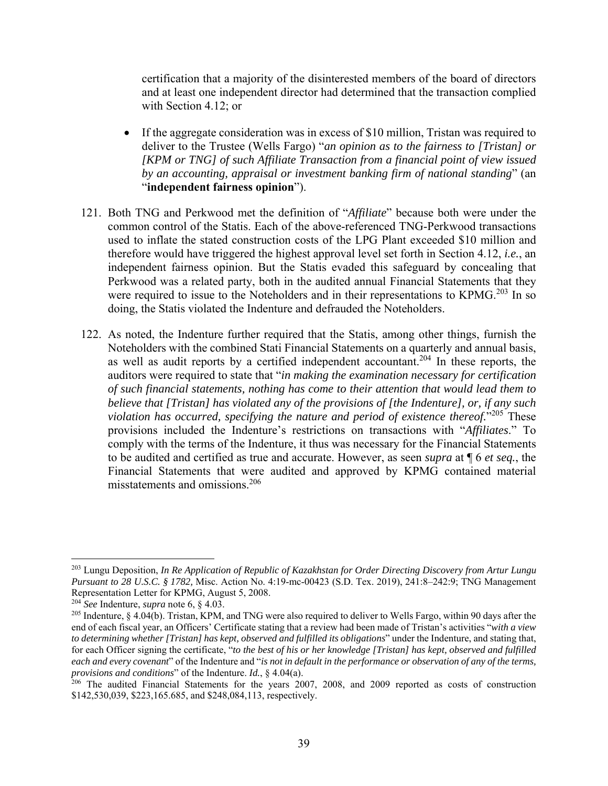certification that a majority of the disinterested members of the board of directors and at least one independent director had determined that the transaction complied with Section 4.12; or

- If the aggregate consideration was in excess of \$10 million, Tristan was required to deliver to the Trustee (Wells Fargo) "*an opinion as to the fairness to [Tristan] or [KPM or TNG] of such Affiliate Transaction from a financial point of view issued by an accounting, appraisal or investment banking firm of national standing*" (an "**independent fairness opinion**").
- 121. Both TNG and Perkwood met the definition of "*Affiliate*" because both were under the common control of the Statis. Each of the above-referenced TNG-Perkwood transactions used to inflate the stated construction costs of the LPG Plant exceeded \$10 million and therefore would have triggered the highest approval level set forth in Section 4.12, *i.e.*, an independent fairness opinion. But the Statis evaded this safeguard by concealing that Perkwood was a related party, both in the audited annual Financial Statements that they were required to issue to the Noteholders and in their representations to KPMG.<sup>203</sup> In so doing, the Statis violated the Indenture and defrauded the Noteholders.
- 122. As noted, the Indenture further required that the Statis, among other things, furnish the Noteholders with the combined Stati Financial Statements on a quarterly and annual basis, as well as audit reports by a certified independent accountant.<sup>204</sup> In these reports, the auditors were required to state that "*in making the examination necessary for certification of such financial statements, nothing has come to their attention that would lead them to believe that [Tristan] has violated any of the provisions of [the Indenture], or, if any such violation has occurred, specifying the nature and period of existence thereof.*"205 These provisions included the Indenture's restrictions on transactions with "*Affiliates*." To comply with the terms of the Indenture, it thus was necessary for the Financial Statements to be audited and certified as true and accurate. However, as seen *supra* at ¶ 6 *et seq.*, the Financial Statements that were audited and approved by KPMG contained material misstatements and omissions.206

<sup>203</sup> Lungu Deposition, *In Re Application of Republic of Kazakhstan for Order Directing Discovery from Artur Lungu Pursuant to 28 U.S.C. § 1782,* Misc. Action No. 4:19-mc-00423 (S.D. Tex. 2019), 241:8–242:9; TNG Management Representation Letter for KPMG, August 5, 2008.

<sup>204</sup> *See* Indenture, *supra* note 6, § 4.03.

<sup>&</sup>lt;sup>205</sup> Indenture, § 4.04(b). Tristan, KPM, and TNG were also required to deliver to Wells Fargo, within 90 days after the end of each fiscal year, an Officers' Certificate stating that a review had been made of Tristan's activities "*with a view to determining whether [Tristan] has kept, observed and fulfilled its obligations*" under the Indenture, and stating that, for each Officer signing the certificate, "*to the best of his or her knowledge [Tristan] has kept, observed and fulfilled each and every covenant*" of the Indenture and "*is not in default in the performance or observation of any of the terms, provisions and conditions*" of the Indenture. *Id.*, § 4.04(a).

 $206$  The audited Financial Statements for the years 2007, 2008, and 2009 reported as costs of construction \$142,530,039, \$223,165.685, and \$248,084,113, respectively.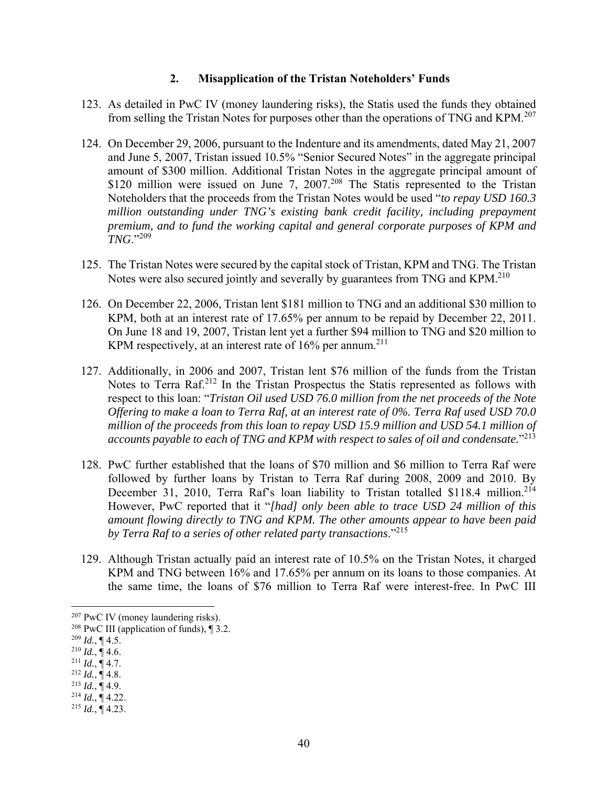### **2. Misapplication of the Tristan Noteholders' Funds**

- 123. As detailed in PwC IV (money laundering risks), the Statis used the funds they obtained from selling the Tristan Notes for purposes other than the operations of TNG and KPM.<sup>207</sup>
- 124. On December 29, 2006, pursuant to the Indenture and its amendments, dated May 21, 2007 and June 5, 2007, Tristan issued 10.5% "Senior Secured Notes" in the aggregate principal amount of \$300 million. Additional Tristan Notes in the aggregate principal amount of \$120 million were issued on June 7, 2007.<sup>208</sup> The Statis represented to the Tristan Noteholders that the proceeds from the Tristan Notes would be used "*to repay USD 160.3 million outstanding under TNG's existing bank credit facility, including prepayment premium, and to fund the working capital and general corporate purposes of KPM and TNG*."<sup>209</sup>
- 125. The Tristan Notes were secured by the capital stock of Tristan, KPM and TNG. The Tristan Notes were also secured jointly and severally by guarantees from TNG and KPM.<sup>210</sup>
- 126. On December 22, 2006, Tristan lent \$181 million to TNG and an additional \$30 million to KPM, both at an interest rate of 17.65% per annum to be repaid by December 22, 2011. On June 18 and 19, 2007, Tristan lent yet a further \$94 million to TNG and \$20 million to KPM respectively, at an interest rate of  $16\%$  per annum.<sup>211</sup>
- 127. Additionally, in 2006 and 2007, Tristan lent \$76 million of the funds from the Tristan Notes to Terra Raf.<sup>212</sup> In the Tristan Prospectus the Statis represented as follows with respect to this loan: "*Tristan Oil used USD 76.0 million from the net proceeds of the Note Offering to make a loan to Terra Raf, at an interest rate of 0%. Terra Raf used USD 70.0*  million of the proceeds from this loan to repay USD 15.9 million and USD 54.1 million of *accounts payable to each of TNG and KPM with respect to sales of oil and condensate.*"213
- 128. PwC further established that the loans of \$70 million and \$6 million to Terra Raf were followed by further loans by Tristan to Terra Raf during 2008, 2009 and 2010. By December 31, 2010, Terra Raf's loan liability to Tristan totalled \$118.4 million.<sup>214</sup> However, PwC reported that it "*[had] only been able to trace USD 24 million of this amount flowing directly to TNG and KPM. The other amounts appear to have been paid by Terra Raf to a series of other related party transactions*."215
- 129. Although Tristan actually paid an interest rate of 10.5% on the Tristan Notes, it charged KPM and TNG between 16% and 17.65% per annum on its loans to those companies. At the same time, the loans of \$76 million to Terra Raf were interest-free. In PwC III

- 
- 

- $2^{14}$  *Id.*, ¶ 4.22.
- $^{215}$  *Id.*,  $\overline{$  4.23.

 <sup>207</sup> PwC IV (money laundering risks).

<sup>208</sup> PwC III (application of funds), ¶ 3.2.

 $^{209}$  *Id.*, ¶ 4.5.<br><sup>210</sup> *Id.*, ¶ 4.6.

 $^{211}$  *Id.*, ¶ 4.7.<br><sup>212</sup> *Id.*, ¶ 4.8.<br><sup>213</sup> *Id.*, ¶ 4.9.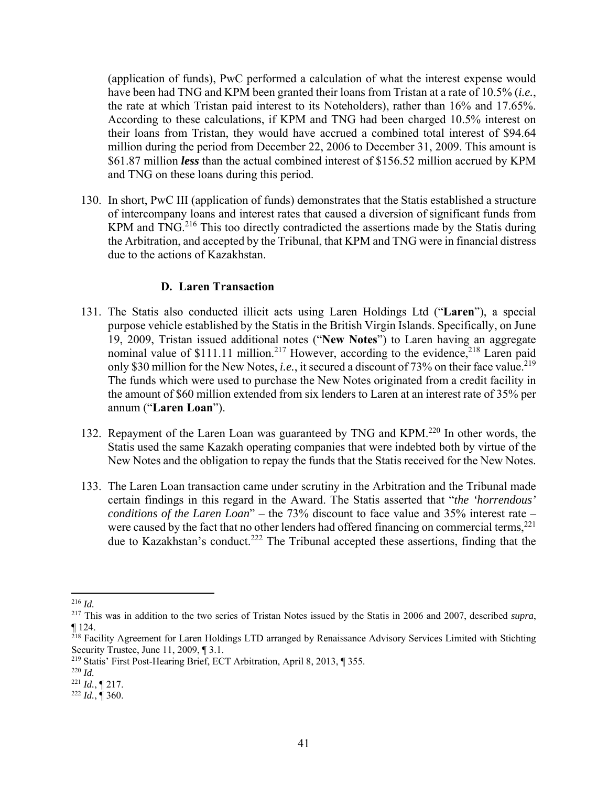(application of funds), PwC performed a calculation of what the interest expense would have been had TNG and KPM been granted their loans from Tristan at a rate of 10.5% (*i.e.*, the rate at which Tristan paid interest to its Noteholders), rather than 16% and 17.65%. According to these calculations, if KPM and TNG had been charged 10.5% interest on their loans from Tristan, they would have accrued a combined total interest of \$94.64 million during the period from December 22, 2006 to December 31, 2009. This amount is \$61.87 million *less* than the actual combined interest of \$156.52 million accrued by KPM and TNG on these loans during this period.

130. In short, PwC III (application of funds) demonstrates that the Statis established a structure of intercompany loans and interest rates that caused a diversion of significant funds from KPM and TNG.<sup>216</sup> This too directly contradicted the assertions made by the Statis during the Arbitration, and accepted by the Tribunal, that KPM and TNG were in financial distress due to the actions of Kazakhstan.

### **D. Laren Transaction**

- 131. The Statis also conducted illicit acts using Laren Holdings Ltd ("**Laren**"), a special purpose vehicle established by the Statis in the British Virgin Islands. Specifically, on June 19, 2009, Tristan issued additional notes ("**New Notes**") to Laren having an aggregate nominal value of \$111.11 million.<sup>217</sup> However, according to the evidence,<sup>218</sup> Laren paid only \$30 million for the New Notes, *i.e.*, it secured a discount of 73% on their face value.<sup>219</sup> The funds which were used to purchase the New Notes originated from a credit facility in the amount of \$60 million extended from six lenders to Laren at an interest rate of 35% per annum ("**Laren Loan**").
- 132. Repayment of the Laren Loan was guaranteed by TNG and KPM.<sup>220</sup> In other words, the Statis used the same Kazakh operating companies that were indebted both by virtue of the New Notes and the obligation to repay the funds that the Statis received for the New Notes.
- 133. The Laren Loan transaction came under scrutiny in the Arbitration and the Tribunal made certain findings in this regard in the Award. The Statis asserted that "*the 'horrendous' conditions of the Laren Loan*" – the 73% discount to face value and 35% interest rate – were caused by the fact that no other lenders had offered financing on commercial terms,<sup>221</sup> due to Kazakhstan's conduct.<sup>222</sup> The Tribunal accepted these assertions, finding that the

 <sup>216</sup> *Id.* 

<sup>217</sup> This was in addition to the two series of Tristan Notes issued by the Statis in 2006 and 2007, described *supra*, ¶ 124.

<sup>&</sup>lt;sup>218</sup> Facility Agreement for Laren Holdings LTD arranged by Renaissance Advisory Services Limited with Stichting Security Trustee, June 11, 2009, ¶ 3.1.

<sup>219</sup> Statis' First Post-Hearing Brief, ECT Arbitration, April 8, 2013, ¶ 355.

<sup>220</sup> *Id.*

<sup>221</sup> *Id.*, ¶ 217. 222 *Id.*, ¶ 360.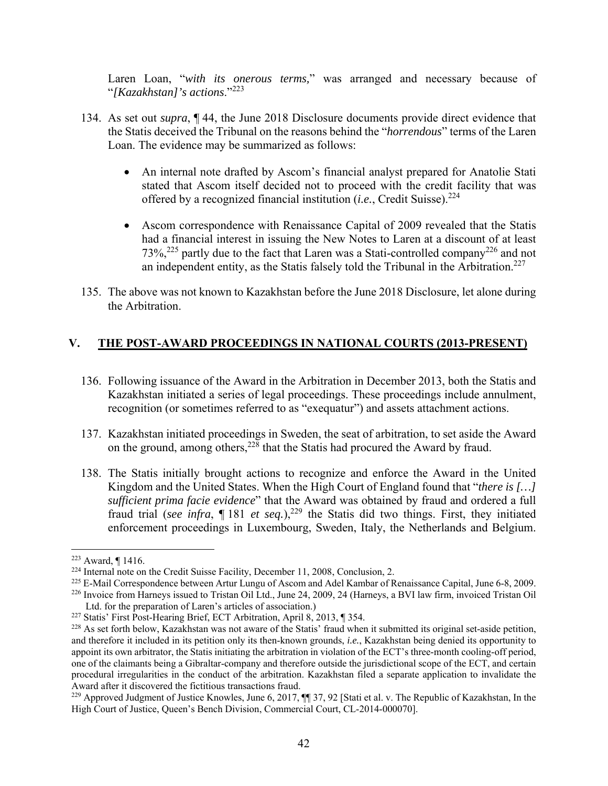Laren Loan, "*with its onerous terms,*" was arranged and necessary because of "*[Kazakhstan]'s actions*."<sup>223</sup>

- 134. As set out *supra*, ¶ 44, the June 2018 Disclosure documents provide direct evidence that the Statis deceived the Tribunal on the reasons behind the "*horrendous*" terms of the Laren Loan. The evidence may be summarized as follows:
	- An internal note drafted by Ascom's financial analyst prepared for Anatolie Stati stated that Ascom itself decided not to proceed with the credit facility that was offered by a recognized financial institution (*i.e.*, Credit Suisse).<sup>224</sup>
	- Ascom correspondence with Renaissance Capital of 2009 revealed that the Statis had a financial interest in issuing the New Notes to Laren at a discount of at least  $73\%$ <sup>225</sup> partly due to the fact that Laren was a Stati-controlled company<sup>226</sup> and not an independent entity, as the Statis falsely told the Tribunal in the Arbitration.<sup>227</sup>
- 135. The above was not known to Kazakhstan before the June 2018 Disclosure, let alone during the Arbitration.

## **V. THE POST-AWARD PROCEEDINGS IN NATIONAL COURTS (2013-PRESENT)**

- 136. Following issuance of the Award in the Arbitration in December 2013, both the Statis and Kazakhstan initiated a series of legal proceedings. These proceedings include annulment, recognition (or sometimes referred to as "exequatur") and assets attachment actions.
- 137. Kazakhstan initiated proceedings in Sweden, the seat of arbitration, to set aside the Award on the ground, among others,  $228$  that the Statis had procured the Award by fraud.
- 138. The Statis initially brought actions to recognize and enforce the Award in the United Kingdom and the United States. When the High Court of England found that "*there is […] sufficient prima facie evidence*" that the Award was obtained by fraud and ordered a full fraud trial (*see infra*, ¶ 181 *et seq.*),<sup>229</sup> the Statis did two things. First, they initiated enforcement proceedings in Luxembourg, Sweden, Italy, the Netherlands and Belgium.

<sup>&</sup>lt;sup>223</sup> Award,  $\P$  1416.<br><sup>224</sup> Internal note on the Credit Suisse Facility, December 11, 2008, Conclusion, 2.

<sup>&</sup>lt;sup>225</sup> E-Mail Correspondence between Artur Lungu of Ascom and Adel Kambar of Renaissance Capital, June 6-8, 2009.

<sup>226</sup> Invoice from Harneys issued to Tristan Oil Ltd., June 24, 2009, 24 (Harneys, a BVI law firm, invoiced Tristan Oil Ltd. for the preparation of Laren's articles of association.)

<sup>227</sup> Statis' First Post-Hearing Brief, ECT Arbitration, April 8, 2013, ¶ 354.

<sup>&</sup>lt;sup>228</sup> As set forth below, Kazakhstan was not aware of the Statis' fraud when it submitted its original set-aside petition, and therefore it included in its petition only its then-known grounds, *i.e.*, Kazakhstan being denied its opportunity to appoint its own arbitrator, the Statis initiating the arbitration in violation of the ECT's three-month cooling-off period, one of the claimants being a Gibraltar-company and therefore outside the jurisdictional scope of the ECT, and certain procedural irregularities in the conduct of the arbitration. Kazakhstan filed a separate application to invalidate the Award after it discovered the fictitious transactions fraud.

<sup>&</sup>lt;sup>229</sup> Approved Judgment of Justice Knowles, June 6, 2017,  $\P$  37, 92 [Stati et al. v. The Republic of Kazakhstan, In the High Court of Justice, Queen's Bench Division, Commercial Court, CL-2014-000070].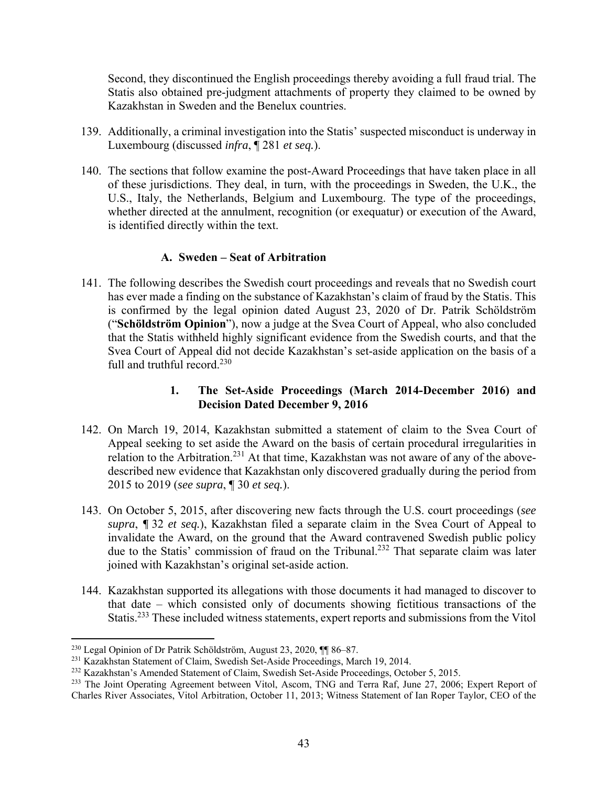Second, they discontinued the English proceedings thereby avoiding a full fraud trial. The Statis also obtained pre-judgment attachments of property they claimed to be owned by Kazakhstan in Sweden and the Benelux countries.

- 139. Additionally, a criminal investigation into the Statis' suspected misconduct is underway in Luxembourg (discussed *infra*, ¶ 281 *et seq.*).
- 140. The sections that follow examine the post-Award Proceedings that have taken place in all of these jurisdictions. They deal, in turn, with the proceedings in Sweden, the U.K., the U.S., Italy, the Netherlands, Belgium and Luxembourg. The type of the proceedings, whether directed at the annulment, recognition (or exequatur) or execution of the Award, is identified directly within the text.

## **A. Sweden – Seat of Arbitration**

141. The following describes the Swedish court proceedings and reveals that no Swedish court has ever made a finding on the substance of Kazakhstan's claim of fraud by the Statis. This is confirmed by the legal opinion dated August 23, 2020 of Dr. Patrik Schöldström ("**Schöldström Opinion**"), now a judge at the Svea Court of Appeal, who also concluded that the Statis withheld highly significant evidence from the Swedish courts, and that the Svea Court of Appeal did not decide Kazakhstan's set-aside application on the basis of a full and truthful record. $230$ 

## **1. The Set-Aside Proceedings (March 2014-December 2016) and Decision Dated December 9, 2016**

- 142. On March 19, 2014, Kazakhstan submitted a statement of claim to the Svea Court of Appeal seeking to set aside the Award on the basis of certain procedural irregularities in relation to the Arbitration.<sup>231</sup> At that time, Kazakhstan was not aware of any of the abovedescribed new evidence that Kazakhstan only discovered gradually during the period from 2015 to 2019 (*see supra*, ¶ 30 *et seq.*).
- 143. On October 5, 2015, after discovering new facts through the U.S. court proceedings (*see supra*, *¶* 32 *et seq.*), Kazakhstan filed a separate claim in the Svea Court of Appeal to invalidate the Award, on the ground that the Award contravened Swedish public policy due to the Statis' commission of fraud on the Tribunal.232 That separate claim was later joined with Kazakhstan's original set-aside action.
- 144. Kazakhstan supported its allegations with those documents it had managed to discover to that date – which consisted only of documents showing fictitious transactions of the Statis.233 These included witness statements, expert reports and submissions from the Vitol

<sup>230</sup> Legal Opinion of Dr Patrik Schöldström, August 23, 2020, ¶¶ 86–87.

<sup>231</sup> Kazakhstan Statement of Claim, Swedish Set-Aside Proceedings, March 19, 2014.

<sup>232</sup> Kazakhstan's Amended Statement of Claim, Swedish Set-Aside Proceedings, October 5, 2015.

<sup>&</sup>lt;sup>233</sup> The Joint Operating Agreement between Vitol, Ascom, TNG and Terra Raf, June 27, 2006; Expert Report of Charles River Associates, Vitol Arbitration, October 11, 2013; Witness Statement of Ian Roper Taylor, CEO of the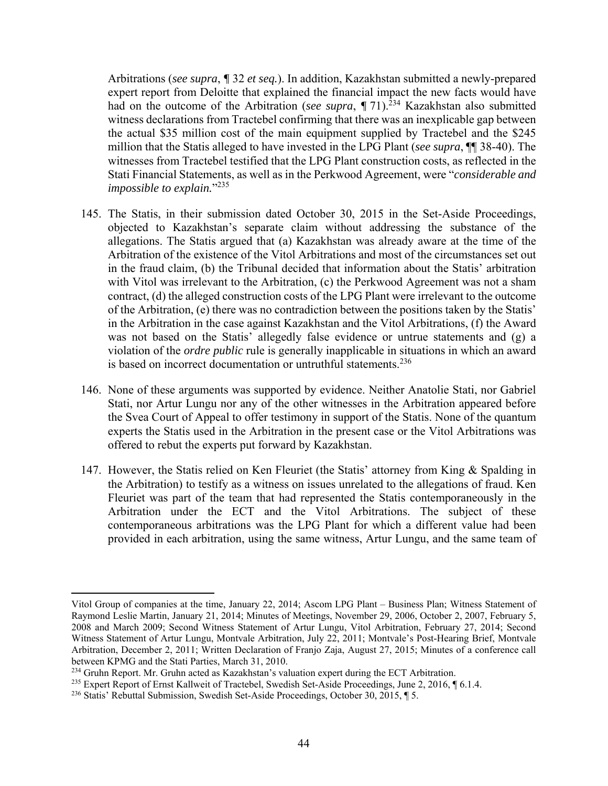Arbitrations (*see supra*, *¶* 32 *et seq.*). In addition, Kazakhstan submitted a newly-prepared expert report from Deloitte that explained the financial impact the new facts would have had on the outcome of the Arbitration (*see supra*,  $\P$  71).<sup>234</sup> Kazakhstan also submitted witness declarations from Tractebel confirming that there was an inexplicable gap between the actual \$35 million cost of the main equipment supplied by Tractebel and the \$245 million that the Statis alleged to have invested in the LPG Plant (*see supra*, ¶¶ 38-40). The witnesses from Tractebel testified that the LPG Plant construction costs, as reflected in the Stati Financial Statements, as well as in the Perkwood Agreement, were "*considerable and impossible to explain.*"235

- 145. The Statis, in their submission dated October 30, 2015 in the Set-Aside Proceedings, objected to Kazakhstan's separate claim without addressing the substance of the allegations. The Statis argued that (a) Kazakhstan was already aware at the time of the Arbitration of the existence of the Vitol Arbitrations and most of the circumstances set out in the fraud claim, (b) the Tribunal decided that information about the Statis' arbitration with Vitol was irrelevant to the Arbitration, (c) the Perkwood Agreement was not a sham contract, (d) the alleged construction costs of the LPG Plant were irrelevant to the outcome of the Arbitration, (e) there was no contradiction between the positions taken by the Statis' in the Arbitration in the case against Kazakhstan and the Vitol Arbitrations, (f) the Award was not based on the Statis' allegedly false evidence or untrue statements and  $(g)$  a violation of the *ordre public* rule is generally inapplicable in situations in which an award is based on incorrect documentation or untruthful statements.<sup>236</sup>
- 146. None of these arguments was supported by evidence. Neither Anatolie Stati, nor Gabriel Stati, nor Artur Lungu nor any of the other witnesses in the Arbitration appeared before the Svea Court of Appeal to offer testimony in support of the Statis. None of the quantum experts the Statis used in the Arbitration in the present case or the Vitol Arbitrations was offered to rebut the experts put forward by Kazakhstan.
- 147. However, the Statis relied on Ken Fleuriet (the Statis' attorney from King & Spalding in the Arbitration) to testify as a witness on issues unrelated to the allegations of fraud. Ken Fleuriet was part of the team that had represented the Statis contemporaneously in the Arbitration under the ECT and the Vitol Arbitrations. The subject of these contemporaneous arbitrations was the LPG Plant for which a different value had been provided in each arbitration, using the same witness, Artur Lungu, and the same team of

Vitol Group of companies at the time, January 22, 2014; Ascom LPG Plant – Business Plan; Witness Statement of Raymond Leslie Martin, January 21, 2014; Minutes of Meetings, November 29, 2006, October 2, 2007, February 5, 2008 and March 2009; Second Witness Statement of Artur Lungu, Vitol Arbitration, February 27, 2014; Second Witness Statement of Artur Lungu, Montvale Arbitration, July 22, 2011; Montvale's Post-Hearing Brief, Montvale Arbitration, December 2, 2011; Written Declaration of Franjo Zaja, August 27, 2015; Minutes of a conference call between KPMG and the Stati Parties, March 31, 2010.

 $^{234}$  Gruhn Report. Mr. Gruhn acted as Kazakhstan's valuation expert during the ECT Arbitration.

<sup>235</sup> Expert Report of Ernst Kallweit of Tractebel, Swedish Set-Aside Proceedings, June 2, 2016, ¶ 6.1.4.

<sup>236</sup> Statis' Rebuttal Submission, Swedish Set-Aside Proceedings, October 30, 2015, ¶ 5.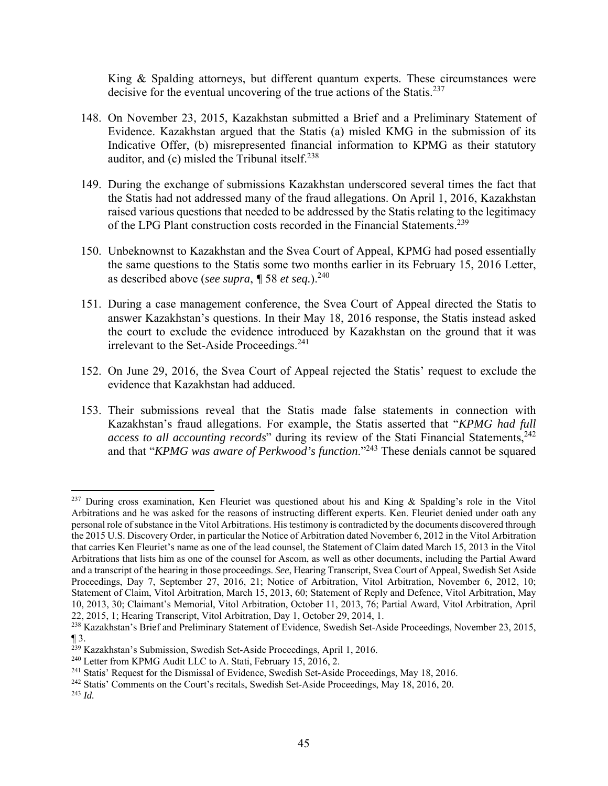King & Spalding attorneys, but different quantum experts. These circumstances were decisive for the eventual uncovering of the true actions of the Statis.<sup>237</sup>

- 148. On November 23, 2015, Kazakhstan submitted a Brief and a Preliminary Statement of Evidence. Kazakhstan argued that the Statis (a) misled KMG in the submission of its Indicative Offer, (b) misrepresented financial information to KPMG as their statutory auditor, and  $(c)$  misled the Tribunal itself.<sup>238</sup>
- 149. During the exchange of submissions Kazakhstan underscored several times the fact that the Statis had not addressed many of the fraud allegations. On April 1, 2016, Kazakhstan raised various questions that needed to be addressed by the Statis relating to the legitimacy of the LPG Plant construction costs recorded in the Financial Statements.<sup>239</sup>
- 150. Unbeknownst to Kazakhstan and the Svea Court of Appeal, KPMG had posed essentially the same questions to the Statis some two months earlier in its February 15, 2016 Letter, as described above (*see supra*, *¶* 58 *et seq.*).240
- 151. During a case management conference, the Svea Court of Appeal directed the Statis to answer Kazakhstan's questions. In their May 18, 2016 response, the Statis instead asked the court to exclude the evidence introduced by Kazakhstan on the ground that it was irrelevant to the Set-Aside Proceedings.<sup>241</sup>
- 152. On June 29, 2016, the Svea Court of Appeal rejected the Statis' request to exclude the evidence that Kazakhstan had adduced.
- 153. Their submissions reveal that the Statis made false statements in connection with Kazakhstan's fraud allegations. For example, the Statis asserted that "*KPMG had full access to all accounting records*" during its review of the Stati Financial Statements,<sup>242</sup> and that "*KPMG was aware of Perkwood's function*."243 These denials cannot be squared

<sup>&</sup>lt;sup>237</sup> During cross examination, Ken Fleuriet was questioned about his and King & Spalding's role in the Vitol Arbitrations and he was asked for the reasons of instructing different experts. Ken. Fleuriet denied under oath any personal role of substance in the Vitol Arbitrations. His testimony is contradicted by the documents discovered through the 2015 U.S. Discovery Order, in particular the Notice of Arbitration dated November 6, 2012 in the Vitol Arbitration that carries Ken Fleuriet's name as one of the lead counsel, the Statement of Claim dated March 15, 2013 in the Vitol Arbitrations that lists him as one of the counsel for Ascom, as well as other documents, including the Partial Award and a transcript of the hearing in those proceedings. *See*, Hearing Transcript, Svea Court of Appeal, Swedish Set Aside Proceedings, Day 7, September 27, 2016, 21; Notice of Arbitration, Vitol Arbitration, November 6, 2012, 10; Statement of Claim, Vitol Arbitration, March 15, 2013, 60; Statement of Reply and Defence, Vitol Arbitration, May 10, 2013, 30; Claimant's Memorial, Vitol Arbitration, October 11, 2013, 76; Partial Award, Vitol Arbitration, April 22, 2015, 1; Hearing Transcript, Vitol Arbitration, Day 1, October 29, 2014, 1.

<sup>&</sup>lt;sup>238</sup> Kazakhstan's Brief and Preliminary Statement of Evidence, Swedish Set-Aside Proceedings, November 23, 2015,  $\P$  3.

 $^{239}$  Kazakhstan's Submission, Swedish Set-Aside Proceedings, April 1, 2016.<br><sup>240</sup> Letter from KPMG Audit LLC to A. Stati, February 15, 2016, 2.

<sup>&</sup>lt;sup>241</sup> Statis' Request for the Dismissal of Evidence, Swedish Set-Aside Proceedings, May 18, 2016.<br><sup>242</sup> Statis' Comments on the Court's recitals, Swedish Set-Aside Proceedings, May 18, 2016, 20.

<sup>243</sup> *Id.*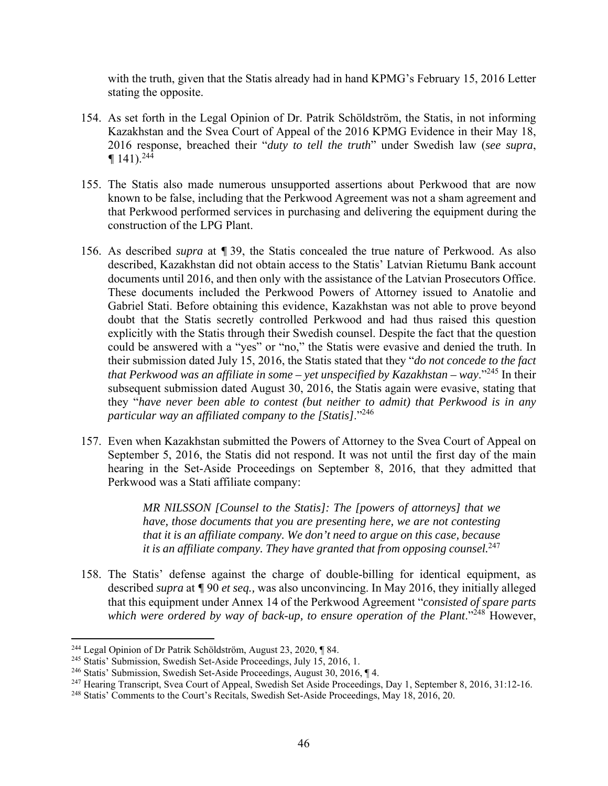with the truth, given that the Statis already had in hand KPMG's February 15, 2016 Letter stating the opposite.

- 154. As set forth in the Legal Opinion of Dr. Patrik Schöldström, the Statis, in not informing Kazakhstan and the Svea Court of Appeal of the 2016 KPMG Evidence in their May 18, 2016 response, breached their "*duty to tell the truth*" under Swedish law (*see supra*,  $\P$  141).<sup>244</sup>
- 155. The Statis also made numerous unsupported assertions about Perkwood that are now known to be false, including that the Perkwood Agreement was not a sham agreement and that Perkwood performed services in purchasing and delivering the equipment during the construction of the LPG Plant.
- 156. As described *supra* at *¶* 39, the Statis concealed the true nature of Perkwood. As also described, Kazakhstan did not obtain access to the Statis' Latvian Rietumu Bank account documents until 2016, and then only with the assistance of the Latvian Prosecutors Office. These documents included the Perkwood Powers of Attorney issued to Anatolie and Gabriel Stati. Before obtaining this evidence, Kazakhstan was not able to prove beyond doubt that the Statis secretly controlled Perkwood and had thus raised this question explicitly with the Statis through their Swedish counsel. Despite the fact that the question could be answered with a "yes" or "no," the Statis were evasive and denied the truth. In their submission dated July 15, 2016, the Statis stated that they "*do not concede to the fact that Perkwood was an affiliate in some – yet unspecified by Kazakhstan – way*."245 In their subsequent submission dated August 30, 2016, the Statis again were evasive, stating that they "*have never been able to contest (but neither to admit) that Perkwood is in any particular way an affiliated company to the [Statis]*."246
- 157. Even when Kazakhstan submitted the Powers of Attorney to the Svea Court of Appeal on September 5, 2016, the Statis did not respond. It was not until the first day of the main hearing in the Set-Aside Proceedings on September 8, 2016, that they admitted that Perkwood was a Stati affiliate company:

*MR NILSSON [Counsel to the Statis]: The [powers of attorneys] that we have, those documents that you are presenting here, we are not contesting that it is an affiliate company. We don't need to argue on this case, because it is an affiliate company. They have granted that from opposing counsel.*<sup>247</sup>

158. The Statis' defense against the charge of double-billing for identical equipment, as described *supra* at *¶* 90 *et seq.,* was also unconvincing. In May 2016, they initially alleged that this equipment under Annex 14 of the Perkwood Agreement "*consisted of spare parts which were ordered by way of back-up, to ensure operation of the Plant.*<sup>248</sup> However,

<sup>244</sup> Legal Opinion of Dr Patrik Schöldström, August 23, 2020, ¶ 84.

<sup>245</sup> Statis' Submission, Swedish Set-Aside Proceedings, July 15, 2016, 1.

<sup>246</sup> Statis' Submission, Swedish Set-Aside Proceedings, August 30, 2016, ¶ 4.

<sup>247</sup> Hearing Transcript, Svea Court of Appeal, Swedish Set Aside Proceedings, Day 1, September 8, 2016, 31:12-16.

<sup>248</sup> Statis' Comments to the Court's Recitals, Swedish Set-Aside Proceedings, May 18, 2016, 20.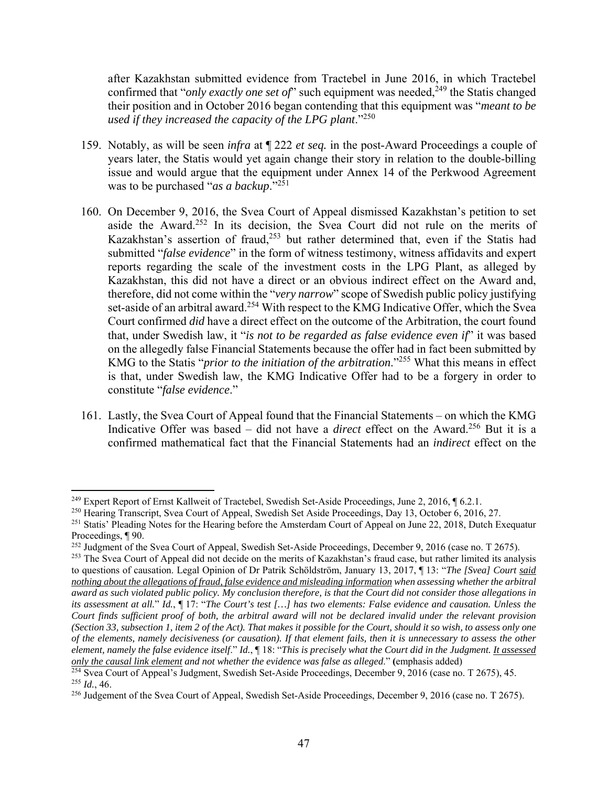after Kazakhstan submitted evidence from Tractebel in June 2016, in which Tractebel confirmed that "*only exactly one set of*" such equipment was needed,<sup>249</sup> the Statis changed their position and in October 2016 began contending that this equipment was "*meant to be used if they increased the capacity of the LPG plant*."250

- 159. Notably, as will be seen *infra* at ¶ 222 *et seq.* in the post-Award Proceedings a couple of years later, the Statis would yet again change their story in relation to the double-billing issue and would argue that the equipment under Annex 14 of the Perkwood Agreement was to be purchased "*as a backup*."251
- 160. On December 9, 2016, the Svea Court of Appeal dismissed Kazakhstan's petition to set aside the Award.252 In its decision, the Svea Court did not rule on the merits of Kazakhstan's assertion of fraud,<sup>253</sup> but rather determined that, even if the Statis had submitted "*false evidence*" in the form of witness testimony, witness affidavits and expert reports regarding the scale of the investment costs in the LPG Plant, as alleged by Kazakhstan, this did not have a direct or an obvious indirect effect on the Award and, therefore, did not come within the "*very narrow*" scope of Swedish public policy justifying set-aside of an arbitral award.<sup>254</sup> With respect to the KMG Indicative Offer, which the Svea Court confirmed *did* have a direct effect on the outcome of the Arbitration, the court found that, under Swedish law, it "*is not to be regarded as false evidence even if*" it was based on the allegedly false Financial Statements because the offer had in fact been submitted by KMG to the Statis "*prior to the initiation of the arbitration*."255 What this means in effect is that, under Swedish law, the KMG Indicative Offer had to be a forgery in order to constitute "*false evidence*."
- 161. Lastly, the Svea Court of Appeal found that the Financial Statements on which the KMG Indicative Offer was based – did not have a *direct* effect on the Award.<sup>256</sup> But it is a confirmed mathematical fact that the Financial Statements had an *indirect* effect on the

<sup>&</sup>lt;sup>249</sup> Expert Report of Ernst Kallweit of Tractebel, Swedish Set-Aside Proceedings, June 2, 2016, ¶ 6.2.1.

<sup>&</sup>lt;sup>250</sup> Hearing Transcript, Svea Court of Appeal, Swedish Set Aside Proceedings, Day 13, October 6, 2016, 27.

<sup>&</sup>lt;sup>251</sup> Statis' Pleading Notes for the Hearing before the Amsterdam Court of Appeal on June 22, 2018, Dutch Exequatur Proceedings, ¶ 90.

<sup>252</sup> Judgment of the Svea Court of Appeal, Swedish Set-Aside Proceedings, December 9, 2016 (case no. T 2675).

<sup>&</sup>lt;sup>253</sup> The Svea Court of Appeal did not decide on the merits of Kazakhstan's fraud case, but rather limited its analysis to questions of causation. Legal Opinion of Dr Patrik Schöldström, January 13, 2017, ¶ 13: "*The [Svea] Court said nothing about the allegations of fraud, false evidence and misleading information when assessing whether the arbitral award as such violated public policy. My conclusion therefore, is that the Court did not consider those allegations in its assessment at all.*" *Id.*, ¶ 17: "*The Court's test […] has two elements: False evidence and causation. Unless the Court finds sufficient proof of both, the arbitral award will not be declared invalid under the relevant provision (Section 33, subsection 1, item 2 of the Act). That makes it possible for the Court, should it so wish, to assess only one of the elements, namely decisiveness (or causation). If that element fails, then it is unnecessary to assess the other element, namely the false evidence itself*." *Id.*, ¶ 18: "*This is precisely what the Court did in the Judgment. It assessed only the causal link element and not whether the evidence was false as alleged*." **(**emphasis added)

<sup>&</sup>lt;sup>254</sup> Svea Court of Appeal's Judgment, Swedish Set-Aside Proceedings, December 9, 2016 (case no. T 2675), 45. <sup>255</sup> *Id.*, 46.

<sup>256</sup> Judgement of the Svea Court of Appeal, Swedish Set-Aside Proceedings, December 9, 2016 (case no. T 2675).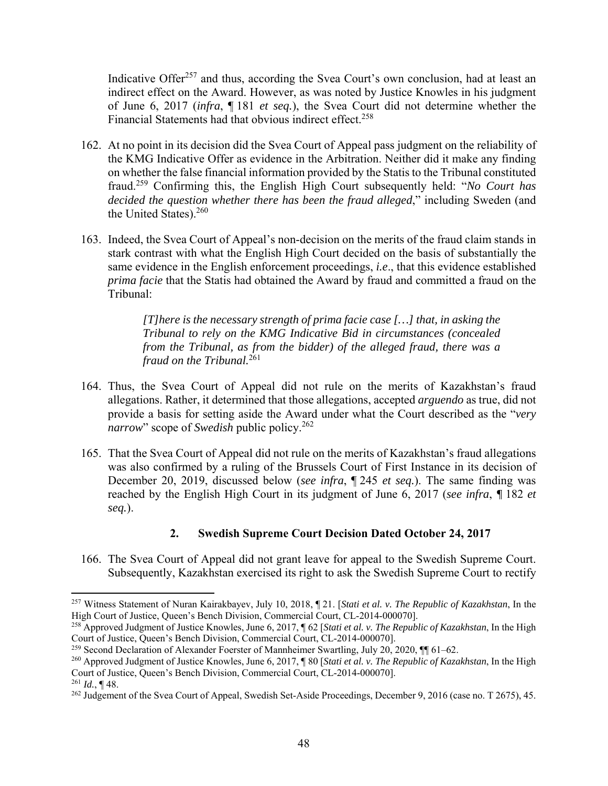Indicative Offer<sup>257</sup> and thus, according the Svea Court's own conclusion, had at least an indirect effect on the Award. However, as was noted by Justice Knowles in his judgment of June 6, 2017 (*infra*, ¶ 181 *et seq.*), the Svea Court did not determine whether the Financial Statements had that obvious indirect effect.<sup>258</sup>

- 162. At no point in its decision did the Svea Court of Appeal pass judgment on the reliability of the KMG Indicative Offer as evidence in the Arbitration. Neither did it make any finding on whether the false financial information provided by the Statis to the Tribunal constituted fraud.259 Confirming this, the English High Court subsequently held: "*No Court has decided the question whether there has been the fraud alleged*," including Sweden (and the United States).260
- 163. Indeed, the Svea Court of Appeal's non-decision on the merits of the fraud claim stands in stark contrast with what the English High Court decided on the basis of substantially the same evidence in the English enforcement proceedings, *i.e*., that this evidence established *prima facie* that the Statis had obtained the Award by fraud and committed a fraud on the Tribunal:

*[T]here is the necessary strength of prima facie case […] that, in asking the Tribunal to rely on the KMG Indicative Bid in circumstances (concealed from the Tribunal, as from the bidder) of the alleged fraud, there was a fraud on the Tribunal.*<sup>261</sup>

- 164. Thus, the Svea Court of Appeal did not rule on the merits of Kazakhstan's fraud allegations. Rather, it determined that those allegations, accepted *arguendo* as true, did not provide a basis for setting aside the Award under what the Court described as the "*very narrow*" scope of *Swedish* public policy.<sup>262</sup>
- 165. That the Svea Court of Appeal did not rule on the merits of Kazakhstan's fraud allegations was also confirmed by a ruling of the Brussels Court of First Instance in its decision of December 20, 2019, discussed below (*see infra*, ¶ 245 *et seq.*). The same finding was reached by the English High Court in its judgment of June 6, 2017 (*see infra*, *¶* 182 *et seq.*).

## **2. Swedish Supreme Court Decision Dated October 24, 2017**

166. The Svea Court of Appeal did not grant leave for appeal to the Swedish Supreme Court. Subsequently, Kazakhstan exercised its right to ask the Swedish Supreme Court to rectify

<sup>257</sup> Witness Statement of Nuran Kairakbayev, July 10, 2018, ¶ 21. [*Stati et al. v. The Republic of Kazakhstan*, In the High Court of Justice, Queen's Bench Division, Commercial Court, CL-2014-0000701.

<sup>258</sup> Approved Judgment of Justice Knowles, June 6, 2017, ¶ 62 [*Stati et al. v. The Republic of Kazakhstan*, In the High Court of Justice, Queen's Bench Division, Commercial Court, CL-2014-000070].

<sup>&</sup>lt;sup>259</sup> Second Declaration of Alexander Foerster of Mannheimer Swartling, July 20, 2020, ¶ 61–62.

<sup>260</sup> Approved Judgment of Justice Knowles, June 6, 2017, ¶ 80 [*Stati et al. v. The Republic of Kazakhstan*, In the High Court of Justice, Queen's Bench Division, Commercial Court, CL-2014-000070]. <sup>261</sup> *Id.*, ¶ 48.

<sup>&</sup>lt;sup>262</sup> Judgement of the Svea Court of Appeal, Swedish Set-Aside Proceedings, December 9, 2016 (case no. T 2675), 45.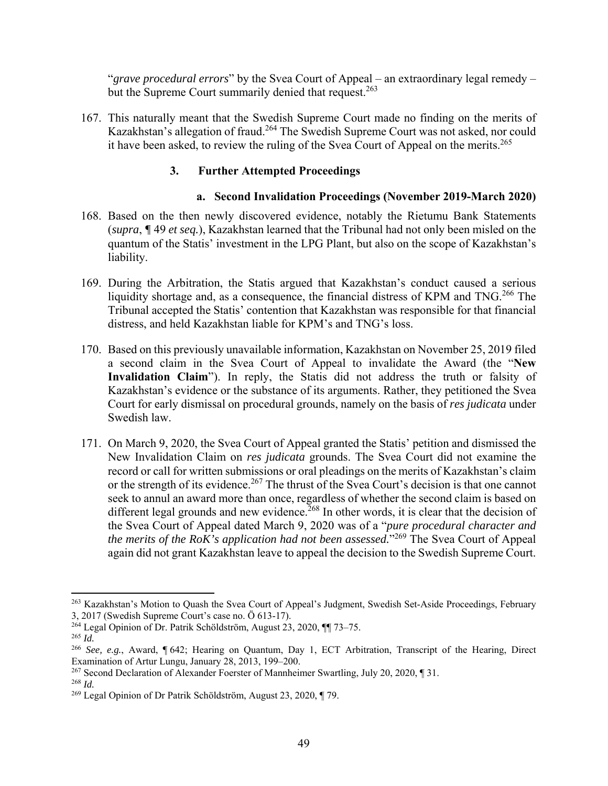"*grave procedural errors*" by the Svea Court of Appeal – an extraordinary legal remedy – but the Supreme Court summarily denied that request.<sup>263</sup>

167. This naturally meant that the Swedish Supreme Court made no finding on the merits of Kazakhstan's allegation of fraud.264 The Swedish Supreme Court was not asked, nor could it have been asked, to review the ruling of the Svea Court of Appeal on the merits.<sup>265</sup>

## **3. Further Attempted Proceedings**

## **a. Second Invalidation Proceedings (November 2019-March 2020)**

- 168. Based on the then newly discovered evidence, notably the Rietumu Bank Statements (*supra*, *¶* 49 *et seq.*), Kazakhstan learned that the Tribunal had not only been misled on the quantum of the Statis' investment in the LPG Plant, but also on the scope of Kazakhstan's liability.
- 169. During the Arbitration, the Statis argued that Kazakhstan's conduct caused a serious liquidity shortage and, as a consequence, the financial distress of KPM and TNG.<sup>266</sup> The Tribunal accepted the Statis' contention that Kazakhstan was responsible for that financial distress, and held Kazakhstan liable for KPM's and TNG's loss.
- 170. Based on this previously unavailable information, Kazakhstan on November 25, 2019 filed a second claim in the Svea Court of Appeal to invalidate the Award (the "**New Invalidation Claim**"). In reply, the Statis did not address the truth or falsity of Kazakhstan's evidence or the substance of its arguments. Rather, they petitioned the Svea Court for early dismissal on procedural grounds, namely on the basis of *res judicata* under Swedish law.
- 171. On March 9, 2020, the Svea Court of Appeal granted the Statis' petition and dismissed the New Invalidation Claim on *res judicata* grounds. The Svea Court did not examine the record or call for written submissions or oral pleadings on the merits of Kazakhstan's claim or the strength of its evidence.<sup>267</sup> The thrust of the Svea Court's decision is that one cannot seek to annul an award more than once, regardless of whether the second claim is based on different legal grounds and new evidence.<sup>268</sup> In other words, it is clear that the decision of the Svea Court of Appeal dated March 9, 2020 was of a "*pure procedural character and the merits of the RoK's application had not been assessed.*"269 The Svea Court of Appeal again did not grant Kazakhstan leave to appeal the decision to the Swedish Supreme Court.

<sup>&</sup>lt;sup>263</sup> Kazakhstan's Motion to Quash the Svea Court of Appeal's Judgment, Swedish Set-Aside Proceedings, February 3, 2017 (Swedish Supreme Court's case no. Ö 613-17).

<sup>264</sup> Legal Opinion of Dr. Patrik Schöldström, August 23, 2020, ¶¶ 73–75.

<sup>265</sup> *Id.*

<sup>266</sup> *See, e.g.*, Award, ¶ 642; Hearing on Quantum, Day 1, ECT Arbitration, Transcript of the Hearing, Direct Examination of Artur Lungu, January 28, 2013, 199–200.

<sup>267</sup> Second Declaration of Alexander Foerster of Mannheimer Swartling, July 20, 2020, ¶ 31.

<sup>268</sup> *Id.*

<sup>269</sup> Legal Opinion of Dr Patrik Schöldström, August 23, 2020, ¶ 79.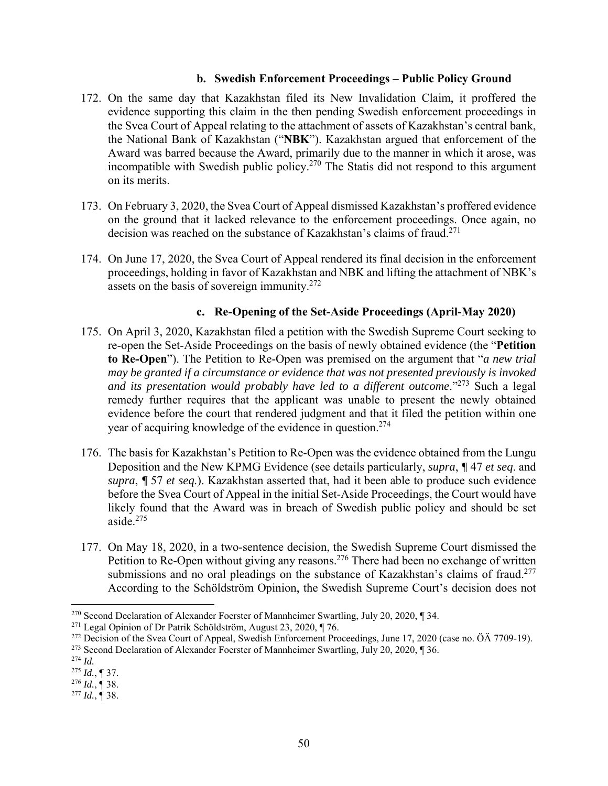### **b. Swedish Enforcement Proceedings – Public Policy Ground**

- 172. On the same day that Kazakhstan filed its New Invalidation Claim, it proffered the evidence supporting this claim in the then pending Swedish enforcement proceedings in the Svea Court of Appeal relating to the attachment of assets of Kazakhstan's central bank, the National Bank of Kazakhstan ("**NBK**"). Kazakhstan argued that enforcement of the Award was barred because the Award, primarily due to the manner in which it arose, was incompatible with Swedish public policy.<sup>270</sup> The Statis did not respond to this argument on its merits.
- 173. On February 3, 2020, the Svea Court of Appeal dismissed Kazakhstan's proffered evidence on the ground that it lacked relevance to the enforcement proceedings. Once again, no decision was reached on the substance of Kazakhstan's claims of fraud.<sup>271</sup>
- 174. On June 17, 2020, the Svea Court of Appeal rendered its final decision in the enforcement proceedings, holding in favor of Kazakhstan and NBK and lifting the attachment of NBK's assets on the basis of sovereign immunity.272

### **c. Re-Opening of the Set-Aside Proceedings (April-May 2020)**

- 175. On April 3, 2020, Kazakhstan filed a petition with the Swedish Supreme Court seeking to re-open the Set-Aside Proceedings on the basis of newly obtained evidence (the "**Petition to Re-Open**"). The Petition to Re-Open was premised on the argument that "*a new trial may be granted if a circumstance or evidence that was not presented previously is invoked and its presentation would probably have led to a different outcome*."273 Such a legal remedy further requires that the applicant was unable to present the newly obtained evidence before the court that rendered judgment and that it filed the petition within one year of acquiring knowledge of the evidence in question.<sup>274</sup>
- 176. The basis for Kazakhstan's Petition to Re-Open was the evidence obtained from the Lungu Deposition and the New KPMG Evidence (see details particularly, *supra*, *¶* 47 *et seq*. and *supra*, *¶* 57 *et seq.*). Kazakhstan asserted that, had it been able to produce such evidence before the Svea Court of Appeal in the initial Set-Aside Proceedings, the Court would have likely found that the Award was in breach of Swedish public policy and should be set aside. $275$
- 177. On May 18, 2020, in a two-sentence decision, the Swedish Supreme Court dismissed the Petition to Re-Open without giving any reasons.<sup>276</sup> There had been no exchange of written submissions and no oral pleadings on the substance of Kazakhstan's claims of fraud.<sup>277</sup> According to the Schöldström Opinion, the Swedish Supreme Court's decision does not

<sup>270</sup> Second Declaration of Alexander Foerster of Mannheimer Swartling, July 20, 2020, ¶ 34.

<sup>271</sup> Legal Opinion of Dr Patrik Schöldström, August 23, 2020, ¶ 76.

<sup>&</sup>lt;sup>272</sup> Decision of the Svea Court of Appeal, Swedish Enforcement Proceedings, June 17, 2020 (case no. ÖÄ 7709-19).

<sup>&</sup>lt;sup>273</sup> Second Declaration of Alexander Foerster of Mannheimer Swartling, July 20, 2020, ¶ 36.

<sup>274</sup> *Id.*

<sup>275</sup> *Id.*, ¶ 37.

<sup>276</sup> *Id.*, ¶ 38.

<sup>277</sup> *Id.*, ¶ 38.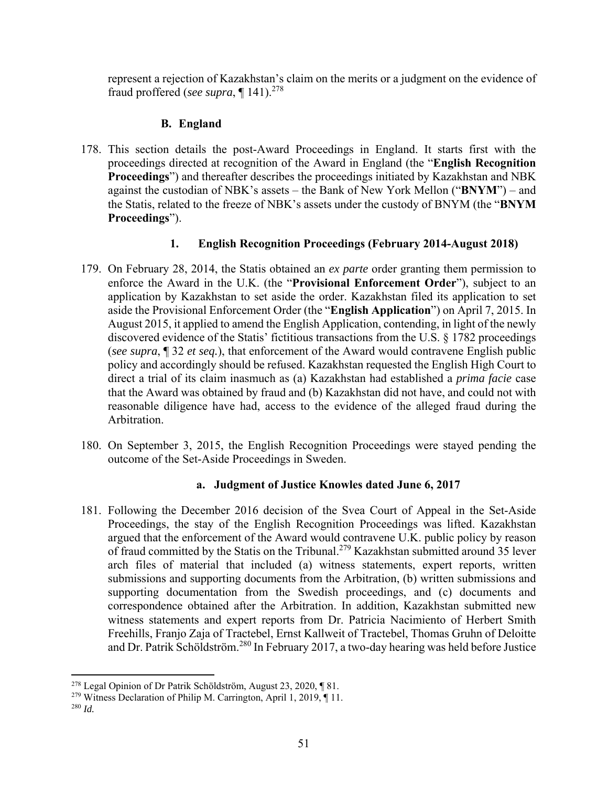represent a rejection of Kazakhstan's claim on the merits or a judgment on the evidence of fraud proffered (*see supra*, ¶ 141).278

# **B. England**

178. This section details the post-Award Proceedings in England. It starts first with the proceedings directed at recognition of the Award in England (the "**English Recognition Proceedings**") and thereafter describes the proceedings initiated by Kazakhstan and NBK against the custodian of NBK's assets – the Bank of New York Mellon ("**BNYM**") – and the Statis, related to the freeze of NBK's assets under the custody of BNYM (the "**BNYM Proceedings**").

# **1. English Recognition Proceedings (February 2014-August 2018)**

- 179. On February 28, 2014, the Statis obtained an *ex parte* order granting them permission to enforce the Award in the U.K. (the "**Provisional Enforcement Order**"), subject to an application by Kazakhstan to set aside the order. Kazakhstan filed its application to set aside the Provisional Enforcement Order (the "**English Application**") on April 7, 2015. In August 2015, it applied to amend the English Application, contending, in light of the newly discovered evidence of the Statis' fictitious transactions from the U.S. § 1782 proceedings (*see supra*, ¶ 32 *et seq.*), that enforcement of the Award would contravene English public policy and accordingly should be refused. Kazakhstan requested the English High Court to direct a trial of its claim inasmuch as (a) Kazakhstan had established a *prima facie* case that the Award was obtained by fraud and (b) Kazakhstan did not have, and could not with reasonable diligence have had, access to the evidence of the alleged fraud during the Arbitration.
- 180. On September 3, 2015, the English Recognition Proceedings were stayed pending the outcome of the Set-Aside Proceedings in Sweden.

## **a. Judgment of Justice Knowles dated June 6, 2017**

181. Following the December 2016 decision of the Svea Court of Appeal in the Set-Aside Proceedings, the stay of the English Recognition Proceedings was lifted. Kazakhstan argued that the enforcement of the Award would contravene U.K. public policy by reason of fraud committed by the Statis on the Tribunal.279 Kazakhstan submitted around 35 lever arch files of material that included (a) witness statements, expert reports, written submissions and supporting documents from the Arbitration, (b) written submissions and supporting documentation from the Swedish proceedings, and (c) documents and correspondence obtained after the Arbitration. In addition, Kazakhstan submitted new witness statements and expert reports from Dr. Patricia Nacimiento of Herbert Smith Freehills, Franjo Zaja of Tractebel, Ernst Kallweit of Tractebel, Thomas Gruhn of Deloitte and Dr. Patrik Schöldström.280 In February 2017, a two-day hearing was held before Justice

 278 Legal Opinion of Dr Patrik Schöldström, August 23, 2020, ¶ 81.

<sup>&</sup>lt;sup>279</sup> Witness Declaration of Philip M. Carrington, April 1, 2019, ¶ 11.

<sup>280</sup> *Id.*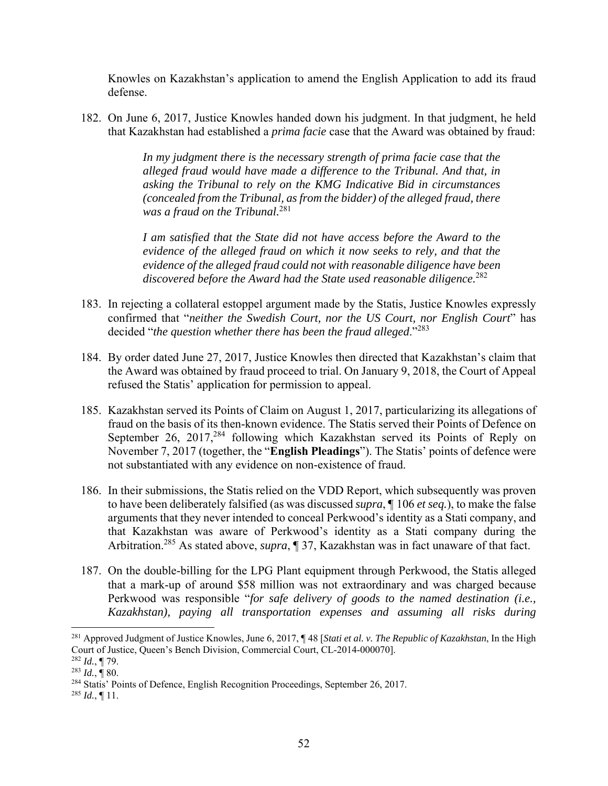Knowles on Kazakhstan's application to amend the English Application to add its fraud defense.

182. On June 6, 2017, Justice Knowles handed down his judgment. In that judgment, he held that Kazakhstan had established a *prima facie* case that the Award was obtained by fraud:

> *In my judgment there is the necessary strength of prima facie case that the alleged fraud would have made a difference to the Tribunal. And that, in asking the Tribunal to rely on the KMG Indicative Bid in circumstances (concealed from the Tribunal, as from the bidder) of the alleged fraud, there was a fraud on the Tribunal.*<sup>281</sup>

> *I am satisfied that the State did not have access before the Award to the evidence of the alleged fraud on which it now seeks to rely, and that the evidence of the alleged fraud could not with reasonable diligence have been discovered before the Award had the State used reasonable diligence.*<sup>282</sup>

- 183. In rejecting a collateral estoppel argument made by the Statis, Justice Knowles expressly confirmed that "*neither the Swedish Court, nor the US Court, nor English Court*" has decided "*the question whether there has been the fraud alleged*."<sup>283</sup>
- 184. By order dated June 27, 2017, Justice Knowles then directed that Kazakhstan's claim that the Award was obtained by fraud proceed to trial. On January 9, 2018, the Court of Appeal refused the Statis' application for permission to appeal.
- 185. Kazakhstan served its Points of Claim on August 1, 2017, particularizing its allegations of fraud on the basis of its then-known evidence. The Statis served their Points of Defence on September 26, 2017,<sup>284</sup> following which Kazakhstan served its Points of Reply on November 7, 2017 (together, the "**English Pleadings**"). The Statis' points of defence were not substantiated with any evidence on non-existence of fraud.
- 186. In their submissions, the Statis relied on the VDD Report, which subsequently was proven to have been deliberately falsified (as was discussed *supra*, ¶ 106 *et seq.*), to make the false arguments that they never intended to conceal Perkwood's identity as a Stati company, and that Kazakhstan was aware of Perkwood's identity as a Stati company during the Arbitration.285 As stated above, *supra*, ¶ 37, Kazakhstan was in fact unaware of that fact.
- 187. On the double-billing for the LPG Plant equipment through Perkwood, the Statis alleged that a mark-up of around \$58 million was not extraordinary and was charged because Perkwood was responsible "*for safe delivery of goods to the named destination (i.e., Kazakhstan), paying all transportation expenses and assuming all risks during*

<sup>281</sup> Approved Judgment of Justice Knowles, June 6, 2017, ¶ 48 [*Stati et al. v. The Republic of Kazakhstan*, In the High Court of Justice, Queen's Bench Division, Commercial Court, CL-2014-000070].

<sup>282</sup> *Id.*, ¶ 79.

 $^{283}$  *Id.*,  $\overline{9}$  80.

<sup>284</sup> Statis' Points of Defence, English Recognition Proceedings, September 26, 2017.

 $^{285}$  *Id.*, ¶ 11.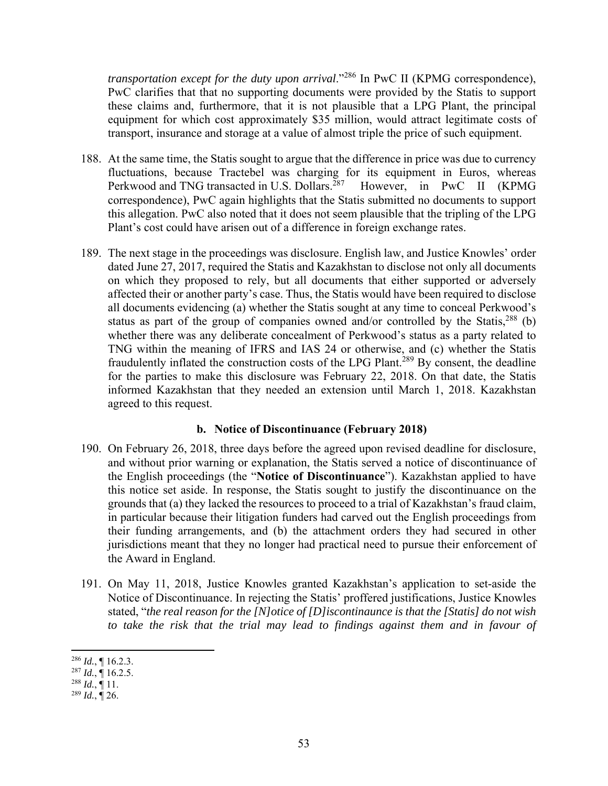*transportation except for the duty upon arrival.*"<sup>286</sup> In PwC II (KPMG correspondence), PwC clarifies that that no supporting documents were provided by the Statis to support these claims and, furthermore, that it is not plausible that a LPG Plant, the principal equipment for which cost approximately \$35 million, would attract legitimate costs of transport, insurance and storage at a value of almost triple the price of such equipment.

- 188. At the same time, the Statis sought to argue that the difference in price was due to currency fluctuations, because Tractebel was charging for its equipment in Euros, whereas Perkwood and TNG transacted in U.S. Dollars.<sup>287</sup> However, in PwC II (KPMG correspondence), PwC again highlights that the Statis submitted no documents to support this allegation. PwC also noted that it does not seem plausible that the tripling of the LPG Plant's cost could have arisen out of a difference in foreign exchange rates.
- 189. The next stage in the proceedings was disclosure. English law, and Justice Knowles' order dated June 27, 2017, required the Statis and Kazakhstan to disclose not only all documents on which they proposed to rely, but all documents that either supported or adversely affected their or another party's case. Thus, the Statis would have been required to disclose all documents evidencing (a) whether the Statis sought at any time to conceal Perkwood's status as part of the group of companies owned and/or controlled by the Statis, $288$  (b) whether there was any deliberate concealment of Perkwood's status as a party related to TNG within the meaning of IFRS and IAS 24 or otherwise, and (c) whether the Statis fraudulently inflated the construction costs of the LPG Plant.<sup>289</sup> By consent, the deadline for the parties to make this disclosure was February 22, 2018. On that date, the Statis informed Kazakhstan that they needed an extension until March 1, 2018. Kazakhstan agreed to this request.

#### **b. Notice of Discontinuance (February 2018)**

- 190. On February 26, 2018, three days before the agreed upon revised deadline for disclosure, and without prior warning or explanation, the Statis served a notice of discontinuance of the English proceedings (the "**Notice of Discontinuance**"). Kazakhstan applied to have this notice set aside. In response, the Statis sought to justify the discontinuance on the grounds that (a) they lacked the resources to proceed to a trial of Kazakhstan's fraud claim, in particular because their litigation funders had carved out the English proceedings from their funding arrangements, and (b) the attachment orders they had secured in other jurisdictions meant that they no longer had practical need to pursue their enforcement of the Award in England.
- 191. On May 11, 2018, Justice Knowles granted Kazakhstan's application to set-aside the Notice of Discontinuance. In rejecting the Statis' proffered justifications, Justice Knowles stated, "*the real reason for the [N]otice of [D]iscontinaunce is that the [Statis] do not wish*  to take the risk that the trial may lead to findings against them and in favour of

<sup>286</sup> *Id.*, ¶ 16.2.3.

 $^{287}$  *Id.*, ¶ 16.2.5.

 $^{288}$  *Id.*,  $\frac{1}{11}$ .

 $^{289}$  *Id.*,  $\overline{9}$  26.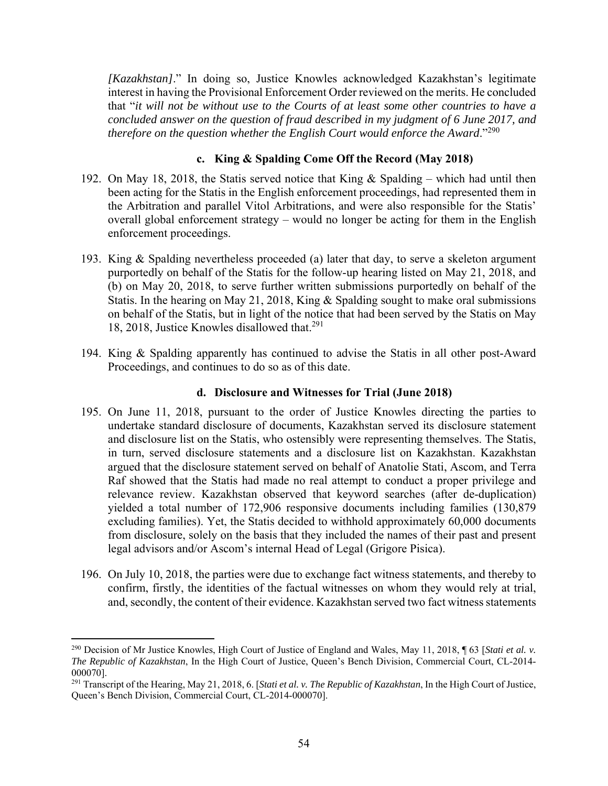*[Kazakhstan]*." In doing so, Justice Knowles acknowledged Kazakhstan's legitimate interest in having the Provisional Enforcement Order reviewed on the merits. He concluded that "*it will not be without use to the Courts of at least some other countries to have a concluded answer on the question of fraud described in my judgment of 6 June 2017, and therefore on the question whether the English Court would enforce the Award*."<sup>290</sup>

## **c. King & Spalding Come Off the Record (May 2018)**

- 192. On May 18, 2018, the Statis served notice that King & Spalding which had until then been acting for the Statis in the English enforcement proceedings, had represented them in the Arbitration and parallel Vitol Arbitrations, and were also responsible for the Statis' overall global enforcement strategy – would no longer be acting for them in the English enforcement proceedings.
- 193. King & Spalding nevertheless proceeded (a) later that day, to serve a skeleton argument purportedly on behalf of the Statis for the follow-up hearing listed on May 21, 2018, and (b) on May 20, 2018, to serve further written submissions purportedly on behalf of the Statis. In the hearing on May 21, 2018, King & Spalding sought to make oral submissions on behalf of the Statis, but in light of the notice that had been served by the Statis on May 18, 2018, Justice Knowles disallowed that.<sup>291</sup>
- 194. King & Spalding apparently has continued to advise the Statis in all other post-Award Proceedings, and continues to do so as of this date.

### **d. Disclosure and Witnesses for Trial (June 2018)**

- 195. On June 11, 2018, pursuant to the order of Justice Knowles directing the parties to undertake standard disclosure of documents, Kazakhstan served its disclosure statement and disclosure list on the Statis, who ostensibly were representing themselves. The Statis, in turn, served disclosure statements and a disclosure list on Kazakhstan. Kazakhstan argued that the disclosure statement served on behalf of Anatolie Stati, Ascom, and Terra Raf showed that the Statis had made no real attempt to conduct a proper privilege and relevance review. Kazakhstan observed that keyword searches (after de-duplication) yielded a total number of 172,906 responsive documents including families (130,879 excluding families). Yet, the Statis decided to withhold approximately 60,000 documents from disclosure, solely on the basis that they included the names of their past and present legal advisors and/or Ascom's internal Head of Legal (Grigore Pisica).
- 196. On July 10, 2018, the parties were due to exchange fact witness statements, and thereby to confirm, firstly, the identities of the factual witnesses on whom they would rely at trial, and, secondly, the content of their evidence. Kazakhstan served two fact witness statements

<sup>290</sup> Decision of Mr Justice Knowles, High Court of Justice of England and Wales, May 11, 2018, ¶ 63 [*Stati et al. v. The Republic of Kazakhstan*, In the High Court of Justice, Queen's Bench Division, Commercial Court, CL-2014- 000070].

<sup>291</sup> Transcript of the Hearing, May 21, 2018, 6. [*Stati et al. v. The Republic of Kazakhstan*, In the High Court of Justice, Queen's Bench Division, Commercial Court, CL-2014-000070].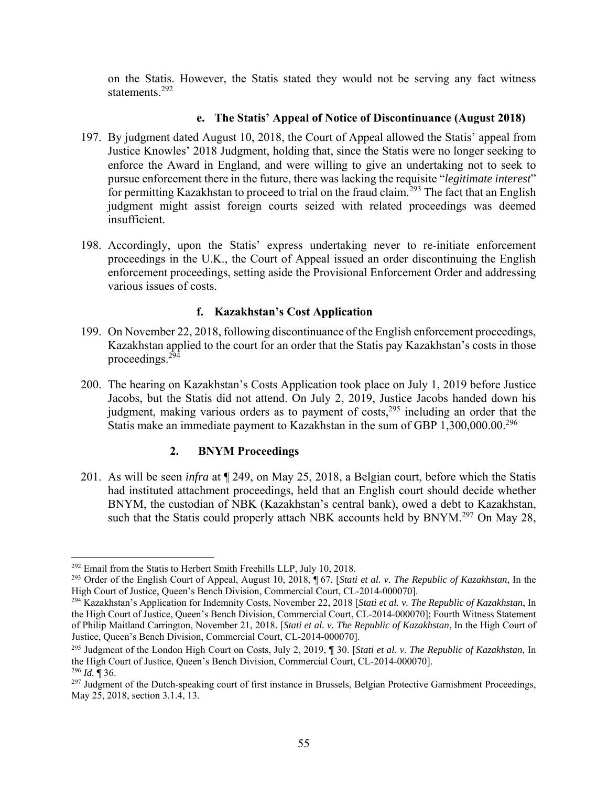on the Statis. However, the Statis stated they would not be serving any fact witness statements.292

### **e. The Statis' Appeal of Notice of Discontinuance (August 2018)**

- 197. By judgment dated August 10, 2018, the Court of Appeal allowed the Statis' appeal from Justice Knowles' 2018 Judgment, holding that, since the Statis were no longer seeking to enforce the Award in England, and were willing to give an undertaking not to seek to pursue enforcement there in the future, there was lacking the requisite "*legitimate interest*" for permitting Kazakhstan to proceed to trial on the fraud claim.<sup>293</sup> The fact that an English judgment might assist foreign courts seized with related proceedings was deemed insufficient.
- 198. Accordingly, upon the Statis' express undertaking never to re-initiate enforcement proceedings in the U.K., the Court of Appeal issued an order discontinuing the English enforcement proceedings, setting aside the Provisional Enforcement Order and addressing various issues of costs.

#### **f. Kazakhstan's Cost Application**

- 199. On November 22, 2018, following discontinuance of the English enforcement proceedings, Kazakhstan applied to the court for an order that the Statis pay Kazakhstan's costs in those proceedings.294
- 200. The hearing on Kazakhstan's Costs Application took place on July 1, 2019 before Justice Jacobs, but the Statis did not attend. On July 2, 2019, Justice Jacobs handed down his judgment, making various orders as to payment of costs,<sup>295</sup> including an order that the Statis make an immediate payment to Kazakhstan in the sum of GBP 1,300,000.00.296

### **2. BNYM Proceedings**

201. As will be seen *infra* at ¶ 249, on May 25, 2018, a Belgian court, before which the Statis had instituted attachment proceedings, held that an English court should decide whether BNYM, the custodian of NBK (Kazakhstan's central bank), owed a debt to Kazakhstan, such that the Statis could properly attach NBK accounts held by  $BNYM.<sup>297</sup>$  On May 28,

<sup>&</sup>lt;sup>292</sup> Email from the Statis to Herbert Smith Freehills LLP, July 10, 2018.

<sup>293</sup> Order of the English Court of Appeal, August 10, 2018, ¶ 67. [*Stati et al. v. The Republic of Kazakhstan*, In the High Court of Justice, Queen's Bench Division, Commercial Court, CL-2014-000070].

<sup>294</sup> Kazakhstan's Application for Indemnity Costs, November 22, 2018 [*Stati et al. v. The Republic of Kazakhstan*, In the High Court of Justice, Queen's Bench Division, Commercial Court, CL-2014-000070]; Fourth Witness Statement of Philip Maitland Carrington, November 21, 2018. [*Stati et al. v. The Republic of Kazakhstan*, In the High Court of Justice, Queen's Bench Division, Commercial Court, CL-2014-000070].

<sup>295</sup> Judgment of the London High Court on Costs, July 2, 2019, ¶ 30. [*Stati et al. v. The Republic of Kazakhstan*, In the High Court of Justice, Queen's Bench Division, Commercial Court, CL-2014-000070]. <sup>296</sup> *Id.* ¶ 36.

<sup>&</sup>lt;sup>297</sup> Judgment of the Dutch-speaking court of first instance in Brussels, Belgian Protective Garnishment Proceedings, May 25, 2018, section 3.1.4, 13.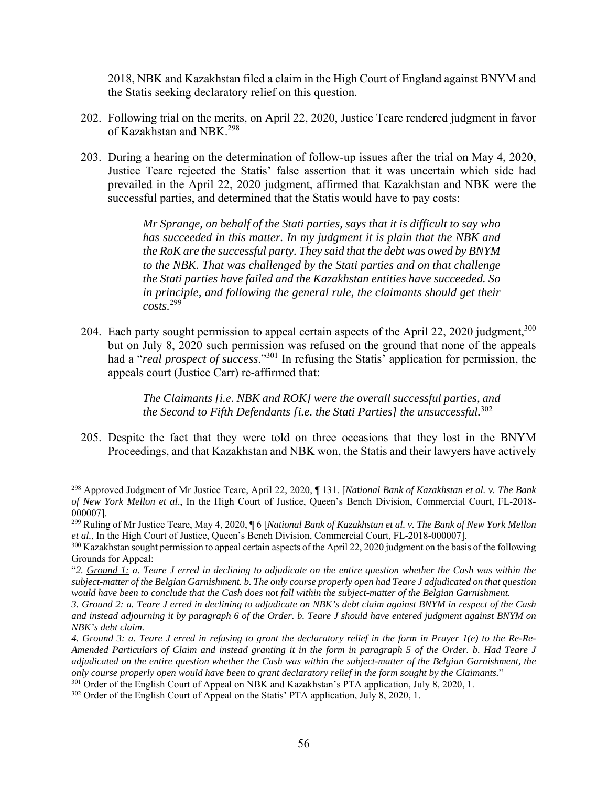2018, NBK and Kazakhstan filed a claim in the High Court of England against BNYM and the Statis seeking declaratory relief on this question.

- 202. Following trial on the merits, on April 22, 2020, Justice Teare rendered judgment in favor of Kazakhstan and NBK.<sup>298</sup>
- 203. During a hearing on the determination of follow-up issues after the trial on May 4, 2020, Justice Teare rejected the Statis' false assertion that it was uncertain which side had prevailed in the April 22, 2020 judgment, affirmed that Kazakhstan and NBK were the successful parties, and determined that the Statis would have to pay costs:

*Mr Sprange, on behalf of the Stati parties, says that it is difficult to say who has succeeded in this matter. In my judgment it is plain that the NBK and the RoK are the successful party. They said that the debt was owed by BNYM to the NBK. That was challenged by the Stati parties and on that challenge the Stati parties have failed and the Kazakhstan entities have succeeded. So in principle, and following the general rule, the claimants should get their costs.*<sup>299</sup>

204. Each party sought permission to appeal certain aspects of the April 22, 2020 judgment,  $300$ but on July 8, 2020 such permission was refused on the ground that none of the appeals had a "*real prospect of success*."301 In refusing the Statis' application for permission, the appeals court (Justice Carr) re-affirmed that:

> *The Claimants [i.e. NBK and ROK] were the overall successful parties, and the Second to Fifth Defendants [i.e. the Stati Parties] the unsuccessful.*<sup>302</sup>

205. Despite the fact that they were told on three occasions that they lost in the BNYM Proceedings, and that Kazakhstan and NBK won, the Statis and their lawyers have actively

<sup>298</sup> Approved Judgment of Mr Justice Teare, April 22, 2020, ¶ 131. [*Na*t*ional Bank of Kazakhstan et al. v. The Bank of New York Mellon et al*., In the High Court of Justice, Queen's Bench Division, Commercial Court, FL-2018- 000007].

<sup>299</sup> Ruling of Mr Justice Teare, May 4, 2020, ¶ 6 [*National Bank of Kazakhstan et al. v. The Bank of New York Mellon et al.*, In the High Court of Justice, Queen's Bench Division, Commercial Court, FL-2018-000007].

<sup>&</sup>lt;sup>300</sup> Kazakhstan sought permission to appeal certain aspects of the April 22, 2020 judgment on the basis of the following Grounds for Appeal:

<sup>&</sup>quot;*2. Ground 1: a. Teare J erred in declining to adjudicate on the entire question whether the Cash was within the subject-matter of the Belgian Garnishment. b. The only course properly open had Teare J adjudicated on that question*  would have been to conclude that the Cash does not fall within the subject-matter of the Belgian Garnishment.

*<sup>3.</sup> Ground 2: a. Teare J erred in declining to adjudicate on NBK's debt claim against BNYM in respect of the Cash and instead adjourning it by paragraph 6 of the Order. b. Teare J should have entered judgment against BNYM on NBK's debt claim.* 

*<sup>4.</sup> Ground 3: a. Teare J erred in refusing to grant the declaratory relief in the form in Prayer 1(e) to the Re-Re-Amended Particulars of Claim and instead granting it in the form in paragraph 5 of the Order. b. Had Teare J adjudicated on the entire question whether the Cash was within the subject-matter of the Belgian Garnishment, the only course properly open would have been to grant declaratory relief in the form sought by the Claimants.*"

<sup>&</sup>lt;sup>301</sup> Order of the English Court of Appeal on NBK and Kazakhstan's PTA application, July 8, 2020, 1.

<sup>&</sup>lt;sup>302</sup> Order of the English Court of Appeal on the Statis' PTA application, July 8, 2020, 1.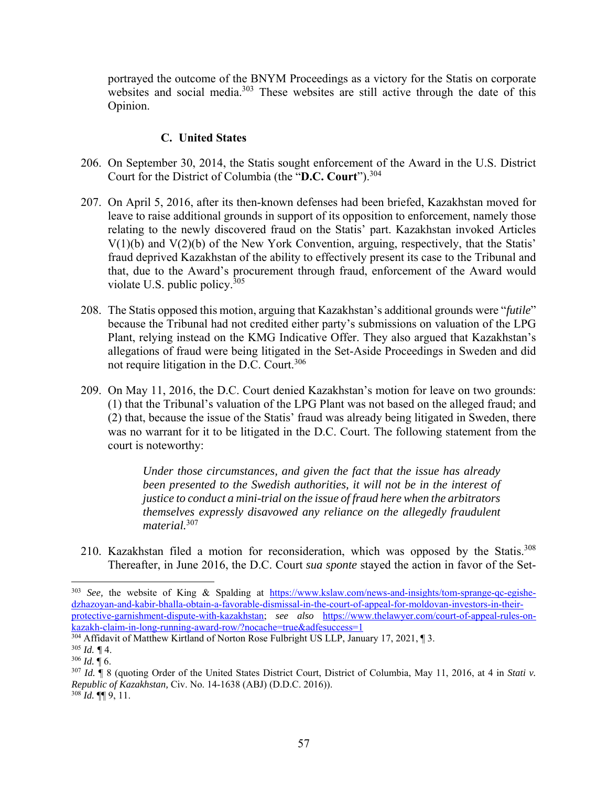portrayed the outcome of the BNYM Proceedings as a victory for the Statis on corporate websites and social media.<sup>303</sup> These websites are still active through the date of this Opinion.

## **C. United States**

- 206. On September 30, 2014, the Statis sought enforcement of the Award in the U.S. District Court for the District of Columbia (the "**D.C. Court**").304
- 207. On April 5, 2016, after its then-known defenses had been briefed, Kazakhstan moved for leave to raise additional grounds in support of its opposition to enforcement, namely those relating to the newly discovered fraud on the Statis' part. Kazakhstan invoked Articles  $V(1)(b)$  and  $V(2)(b)$  of the New York Convention, arguing, respectively, that the Statis' fraud deprived Kazakhstan of the ability to effectively present its case to the Tribunal and that, due to the Award's procurement through fraud, enforcement of the Award would violate U.S. public policy.305
- 208. The Statis opposed this motion, arguing that Kazakhstan's additional grounds were "*futile*" because the Tribunal had not credited either party's submissions on valuation of the LPG Plant, relying instead on the KMG Indicative Offer. They also argued that Kazakhstan's allegations of fraud were being litigated in the Set-Aside Proceedings in Sweden and did not require litigation in the D.C. Court.<sup>306</sup>
- 209. On May 11, 2016, the D.C. Court denied Kazakhstan's motion for leave on two grounds: (1) that the Tribunal's valuation of the LPG Plant was not based on the alleged fraud; and (2) that, because the issue of the Statis' fraud was already being litigated in Sweden, there was no warrant for it to be litigated in the D.C. Court. The following statement from the court is noteworthy:

*Under those circumstances, and given the fact that the issue has already been presented to the Swedish authorities, it will not be in the interest of justice to conduct a mini-trial on the issue of fraud here when the arbitrators themselves expressly disavowed any reliance on the allegedly fraudulent material.*<sup>307</sup>

210. Kazakhstan filed a motion for reconsideration, which was opposed by the Statis.<sup>308</sup> Thereafter, in June 2016, the D.C. Court *sua sponte* stayed the action in favor of the Set-

<sup>303</sup> *See,* the website of King & Spalding at https://www.kslaw.com/news-and-insights/tom-sprange-qc-egishedzhazoyan-and-kabir-bhalla-obtain-a-favorable-dismissal-in-the-court-of-appeal-for-moldovan-investors-in-theirprotective-garnishment-dispute-with-kazakhstan; *see also* https://www.thelawyer.com/court-of-appeal-rules-onkazakh-claim-in-long-running-award-row/?nocache=true&adfesuccess=1

<sup>&</sup>lt;sup>304</sup> Affidavit of Matthew Kirtland of Norton Rose Fulbright US LLP, January 17, 2021, 13.

<sup>305</sup> *Id. ¶* 4.

<sup>306</sup> *Id.* ¶ 6.

<sup>307</sup> *Id.* ¶ 8 (quoting Order of the United States District Court, District of Columbia, May 11, 2016, at 4 in *Stati v. Republic of Kazakhstan,* Civ. No. 14-1638 (ABJ) (D.D.C. 2016)).  $308$  *Id.* **[[**] 9, 11.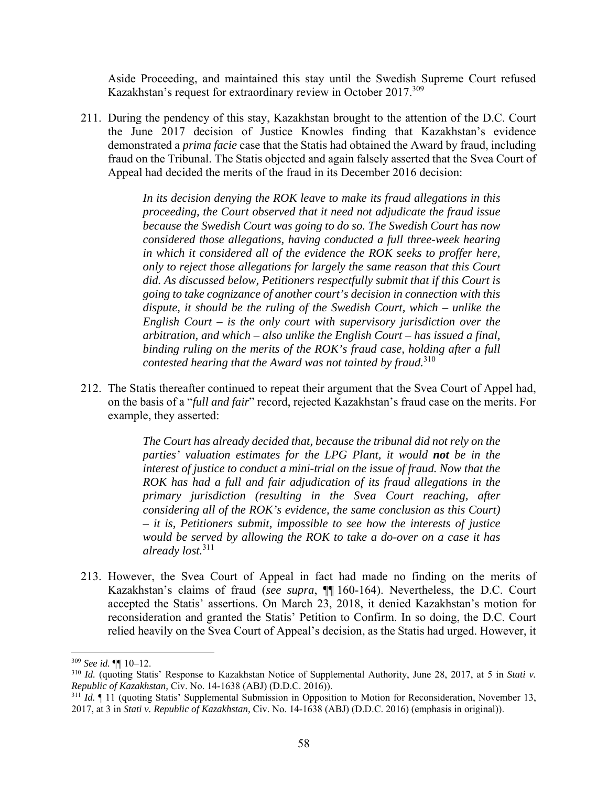Aside Proceeding, and maintained this stay until the Swedish Supreme Court refused Kazakhstan's request for extraordinary review in October 2017.<sup>309</sup>

211. During the pendency of this stay, Kazakhstan brought to the attention of the D.C. Court the June 2017 decision of Justice Knowles finding that Kazakhstan's evidence demonstrated a *prima facie* case that the Statis had obtained the Award by fraud, including fraud on the Tribunal. The Statis objected and again falsely asserted that the Svea Court of Appeal had decided the merits of the fraud in its December 2016 decision:

> *In its decision denying the ROK leave to make its fraud allegations in this proceeding, the Court observed that it need not adjudicate the fraud issue because the Swedish Court was going to do so. The Swedish Court has now considered those allegations, having conducted a full three-week hearing in which it considered all of the evidence the ROK seeks to proffer here, only to reject those allegations for largely the same reason that this Court did. As discussed below, Petitioners respectfully submit that if this Court is going to take cognizance of another court's decision in connection with this dispute, it should be the ruling of the Swedish Court, which – unlike the English Court – is the only court with supervisory jurisdiction over the arbitration, and which – also unlike the English Court – has issued a final, binding ruling on the merits of the ROK's fraud case, holding after a full contested hearing that the Award was not tainted by fraud.*<sup>310</sup>

212. The Statis thereafter continued to repeat their argument that the Svea Court of Appel had, on the basis of a "*full and fair*" record, rejected Kazakhstan's fraud case on the merits. For example, they asserted:

> *The Court has already decided that, because the tribunal did not rely on the parties' valuation estimates for the LPG Plant, it would not be in the interest of justice to conduct a mini-trial on the issue of fraud. Now that the ROK has had a full and fair adjudication of its fraud allegations in the primary jurisdiction (resulting in the Svea Court reaching, after considering all of the ROK's evidence, the same conclusion as this Court) – it is, Petitioners submit, impossible to see how the interests of justice would be served by allowing the ROK to take a do-over on a case it has already lost.*<sup>311</sup>

213. However, the Svea Court of Appeal in fact had made no finding on the merits of Kazakhstan's claims of fraud (*see supra*, ¶¶ 160-164). Nevertheless, the D.C. Court accepted the Statis' assertions. On March 23, 2018, it denied Kazakhstan's motion for reconsideration and granted the Statis' Petition to Confirm. In so doing, the D.C. Court relied heavily on the Svea Court of Appeal's decision, as the Statis had urged. However, it

<sup>309</sup> *See id.* ¶¶ 10–12.

<sup>310</sup> *Id.* (quoting Statis' Response to Kazakhstan Notice of Supplemental Authority, June 28, 2017, at 5 in *Stati v. Republic of Kazakhstan,* Civ. No. 14-1638 (ABJ) (D.D.C. 2016)).

<sup>&</sup>lt;sup>311</sup> *Id.*  $\P$  11 (quoting Statis' Supplemental Submission in Opposition to Motion for Reconsideration, November 13, 2017, at 3 in *Stati v. Republic of Kazakhstan,* Civ. No. 14-1638 (ABJ) (D.D.C. 2016) (emphasis in original)).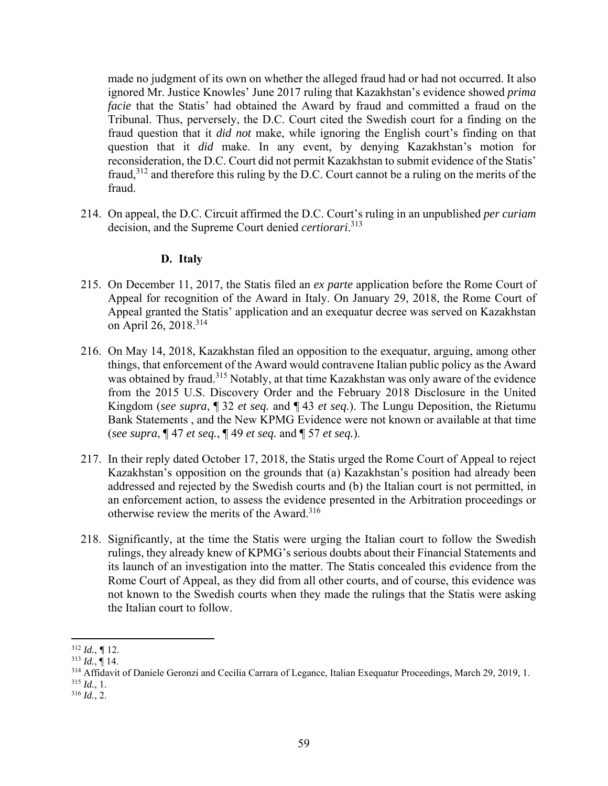made no judgment of its own on whether the alleged fraud had or had not occurred. It also ignored Mr. Justice Knowles' June 2017 ruling that Kazakhstan's evidence showed *prima facie* that the Statis' had obtained the Award by fraud and committed a fraud on the Tribunal. Thus, perversely, the D.C. Court cited the Swedish court for a finding on the fraud question that it *did not* make, while ignoring the English court's finding on that question that it *did* make. In any event, by denying Kazakhstan's motion for reconsideration, the D.C. Court did not permit Kazakhstan to submit evidence of the Statis' fraud,312 and therefore this ruling by the D.C. Court cannot be a ruling on the merits of the fraud.

214. On appeal, the D.C. Circuit affirmed the D.C. Court's ruling in an unpublished *per curiam* decision, and the Supreme Court denied *certiorari*. 313

## **D. Italy**

- 215. On December 11, 2017, the Statis filed an *ex parte* application before the Rome Court of Appeal for recognition of the Award in Italy. On January 29, 2018, the Rome Court of Appeal granted the Statis' application and an exequatur decree was served on Kazakhstan on April 26, 2018.<sup>314</sup>
- 216. On May 14, 2018, Kazakhstan filed an opposition to the exequatur, arguing, among other things, that enforcement of the Award would contravene Italian public policy as the Award was obtained by fraud.<sup>315</sup> Notably, at that time Kazakhstan was only aware of the evidence from the 2015 U.S. Discovery Order and the February 2018 Disclosure in the United Kingdom (*see supra*, ¶ 32 *et seq.* and ¶ 43 *et seq.*). The Lungu Deposition, the Rietumu Bank Statements , and the New KPMG Evidence were not known or available at that time (*see supra*, ¶ 47 *et seq.*, ¶ 49 *et seq.* and ¶ 57 *et seq.*).
- 217. In their reply dated October 17, 2018, the Statis urged the Rome Court of Appeal to reject Kazakhstan's opposition on the grounds that (a) Kazakhstan's position had already been addressed and rejected by the Swedish courts and (b) the Italian court is not permitted, in an enforcement action, to assess the evidence presented in the Arbitration proceedings or otherwise review the merits of the Award.316
- 218. Significantly, at the time the Statis were urging the Italian court to follow the Swedish rulings, they already knew of KPMG's serious doubts about their Financial Statements and its launch of an investigation into the matter. The Statis concealed this evidence from the Rome Court of Appeal, as they did from all other courts, and of course, this evidence was not known to the Swedish courts when they made the rulings that the Statis were asking the Italian court to follow.

 <sup>312</sup> *Id.*, *¶* 12.

<sup>313</sup> *Id.*, ¶ 14.

<sup>&</sup>lt;sup>314</sup> Affidavit of Daniele Geronzi and Cecilia Carrara of Legance, Italian Exequatur Proceedings, March 29, 2019, 1. <sup>315</sup> *Id.*, 1.

<sup>316</sup> *Id.*, 2.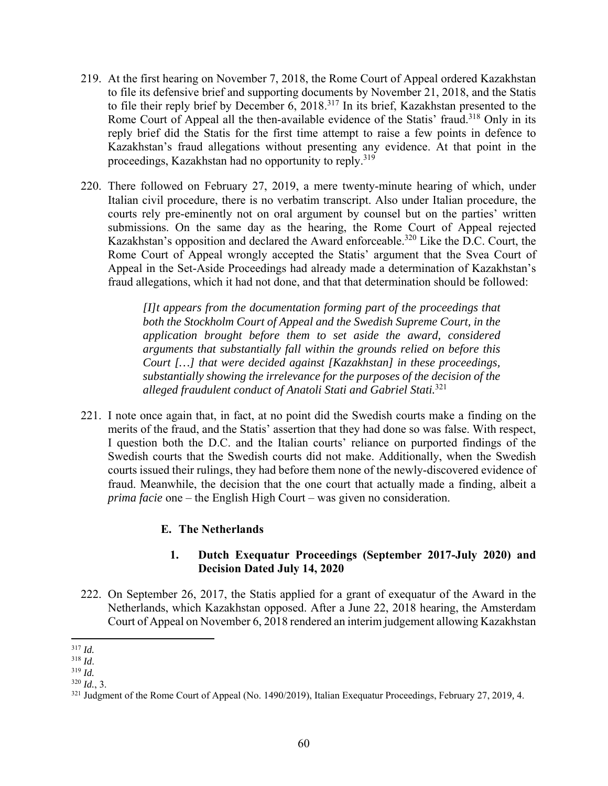- 219. At the first hearing on November 7, 2018, the Rome Court of Appeal ordered Kazakhstan to file its defensive brief and supporting documents by November 21, 2018, and the Statis to file their reply brief by December 6,  $2018<sup>317</sup>$  In its brief, Kazakhstan presented to the Rome Court of Appeal all the then-available evidence of the Statis' fraud.<sup>318</sup> Only in its reply brief did the Statis for the first time attempt to raise a few points in defence to Kazakhstan's fraud allegations without presenting any evidence. At that point in the proceedings, Kazakhstan had no opportunity to reply.<sup>319</sup>
- 220. There followed on February 27, 2019, a mere twenty-minute hearing of which, under Italian civil procedure, there is no verbatim transcript. Also under Italian procedure, the courts rely pre-eminently not on oral argument by counsel but on the parties' written submissions. On the same day as the hearing, the Rome Court of Appeal rejected Kazakhstan's opposition and declared the Award enforceable.<sup>320</sup> Like the D.C. Court, the Rome Court of Appeal wrongly accepted the Statis' argument that the Svea Court of Appeal in the Set-Aside Proceedings had already made a determination of Kazakhstan's fraud allegations, which it had not done, and that that determination should be followed:

*[I]t appears from the documentation forming part of the proceedings that both the Stockholm Court of Appeal and the Swedish Supreme Court, in the application brought before them to set aside the award, considered arguments that substantially fall within the grounds relied on before this Court […] that were decided against [Kazakhstan] in these proceedings, substantially showing the irrelevance for the purposes of the decision of the alleged fraudulent conduct of Anatoli Stati and Gabriel Stati.*<sup>321</sup>

221. I note once again that, in fact, at no point did the Swedish courts make a finding on the merits of the fraud, and the Statis' assertion that they had done so was false. With respect, I question both the D.C. and the Italian courts' reliance on purported findings of the Swedish courts that the Swedish courts did not make. Additionally, when the Swedish courts issued their rulings, they had before them none of the newly-discovered evidence of fraud. Meanwhile, the decision that the one court that actually made a finding, albeit a *prima facie* one – the English High Court – was given no consideration.

### **E. The Netherlands**

## **1. Dutch Exequatur Proceedings (September 2017-July 2020) and Decision Dated July 14, 2020**

222. On September 26, 2017, the Statis applied for a grant of exequatur of the Award in the Netherlands, which Kazakhstan opposed. After a June 22, 2018 hearing, the Amsterdam Court of Appeal on November 6, 2018 rendered an interim judgement allowing Kazakhstan

<sup>317</sup> *Id.*

<sup>318</sup> *Id*. 319 *Id.*

<sup>320</sup> *Id.*, 3.

<sup>321</sup> Judgment of the Rome Court of Appeal (No. 1490/2019), Italian Exequatur Proceedings, February 27, 2019*,* 4.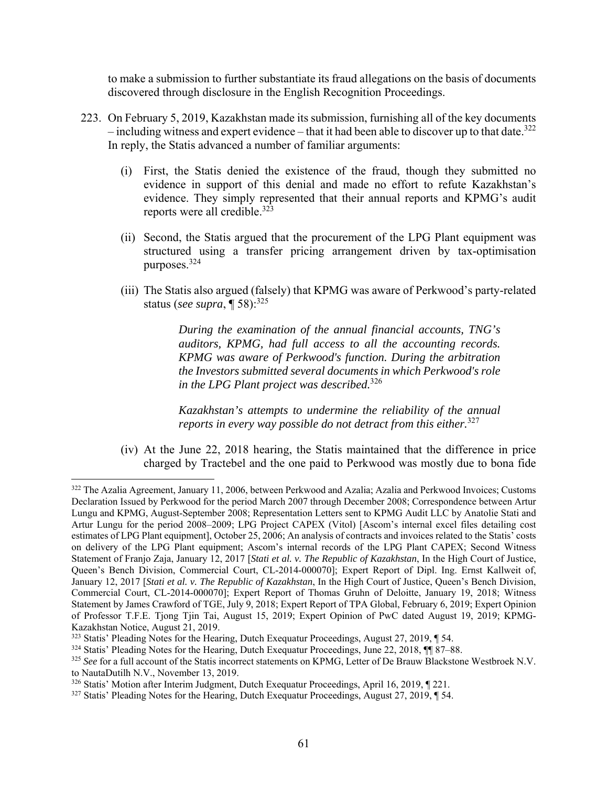to make a submission to further substantiate its fraud allegations on the basis of documents discovered through disclosure in the English Recognition Proceedings.

- 223. On February 5, 2019, Kazakhstan made its submission, furnishing all of the key documents – including witness and expert evidence – that it had been able to discover up to that date.<sup>322</sup> In reply, the Statis advanced a number of familiar arguments:
	- (i) First, the Statis denied the existence of the fraud, though they submitted no evidence in support of this denial and made no effort to refute Kazakhstan's evidence. They simply represented that their annual reports and KPMG's audit reports were all credible.<sup>323</sup>
	- (ii) Second, the Statis argued that the procurement of the LPG Plant equipment was structured using a transfer pricing arrangement driven by tax-optimisation purposes.324
	- (iii) The Statis also argued (falsely) that KPMG was aware of Perkwood's party-related status (*see supra*, ¶ 58):325

*During the examination of the annual financial accounts, TNG's auditors, KPMG, had full access to all the accounting records. KPMG was aware of Perkwood's function. During the arbitration the Investors submitted several documents in which Perkwood's role in the LPG Plant project was described.*<sup>326</sup>

*Kazakhstan's attempts to undermine the reliability of the annual reports in every way possible do not detract from this either.*<sup>327</sup>

(iv) At the June 22, 2018 hearing, the Statis maintained that the difference in price charged by Tractebel and the one paid to Perkwood was mostly due to bona fide

<sup>&</sup>lt;sup>322</sup> The Azalia Agreement, January 11, 2006, between Perkwood and Azalia; Azalia and Perkwood Invoices; Customs Declaration Issued by Perkwood for the period March 2007 through December 2008; Correspondence between Artur Lungu and KPMG, August-September 2008; Representation Letters sent to KPMG Audit LLC by Anatolie Stati and Artur Lungu for the period 2008–2009; LPG Project CAPEX (Vitol) [Ascom's internal excel files detailing cost estimates of LPG Plant equipment], October 25, 2006; An analysis of contracts and invoices related to the Statis' costs on delivery of the LPG Plant equipment; Ascom's internal records of the LPG Plant CAPEX; Second Witness Statement of Franjo Zaja, January 12, 2017 [*Stati et al. v. The Republic of Kazakhstan*, In the High Court of Justice, Queen's Bench Division, Commercial Court, CL-2014-000070]; Expert Report of Dipl. Ing. Ernst Kallweit of, January 12, 2017 [*Stati et al. v. The Republic of Kazakhstan*, In the High Court of Justice, Queen's Bench Division, Commercial Court, CL-2014-000070]; Expert Report of Thomas Gruhn of Deloitte, January 19, 2018; Witness Statement by James Crawford of TGE, July 9, 2018; Expert Report of TPA Global, February 6, 2019; Expert Opinion of Professor T.F.E. Tjong Tjin Tai, August 15, 2019; Expert Opinion of PwC dated August 19, 2019; KPMG-Kazakhstan Notice, August 21, 2019.

<sup>&</sup>lt;sup>323</sup> Statis' Pleading Notes for the Hearing, Dutch Exequatur Proceedings, August 27, 2019, ¶ 54.

<sup>324</sup> Statis' Pleading Notes for the Hearing, Dutch Exequatur Proceedings, June 22, 2018, ¶¶ 87–88.

<sup>325</sup> *See* for a full account of the Statis incorrect statements on KPMG, Letter of De Brauw Blackstone Westbroek N.V. to NautaDutilh N.V., November 13, 2019.

<sup>326</sup> Statis' Motion after Interim Judgment, Dutch Exequatur Proceedings, April 16, 2019, ¶ 221.

<sup>327</sup> Statis' Pleading Notes for the Hearing, Dutch Exequatur Proceedings, August 27, 2019, ¶ 54.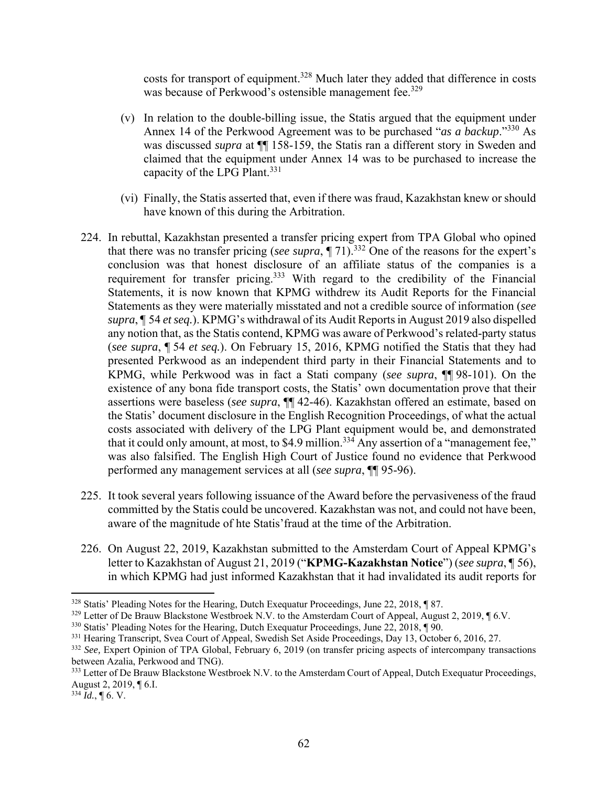costs for transport of equipment.<sup>328</sup> Much later they added that difference in costs was because of Perkwood's ostensible management fee.<sup>329</sup>

- (v) In relation to the double-billing issue, the Statis argued that the equipment under Annex 14 of the Perkwood Agreement was to be purchased "*as a backup*."330 As was discussed *supra* at ¶¶ 158-159, the Statis ran a different story in Sweden and claimed that the equipment under Annex 14 was to be purchased to increase the capacity of the LPG Plant.<sup>331</sup>
- (vi) Finally, the Statis asserted that, even if there was fraud, Kazakhstan knew or should have known of this during the Arbitration.
- 224. In rebuttal, Kazakhstan presented a transfer pricing expert from TPA Global who opined that there was no transfer pricing (*see supra*, ¶ 71).332 One of the reasons for the expert's conclusion was that honest disclosure of an affiliate status of the companies is a requirement for transfer pricing.333 With regard to the credibility of the Financial Statements, it is now known that KPMG withdrew its Audit Reports for the Financial Statements as they were materially misstated and not a credible source of information (*see supra*, ¶ 54 *et seq.*). KPMG's withdrawal of its Audit Reports in August 2019 also dispelled any notion that, as the Statis contend, KPMG was aware of Perkwood's related-party status (*see supra*, ¶ 54 *et seq.*). On February 15, 2016, KPMG notified the Statis that they had presented Perkwood as an independent third party in their Financial Statements and to KPMG, while Perkwood was in fact a Stati company (*see supra*, ¶¶ 98-101). On the existence of any bona fide transport costs, the Statis' own documentation prove that their assertions were baseless (*see supra*, ¶¶ 42-46). Kazakhstan offered an estimate, based on the Statis' document disclosure in the English Recognition Proceedings, of what the actual costs associated with delivery of the LPG Plant equipment would be, and demonstrated that it could only amount, at most, to \$4.9 million.<sup>334</sup> Any assertion of a "management fee," was also falsified. The English High Court of Justice found no evidence that Perkwood performed any management services at all (*see supra*, ¶¶ 95-96).
- 225. It took several years following issuance of the Award before the pervasiveness of the fraud committed by the Statis could be uncovered. Kazakhstan was not, and could not have been, aware of the magnitude of hte Statis'fraud at the time of the Arbitration.
- 226. On August 22, 2019, Kazakhstan submitted to the Amsterdam Court of Appeal KPMG's letter to Kazakhstan of August 21, 2019 ("**KPMG-Kazakhstan Notice**") (*see supra*, ¶ 56), in which KPMG had just informed Kazakhstan that it had invalidated its audit reports for

<sup>328</sup> Statis' Pleading Notes for the Hearing, Dutch Exequatur Proceedings, June 22, 2018, ¶ 87.

 $329$  Letter of De Brauw Blackstone Westbroek N.V. to the Amsterdam Court of Appeal, August 2, 2019,  $\P$  6.V.

<sup>&</sup>lt;sup>330</sup> Statis' Pleading Notes for the Hearing, Dutch Exequatur Proceedings, June 22, 2018, ¶ 90.

<sup>&</sup>lt;sup>331</sup> Hearing Transcript, Svea Court of Appeal, Swedish Set Aside Proceedings, Day 13, October 6, 2016, 27.

<sup>&</sup>lt;sup>332</sup> See, Expert Opinion of TPA Global, February 6, 2019 (on transfer pricing aspects of intercompany transactions between Azalia, Perkwood and TNG).

<sup>&</sup>lt;sup>333</sup> Letter of De Brauw Blackstone Westbroek N.V. to the Amsterdam Court of Appeal, Dutch Exequatur Proceedings, August 2, 2019, ¶ 6.I.

 $334$  *Id.*, **[6. V.**]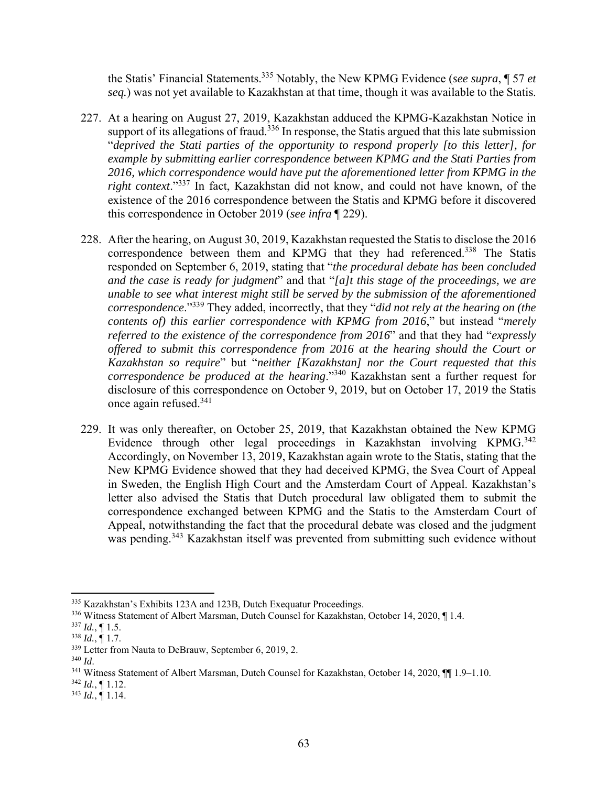the Statis' Financial Statements.335 Notably, the New KPMG Evidence (*see supra*, ¶ 57 *et seq.*) was not yet available to Kazakhstan at that time, though it was available to the Statis.

- 227. At a hearing on August 27, 2019, Kazakhstan adduced the KPMG-Kazakhstan Notice in support of its allegations of fraud.<sup>336</sup> In response, the Statis argued that this late submission "*deprived the Stati parties of the opportunity to respond properly [to this letter], for example by submitting earlier correspondence between KPMG and the Stati Parties from 2016, which correspondence would have put the aforementioned letter from KPMG in the right context*."337 In fact, Kazakhstan did not know, and could not have known, of the existence of the 2016 correspondence between the Statis and KPMG before it discovered this correspondence in October 2019 (*see infra* ¶ 229).
- 228. After the hearing, on August 30, 2019, Kazakhstan requested the Statis to disclose the 2016 correspondence between them and KPMG that they had referenced.<sup>338</sup> The Statis responded on September 6, 2019, stating that "*the procedural debate has been concluded and the case is ready for judgment*" and that "*[a]t this stage of the proceedings, we are unable to see what interest might still be served by the submission of the aforementioned correspondence*."339 They added, incorrectly, that they "*did not rely at the hearing on (the contents of) this earlier correspondence with KPMG from 2016*," but instead "*merely referred to the existence of the correspondence from 2016*" and that they had "*expressly offered to submit this correspondence from 2016 at the hearing should the Court or Kazakhstan so require*" but "*neither [Kazakhstan] nor the Court requested that this correspondence be produced at the hearing*."340 Kazakhstan sent a further request for disclosure of this correspondence on October 9, 2019, but on October 17, 2019 the Statis once again refused.341
- 229. It was only thereafter, on October 25, 2019, that Kazakhstan obtained the New KPMG Evidence through other legal proceedings in Kazakhstan involving KPMG.<sup>342</sup> Accordingly, on November 13, 2019, Kazakhstan again wrote to the Statis, stating that the New KPMG Evidence showed that they had deceived KPMG, the Svea Court of Appeal in Sweden, the English High Court and the Amsterdam Court of Appeal. Kazakhstan's letter also advised the Statis that Dutch procedural law obligated them to submit the correspondence exchanged between KPMG and the Statis to the Amsterdam Court of Appeal, notwithstanding the fact that the procedural debate was closed and the judgment was pending.<sup>343</sup> Kazakhstan itself was prevented from submitting such evidence without

<sup>335</sup> Kazakhstan's Exhibits 123A and 123B, Dutch Exequatur Proceedings.

<sup>336</sup> Witness Statement of Albert Marsman, Dutch Counsel for Kazakhstan, October 14, 2020, ¶ 1.4.

 $337$  *Id.*,  $\P$  1.5.

 $^{338}$  *Id.*,  $\overline{$  1.7.

 $339$  Letter from Nauta to DeBrauw, September 6, 2019, 2.<br> $340$  *Id.* 

<sup>&</sup>lt;sup>341</sup> Witness Statement of Albert Marsman, Dutch Counsel for Kazakhstan, October 14, 2020, ¶[1.9–1.10.]

 $342$  *Id.*, 11.12.

 $343$  *Id.*,  $\overline{9}$  1.14.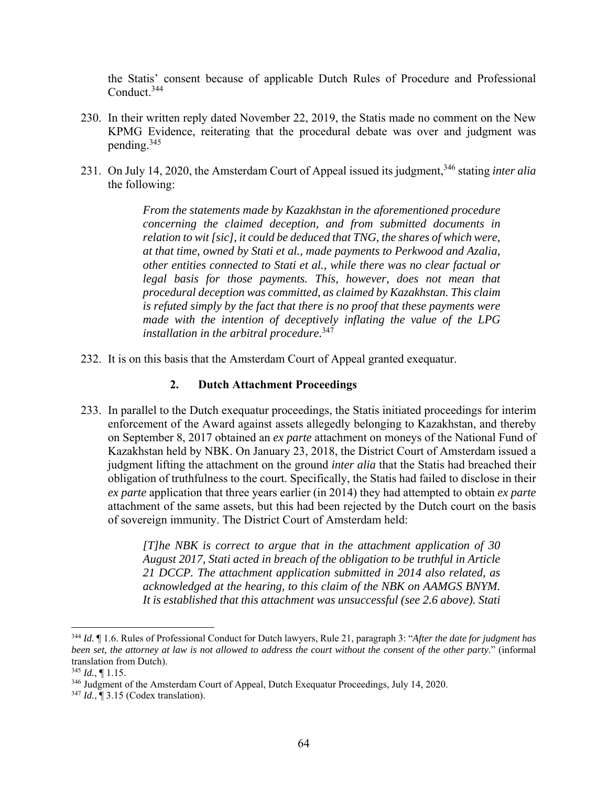the Statis' consent because of applicable Dutch Rules of Procedure and Professional Conduct.<sup>344</sup>

- 230. In their written reply dated November 22, 2019, the Statis made no comment on the New KPMG Evidence, reiterating that the procedural debate was over and judgment was pending.345
- 231. On July 14, 2020, the Amsterdam Court of Appeal issued its judgment,346 stating *inter alia* the following:

*From the statements made by Kazakhstan in the aforementioned procedure concerning the claimed deception, and from submitted documents in relation to wit [sic], it could be deduced that TNG, the shares of which were, at that time, owned by Stati et al., made payments to Perkwood and Azalia, other entities connected to Stati et al., while there was no clear factual or legal basis for those payments. This, however, does not mean that procedural deception was committed, as claimed by Kazakhstan. This claim is refuted simply by the fact that there is no proof that these payments were made with the intention of deceptively inflating the value of the LPG installation in the arbitral procedure.*<sup>347</sup>

232. It is on this basis that the Amsterdam Court of Appeal granted exequatur.

### **2. Dutch Attachment Proceedings**

233. In parallel to the Dutch exequatur proceedings, the Statis initiated proceedings for interim enforcement of the Award against assets allegedly belonging to Kazakhstan, and thereby on September 8, 2017 obtained an *ex parte* attachment on moneys of the National Fund of Kazakhstan held by NBK. On January 23, 2018, the District Court of Amsterdam issued a judgment lifting the attachment on the ground *inter alia* that the Statis had breached their obligation of truthfulness to the court. Specifically, the Statis had failed to disclose in their *ex parte* application that three years earlier (in 2014) they had attempted to obtain *ex parte* attachment of the same assets, but this had been rejected by the Dutch court on the basis of sovereign immunity. The District Court of Amsterdam held:

> *[T]he NBK is correct to argue that in the attachment application of 30 August 2017, Stati acted in breach of the obligation to be truthful in Article 21 DCCP. The attachment application submitted in 2014 also related, as acknowledged at the hearing, to this claim of the NBK on AAMGS BNYM. It is established that this attachment was unsuccessful (see 2.6 above). Stati*

<sup>344</sup> *Id.* ¶ 1.6. Rules of Professional Conduct for Dutch lawyers, Rule 21, paragraph 3: "*After the date for judgment has been set, the attorney at law is not allowed to address the court without the consent of the other party*." (informal translation from Dutch).

 $345$  *Id.*, 1.15.

<sup>346</sup> Judgment of the Amsterdam Court of Appeal, Dutch Exequatur Proceedings, July 14, 2020.

<sup>347</sup> *Id.*, ¶ 3.15 (Codex translation).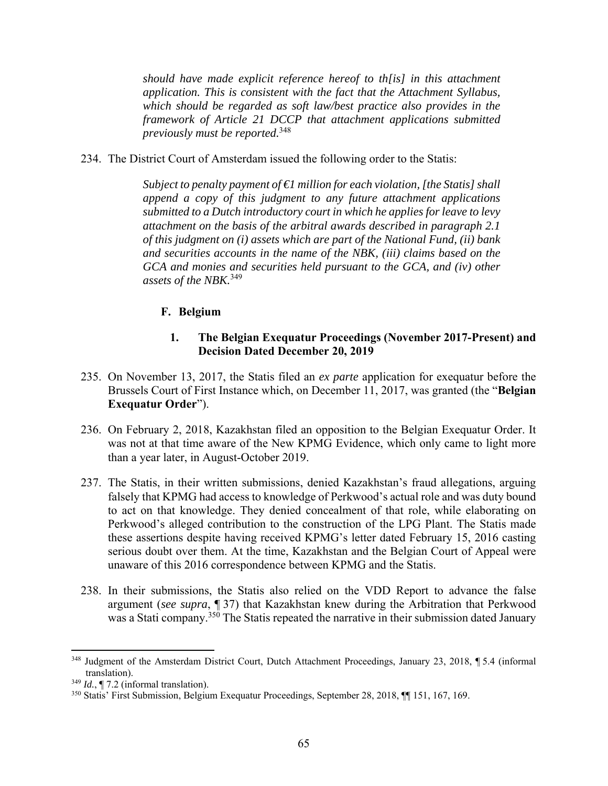*should have made explicit reference hereof to th[is] in this attachment application. This is consistent with the fact that the Attachment Syllabus, which should be regarded as soft law/best practice also provides in the framework of Article 21 DCCP that attachment applications submitted previously must be reported.*<sup>348</sup>

234. The District Court of Amsterdam issued the following order to the Statis:

*Subject to penalty payment of €1 million for each violation, [the Statis] shall append a copy of this judgment to any future attachment applications submitted to a Dutch introductory court in which he applies for leave to levy attachment on the basis of the arbitral awards described in paragraph 2.1 of this judgment on (i) assets which are part of the National Fund, (ii) bank and securities accounts in the name of the NBK, (iii) claims based on the GCA and monies and securities held pursuant to the GCA, and (iv) other assets of the NBK.*<sup>349</sup>

## **F. Belgium**

### **1. The Belgian Exequatur Proceedings (November 2017-Present) and Decision Dated December 20, 2019**

- 235. On November 13, 2017, the Statis filed an *ex parte* application for exequatur before the Brussels Court of First Instance which, on December 11, 2017, was granted (the "**Belgian Exequatur Order**").
- 236. On February 2, 2018, Kazakhstan filed an opposition to the Belgian Exequatur Order. It was not at that time aware of the New KPMG Evidence, which only came to light more than a year later, in August-October 2019.
- 237. The Statis, in their written submissions, denied Kazakhstan's fraud allegations, arguing falsely that KPMG had access to knowledge of Perkwood's actual role and was duty bound to act on that knowledge. They denied concealment of that role, while elaborating on Perkwood's alleged contribution to the construction of the LPG Plant. The Statis made these assertions despite having received KPMG's letter dated February 15, 2016 casting serious doubt over them. At the time, Kazakhstan and the Belgian Court of Appeal were unaware of this 2016 correspondence between KPMG and the Statis.
- 238. In their submissions, the Statis also relied on the VDD Report to advance the false argument (*see supra*, ¶ 37) that Kazakhstan knew during the Arbitration that Perkwood was a Stati company.<sup>350</sup> The Statis repeated the narrative in their submission dated January

<sup>348</sup> Judgment of the Amsterdam District Court, Dutch Attachment Proceedings, January 23, 2018, ¶ 5.4 (informal translation).

<sup>349</sup> *Id.*, ¶ 7.2 (informal translation).

<sup>350</sup> Statis' First Submission, Belgium Exequatur Proceedings, September 28, 2018, ¶¶ 151, 167, 169.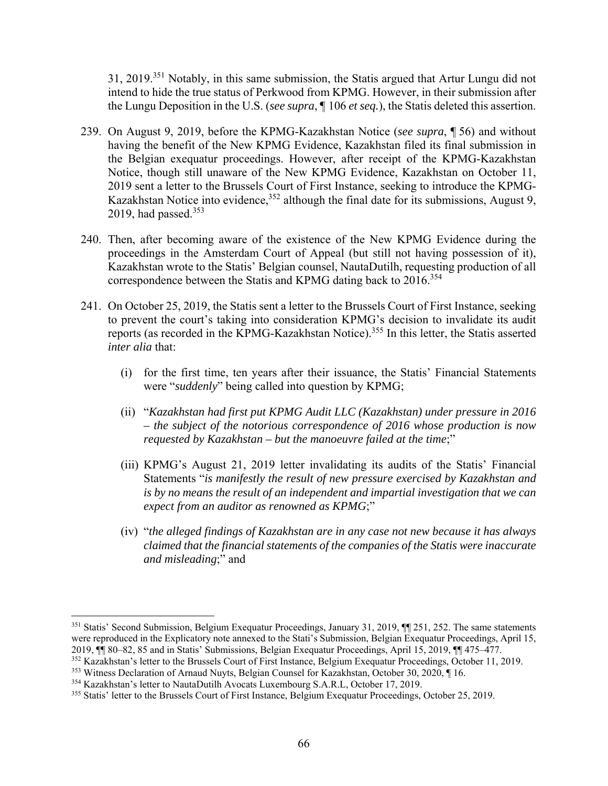31, 2019.351 Notably, in this same submission, the Statis argued that Artur Lungu did not intend to hide the true status of Perkwood from KPMG. However, in their submission after the Lungu Deposition in the U.S. (*see supra*, ¶ 106 *et seq.*), the Statis deleted this assertion.

- 239. On August 9, 2019, before the KPMG-Kazakhstan Notice (*see supra*, ¶ 56) and without having the benefit of the New KPMG Evidence, Kazakhstan filed its final submission in the Belgian exequatur proceedings. However, after receipt of the KPMG-Kazakhstan Notice, though still unaware of the New KPMG Evidence, Kazakhstan on October 11, 2019 sent a letter to the Brussels Court of First Instance, seeking to introduce the KPMG-Kazakhstan Notice into evidence,  $352$  although the final date for its submissions, August 9, 2019, had passed. $353$
- 240. Then, after becoming aware of the existence of the New KPMG Evidence during the proceedings in the Amsterdam Court of Appeal (but still not having possession of it), Kazakhstan wrote to the Statis' Belgian counsel, NautaDutilh, requesting production of all correspondence between the Statis and KPMG dating back to 2016.<sup>354</sup>
- 241. On October 25, 2019, the Statis sent a letter to the Brussels Court of First Instance, seeking to prevent the court's taking into consideration KPMG's decision to invalidate its audit reports (as recorded in the KPMG-Kazakhstan Notice).355 In this letter, the Statis asserted *inter alia* that:
	- (i) for the first time, ten years after their issuance, the Statis' Financial Statements were "*suddenly*" being called into question by KPMG;
	- (ii) "*Kazakhstan had first put KPMG Audit LLC (Kazakhstan) under pressure in 2016 – the subject of the notorious correspondence of 2016 whose production is now requested by Kazakhstan – but the manoeuvre failed at the time*;"
	- (iii) KPMG's August 21, 2019 letter invalidating its audits of the Statis' Financial Statements "*is manifestly the result of new pressure exercised by Kazakhstan and is by no means the result of an independent and impartial investigation that we can expect from an auditor as renowned as KPMG*;"
	- (iv) "*the alleged findings of Kazakhstan are in any case not new because it has always claimed that the financial statements of the companies of the Statis were inaccurate and misleading*;" and

<sup>&</sup>lt;sup>351</sup> Statis' Second Submission, Belgium Exequatur Proceedings, January 31, 2019, ¶¶ 251, 252. The same statements were reproduced in the Explicatory note annexed to the Stati's Submission, Belgian Exequatur Proceedings, April 15, 2019, ¶¶ 80–82, 85 and in Statis' Submissions, Belgian Exequatur Proceedings, April 15, 2019, ¶¶ 475–477.

<sup>352</sup> Kazakhstan's letter to the Brussels Court of First Instance, Belgium Exequatur Proceedings, October 11, 2019.

<sup>353</sup> Witness Declaration of Arnaud Nuyts, Belgian Counsel for Kazakhstan, October 30, 2020, ¶ 16.

<sup>354</sup> Kazakhstan's letter to NautaDutilh Avocats Luxembourg S.A.R.L, October 17, 2019.

<sup>355</sup> Statis' letter to the Brussels Court of First Instance, Belgium Exequatur Proceedings, October 25, 2019.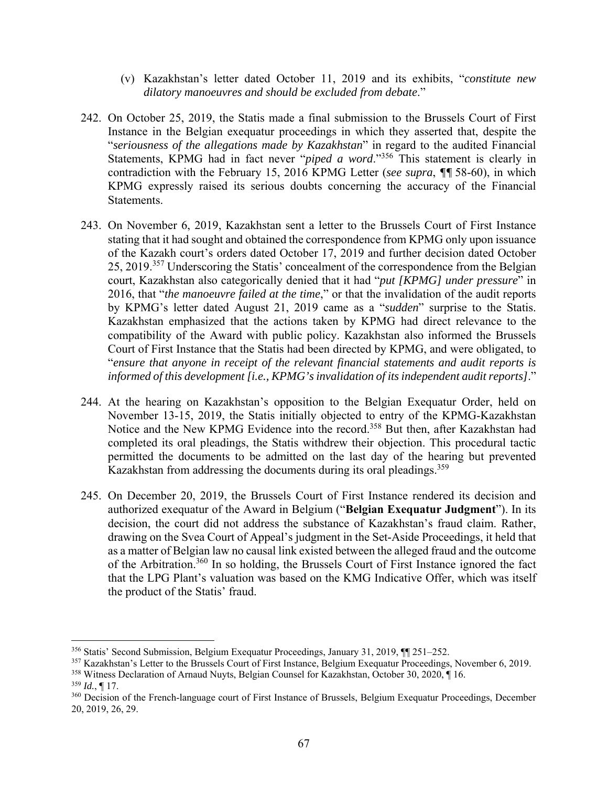- (v) Kazakhstan's letter dated October 11, 2019 and its exhibits, "*constitute new dilatory manoeuvres and should be excluded from debate*."
- 242. On October 25, 2019, the Statis made a final submission to the Brussels Court of First Instance in the Belgian exequatur proceedings in which they asserted that, despite the "*seriousness of the allegations made by Kazakhstan*" in regard to the audited Financial Statements, KPMG had in fact never "*piped a word*."356 This statement is clearly in contradiction with the February 15, 2016 KPMG Letter (*see supra*, *¶¶* 58-60), in which KPMG expressly raised its serious doubts concerning the accuracy of the Financial Statements.
- 243. On November 6, 2019, Kazakhstan sent a letter to the Brussels Court of First Instance stating that it had sought and obtained the correspondence from KPMG only upon issuance of the Kazakh court's orders dated October 17, 2019 and further decision dated October 25, 2019.357 Underscoring the Statis' concealment of the correspondence from the Belgian court, Kazakhstan also categorically denied that it had "*put [KPMG] under pressure*" in 2016, that "*the manoeuvre failed at the time*," or that the invalidation of the audit reports by KPMG's letter dated August 21, 2019 came as a "*sudden*" surprise to the Statis. Kazakhstan emphasized that the actions taken by KPMG had direct relevance to the compatibility of the Award with public policy. Kazakhstan also informed the Brussels Court of First Instance that the Statis had been directed by KPMG, and were obligated, to "*ensure that anyone in receipt of the relevant financial statements and audit reports is informed of this development [i.e., KPMG's invalidation of its independent audit reports]*."
- 244. At the hearing on Kazakhstan's opposition to the Belgian Exequatur Order, held on November 13-15, 2019, the Statis initially objected to entry of the KPMG-Kazakhstan Notice and the New KPMG Evidence into the record.358 But then, after Kazakhstan had completed its oral pleadings, the Statis withdrew their objection. This procedural tactic permitted the documents to be admitted on the last day of the hearing but prevented Kazakhstan from addressing the documents during its oral pleadings.<sup>359</sup>
- 245. On December 20, 2019, the Brussels Court of First Instance rendered its decision and authorized exequatur of the Award in Belgium ("**Belgian Exequatur Judgment**"). In its decision, the court did not address the substance of Kazakhstan's fraud claim. Rather, drawing on the Svea Court of Appeal's judgment in the Set-Aside Proceedings, it held that as a matter of Belgian law no causal link existed between the alleged fraud and the outcome of the Arbitration.360 In so holding, the Brussels Court of First Instance ignored the fact that the LPG Plant's valuation was based on the KMG Indicative Offer, which was itself the product of the Statis' fraud.

<sup>356</sup> Statis' Second Submission, Belgium Exequatur Proceedings, January 31, 2019, ¶¶ 251–252.

<sup>357</sup> Kazakhstan's Letter to the Brussels Court of First Instance, Belgium Exequatur Proceedings, November 6, 2019.

<sup>358</sup> Witness Declaration of Arnaud Nuyts, Belgian Counsel for Kazakhstan, October 30, 2020, ¶ 16.

<sup>359</sup> *Id.*, ¶ 17.

<sup>360</sup> Decision of the French-language court of First Instance of Brussels, Belgium Exequatur Proceedings, December 20, 2019, 26, 29.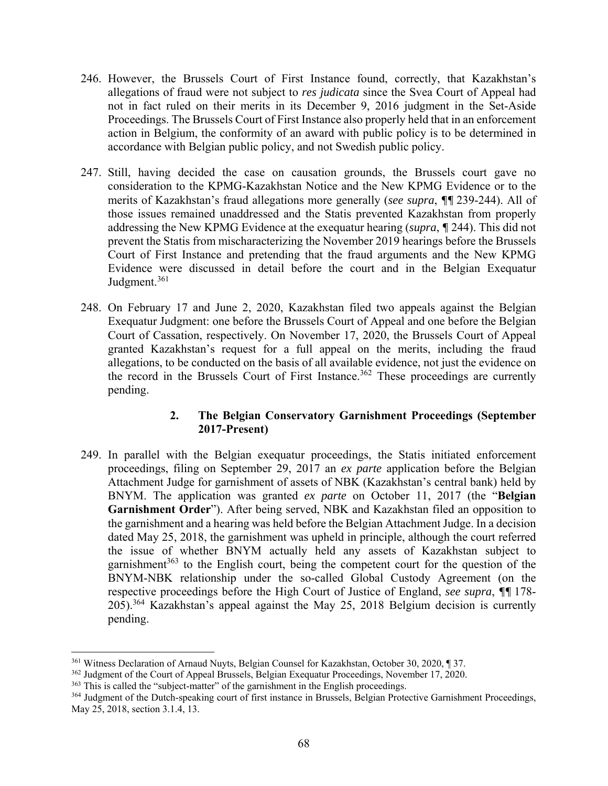- 246. However, the Brussels Court of First Instance found, correctly, that Kazakhstan's allegations of fraud were not subject to *res judicata* since the Svea Court of Appeal had not in fact ruled on their merits in its December 9, 2016 judgment in the Set-Aside Proceedings. The Brussels Court of First Instance also properly held that in an enforcement action in Belgium, the conformity of an award with public policy is to be determined in accordance with Belgian public policy, and not Swedish public policy.
- 247. Still, having decided the case on causation grounds, the Brussels court gave no consideration to the KPMG-Kazakhstan Notice and the New KPMG Evidence or to the merits of Kazakhstan's fraud allegations more generally (*see supra*, *¶¶* 239-244). All of those issues remained unaddressed and the Statis prevented Kazakhstan from properly addressing the New KPMG Evidence at the exequatur hearing (*supra*, *¶* 244). This did not prevent the Statis from mischaracterizing the November 2019 hearings before the Brussels Court of First Instance and pretending that the fraud arguments and the New KPMG Evidence were discussed in detail before the court and in the Belgian Exequatur Judgment.<sup>361</sup>
- 248. On February 17 and June 2, 2020, Kazakhstan filed two appeals against the Belgian Exequatur Judgment: one before the Brussels Court of Appeal and one before the Belgian Court of Cassation, respectively. On November 17, 2020, the Brussels Court of Appeal granted Kazakhstan's request for a full appeal on the merits, including the fraud allegations, to be conducted on the basis of all available evidence, not just the evidence on the record in the Brussels Court of First Instance.<sup>362</sup> These proceedings are currently pending.

## **2. The Belgian Conservatory Garnishment Proceedings (September 2017-Present)**

249. In parallel with the Belgian exequatur proceedings, the Statis initiated enforcement proceedings, filing on September 29, 2017 an *ex parte* application before the Belgian Attachment Judge for garnishment of assets of NBK (Kazakhstan's central bank) held by BNYM. The application was granted *ex parte* on October 11, 2017 (the "**Belgian Garnishment Order**"). After being served, NBK and Kazakhstan filed an opposition to the garnishment and a hearing was held before the Belgian Attachment Judge. In a decision dated May 25, 2018, the garnishment was upheld in principle, although the court referred the issue of whether BNYM actually held any assets of Kazakhstan subject to garnishment<sup>363</sup> to the English court, being the competent court for the question of the BNYM-NBK relationship under the so-called Global Custody Agreement (on the respective proceedings before the High Court of Justice of England, *see supra*, *¶¶* 178- 205).364 Kazakhstan's appeal against the May 25, 2018 Belgium decision is currently pending.

<sup>361</sup> Witness Declaration of Arnaud Nuyts, Belgian Counsel for Kazakhstan, October 30, 2020, ¶ 37.

<sup>&</sup>lt;sup>362</sup> Judgment of the Court of Appeal Brussels, Belgian Exequatur Proceedings, November 17, 2020.

<sup>363</sup> This is called the "subject-matter" of the garnishment in the English proceedings.

<sup>364</sup> Judgment of the Dutch-speaking court of first instance in Brussels, Belgian Protective Garnishment Proceedings, May 25, 2018, section 3.1.4, 13.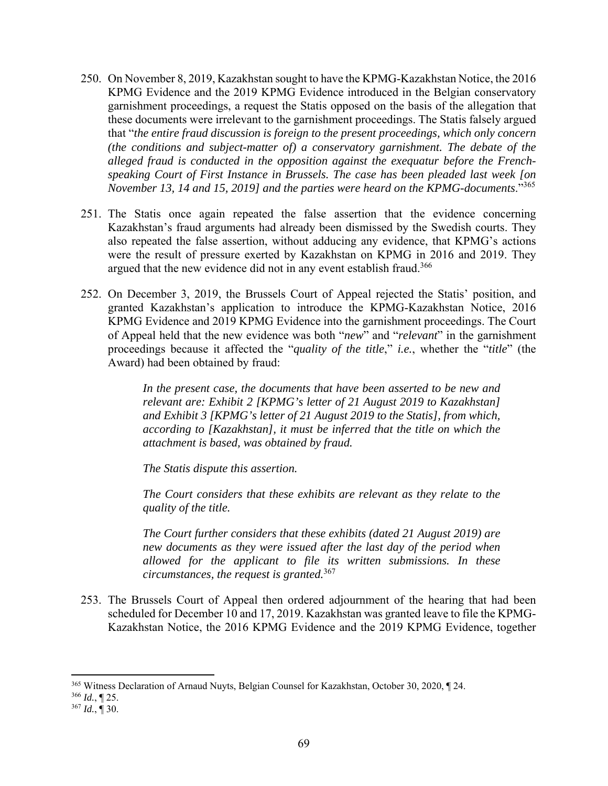- 250. On November 8, 2019, Kazakhstan sought to have the KPMG-Kazakhstan Notice, the 2016 KPMG Evidence and the 2019 KPMG Evidence introduced in the Belgian conservatory garnishment proceedings, a request the Statis opposed on the basis of the allegation that these documents were irrelevant to the garnishment proceedings. The Statis falsely argued that "*the entire fraud discussion is foreign to the present proceedings, which only concern (the conditions and subject-matter of) a conservatory garnishment. The debate of the alleged fraud is conducted in the opposition against the exequatur before the Frenchspeaking Court of First Instance in Brussels. The case has been pleaded last week [on November 13, 14 and 15, 2019] and the parties were heard on the KPMG-documents*."<sup>365</sup>
- 251. The Statis once again repeated the false assertion that the evidence concerning Kazakhstan's fraud arguments had already been dismissed by the Swedish courts. They also repeated the false assertion, without adducing any evidence, that KPMG's actions were the result of pressure exerted by Kazakhstan on KPMG in 2016 and 2019. They argued that the new evidence did not in any event establish fraud.<sup>366</sup>
- 252. On December 3, 2019, the Brussels Court of Appeal rejected the Statis' position, and granted Kazakhstan's application to introduce the KPMG-Kazakhstan Notice, 2016 KPMG Evidence and 2019 KPMG Evidence into the garnishment proceedings. The Court of Appeal held that the new evidence was both "*new*" and "*relevant*" in the garnishment proceedings because it affected the "*quality of the title*," *i.e.*, whether the "*title*" (the Award) had been obtained by fraud:

*In the present case, the documents that have been asserted to be new and relevant are: Exhibit 2 [KPMG's letter of 21 August 2019 to Kazakhstan] and Exhibit 3 [KPMG's letter of 21 August 2019 to the Statis], from which, according to [Kazakhstan], it must be inferred that the title on which the attachment is based, was obtained by fraud.* 

*The Statis dispute this assertion.* 

*The Court considers that these exhibits are relevant as they relate to the quality of the title.* 

*The Court further considers that these exhibits (dated 21 August 2019) are new documents as they were issued after the last day of the period when allowed for the applicant to file its written submissions. In these circumstances, the request is granted.*<sup>367</sup>

253. The Brussels Court of Appeal then ordered adjournment of the hearing that had been scheduled for December 10 and 17, 2019. Kazakhstan was granted leave to file the KPMG-Kazakhstan Notice, the 2016 KPMG Evidence and the 2019 KPMG Evidence, together

 365 Witness Declaration of Arnaud Nuyts, Belgian Counsel for Kazakhstan, October 30, 2020, ¶ 24.

<sup>366</sup> *Id.*, ¶ 25.

<sup>367</sup> *Id.*, ¶ 30.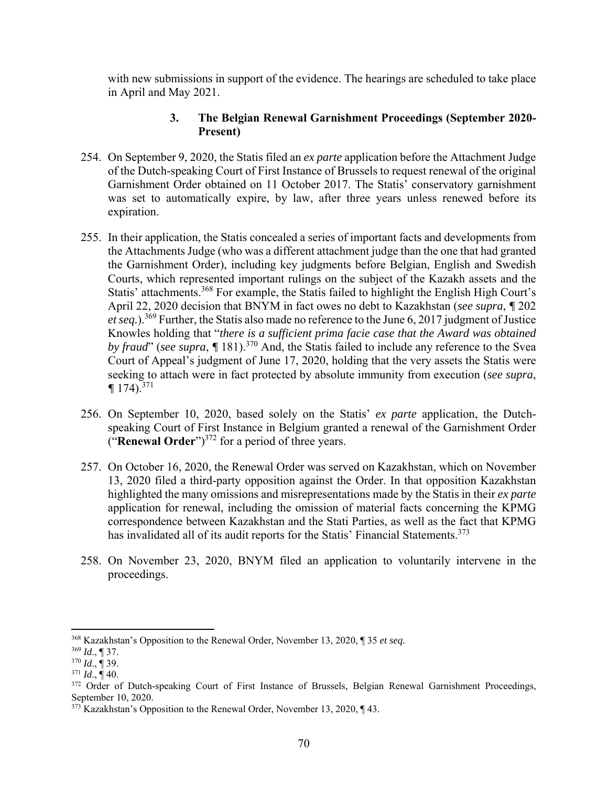with new submissions in support of the evidence. The hearings are scheduled to take place in April and May 2021.

# **3. The Belgian Renewal Garnishment Proceedings (September 2020- Present)**

- 254. On September 9, 2020, the Statis filed an *ex parte* application before the Attachment Judge of the Dutch-speaking Court of First Instance of Brussels to request renewal of the original Garnishment Order obtained on 11 October 2017. The Statis' conservatory garnishment was set to automatically expire, by law, after three years unless renewed before its expiration.
- 255. In their application, the Statis concealed a series of important facts and developments from the Attachments Judge (who was a different attachment judge than the one that had granted the Garnishment Order), including key judgments before Belgian, English and Swedish Courts, which represented important rulings on the subject of the Kazakh assets and the Statis' attachments.<sup>368</sup> For example, the Statis failed to highlight the English High Court's April 22, 2020 decision that BNYM in fact owes no debt to Kazakhstan (*see supra*, *¶* 202 *et seq.*).369 Further, the Statis also made no reference to the June 6, 2017 judgment of Justice Knowles holding that "*there is a sufficient prima facie case that the Award was obtained by fraud*" (*see supra*, *¶* 181).370 And, the Statis failed to include any reference to the Svea Court of Appeal's judgment of June 17, 2020, holding that the very assets the Statis were seeking to attach were in fact protected by absolute immunity from execution (*see supra*,  $\P$  174).<sup>371</sup>
- 256. On September 10, 2020, based solely on the Statis' *ex parte* application, the Dutchspeaking Court of First Instance in Belgium granted a renewal of the Garnishment Order ("**Renewal Order**")<sup>372</sup> for a period of three years.
- 257. On October 16, 2020, the Renewal Order was served on Kazakhstan, which on November 13, 2020 filed a third-party opposition against the Order. In that opposition Kazakhstan highlighted the many omissions and misrepresentations made by the Statis in their *ex parte* application for renewal, including the omission of material facts concerning the KPMG correspondence between Kazakhstan and the Stati Parties, as well as the fact that KPMG has invalidated all of its audit reports for the Statis' Financial Statements.<sup>373</sup>
- 258. On November 23, 2020, BNYM filed an application to voluntarily intervene in the proceedings.

<sup>368</sup> Kazakhstan's Opposition to the Renewal Order, November 13, 2020, ¶ 35 *et seq.*

<sup>369</sup> *Id*., ¶ 37.

<sup>370</sup> *Id*., ¶ 39.

 $371$  *Id.*,  $\overline{9}$  40.

<sup>&</sup>lt;sup>372</sup> Order of Dutch-speaking Court of First Instance of Brussels, Belgian Renewal Garnishment Proceedings, September 10, 2020.

 $373$  Kazakhstan's Opposition to the Renewal Order, November 13, 2020,  $\P$  43.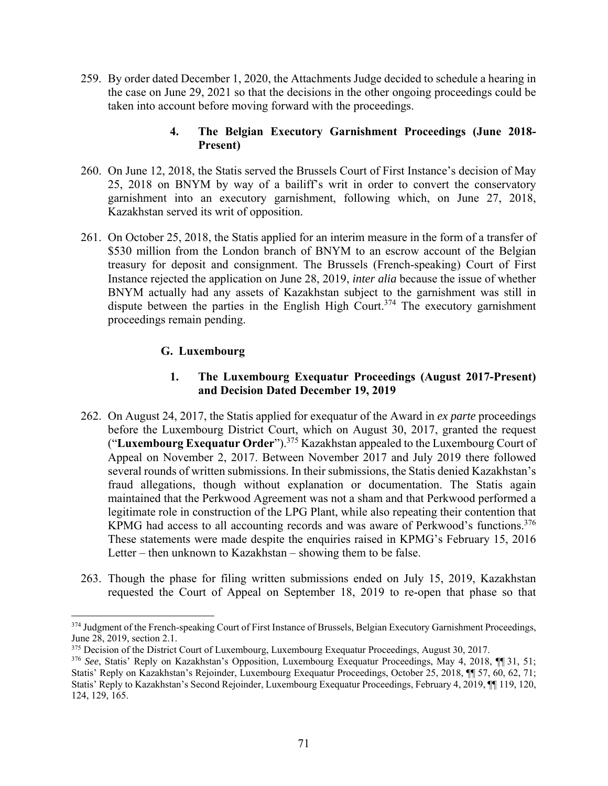259. By order dated December 1, 2020, the Attachments Judge decided to schedule a hearing in the case on June 29, 2021 so that the decisions in the other ongoing proceedings could be taken into account before moving forward with the proceedings.

## **4. The Belgian Executory Garnishment Proceedings (June 2018- Present)**

- 260. On June 12, 2018, the Statis served the Brussels Court of First Instance's decision of May 25, 2018 on BNYM by way of a bailiff's writ in order to convert the conservatory garnishment into an executory garnishment, following which, on June 27, 2018, Kazakhstan served its writ of opposition.
- 261. On October 25, 2018, the Statis applied for an interim measure in the form of a transfer of \$530 million from the London branch of BNYM to an escrow account of the Belgian treasury for deposit and consignment. The Brussels (French-speaking) Court of First Instance rejected the application on June 28, 2019, *inter alia* because the issue of whether BNYM actually had any assets of Kazakhstan subject to the garnishment was still in dispute between the parties in the English High Court.<sup>374</sup> The executory garnishment proceedings remain pending.

## **G. Luxembourg**

## **1. The Luxembourg Exequatur Proceedings (August 2017-Present) and Decision Dated December 19, 2019**

- 262. On August 24, 2017, the Statis applied for exequatur of the Award in *ex parte* proceedings before the Luxembourg District Court, which on August 30, 2017, granted the request ("**Luxembourg Exequatur Order**").375 Kazakhstan appealed to the Luxembourg Court of Appeal on November 2, 2017. Between November 2017 and July 2019 there followed several rounds of written submissions. In their submissions, the Statis denied Kazakhstan's fraud allegations, though without explanation or documentation. The Statis again maintained that the Perkwood Agreement was not a sham and that Perkwood performed a legitimate role in construction of the LPG Plant, while also repeating their contention that KPMG had access to all accounting records and was aware of Perkwood's functions.<sup>376</sup> These statements were made despite the enquiries raised in KPMG's February 15, 2016 Letter – then unknown to Kazakhstan – showing them to be false.
- 263. Though the phase for filing written submissions ended on July 15, 2019, Kazakhstan requested the Court of Appeal on September 18, 2019 to re-open that phase so that

<sup>374</sup> Judgment of the French-speaking Court of First Instance of Brussels, Belgian Executory Garnishment Proceedings, June 28, 2019, section 2.1.

<sup>&</sup>lt;sup>375</sup> Decision of the District Court of Luxembourg, Luxembourg Exequatur Proceedings, August 30, 2017.

<sup>376</sup> *See*, Statis' Reply on Kazakhstan's Opposition, Luxembourg Exequatur Proceedings, May 4, 2018, ¶¶ 31, 51; Statis' Reply on Kazakhstan's Rejoinder, Luxembourg Exequatur Proceedings, October 25, 2018, ¶¶ 57, 60, 62, 71; Statis' Reply to Kazakhstan's Second Rejoinder, Luxembourg Exequatur Proceedings, February 4, 2019, ¶¶ 119, 120, 124, 129, 165.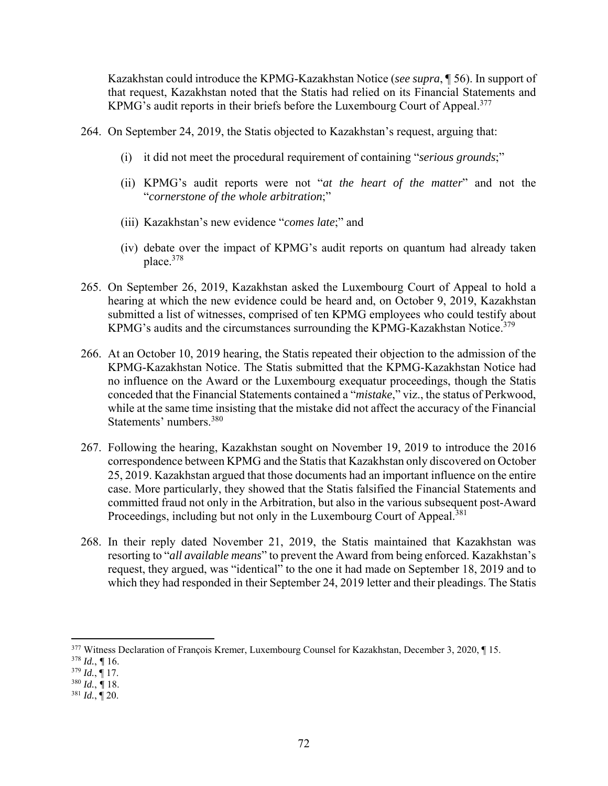Kazakhstan could introduce the KPMG-Kazakhstan Notice (*see supra*, ¶ 56). In support of that request, Kazakhstan noted that the Statis had relied on its Financial Statements and KPMG's audit reports in their briefs before the Luxembourg Court of Appeal.<sup>377</sup>

264. On September 24, 2019, the Statis objected to Kazakhstan's request, arguing that:

- (i) it did not meet the procedural requirement of containing "*serious grounds*;"
- (ii) KPMG's audit reports were not "*at the heart of the matter*" and not the "*cornerstone of the whole arbitration*;"
- (iii) Kazakhstan's new evidence "*comes late*;" and
- (iv) debate over the impact of KPMG's audit reports on quantum had already taken place.378
- 265. On September 26, 2019, Kazakhstan asked the Luxembourg Court of Appeal to hold a hearing at which the new evidence could be heard and, on October 9, 2019, Kazakhstan submitted a list of witnesses, comprised of ten KPMG employees who could testify about KPMG's audits and the circumstances surrounding the KPMG-Kazakhstan Notice.<sup>379</sup>
- 266. At an October 10, 2019 hearing, the Statis repeated their objection to the admission of the KPMG-Kazakhstan Notice. The Statis submitted that the KPMG-Kazakhstan Notice had no influence on the Award or the Luxembourg exequatur proceedings, though the Statis conceded that the Financial Statements contained a "*mistake*," viz., the status of Perkwood, while at the same time insisting that the mistake did not affect the accuracy of the Financial Statements' numbers.380
- 267. Following the hearing, Kazakhstan sought on November 19, 2019 to introduce the 2016 correspondence between KPMG and the Statis that Kazakhstan only discovered on October 25, 2019. Kazakhstan argued that those documents had an important influence on the entire case. More particularly, they showed that the Statis falsified the Financial Statements and committed fraud not only in the Arbitration, but also in the various subsequent post-Award Proceedings, including but not only in the Luxembourg Court of Appeal.<sup>381</sup>
- 268. In their reply dated November 21, 2019, the Statis maintained that Kazakhstan was resorting to "*all available means*" to prevent the Award from being enforced. Kazakhstan's request, they argued, was "identical" to the one it had made on September 18, 2019 and to which they had responded in their September 24, 2019 letter and their pleadings. The Statis

<sup>377</sup> Witness Declaration of François Kremer, Luxembourg Counsel for Kazakhstan, December 3, 2020, ¶ 15.

<sup>378</sup> *Id.*, *¶* 16.

 $379$  *Id.*,  $\overline{9}$  17.

<sup>380</sup> *Id.*, *¶* 18.

 $381$  *Id.*,  $\overline{9}$  20.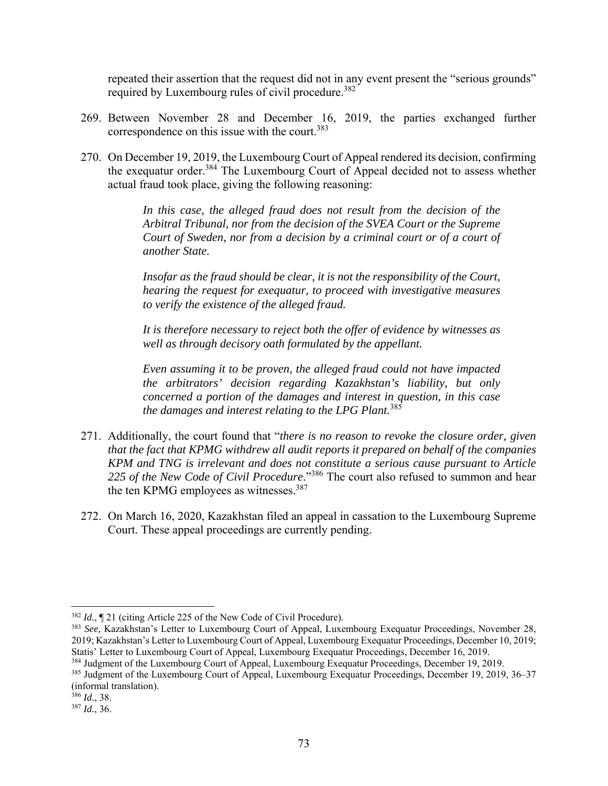repeated their assertion that the request did not in any event present the "serious grounds" required by Luxembourg rules of civil procedure.<sup>382</sup>

- 269. Between November 28 and December 16, 2019, the parties exchanged further correspondence on this issue with the court.<sup>383</sup>
- 270. On December 19, 2019, the Luxembourg Court of Appeal rendered its decision, confirming the exequatur order.384 The Luxembourg Court of Appeal decided not to assess whether actual fraud took place, giving the following reasoning:

*In this case, the alleged fraud does not result from the decision of the Arbitral Tribunal, nor from the decision of the SVEA Court or the Supreme Court of Sweden, nor from a decision by a criminal court or of a court of another State.* 

*Insofar as the fraud should be clear, it is not the responsibility of the Court, hearing the request for exequatur, to proceed with investigative measures to verify the existence of the alleged fraud.* 

*It is therefore necessary to reject both the offer of evidence by witnesses as well as through decisory oath formulated by the appellant.* 

*Even assuming it to be proven, the alleged fraud could not have impacted the arbitrators' decision regarding Kazakhstan's liability, but only concerned a portion of the damages and interest in question, in this case the damages and interest relating to the LPG Plant.*<sup>385</sup>

- 271. Additionally, the court found that "*there is no reason to revoke the closure order, given that the fact that KPMG withdrew all audit reports it prepared on behalf of the companies KPM and TNG is irrelevant and does not constitute a serious cause pursuant to Article 225 of the New Code of Civil Procedure*."386 The court also refused to summon and hear the ten KPMG employees as witnesses.<sup>387</sup>
- 272. On March 16, 2020, Kazakhstan filed an appeal in cassation to the Luxembourg Supreme Court. These appeal proceedings are currently pending.

<sup>382</sup> *Id.*, ¶ 21 (citing Article 225 of the New Code of Civil Procedure).

<sup>383</sup> *See,* Kazakhstan's Letter to Luxembourg Court of Appeal, Luxembourg Exequatur Proceedings, November 28, 2019; Kazakhstan's Letter to Luxembourg Court of Appeal, Luxembourg Exequatur Proceedings, December 10, 2019; Statis' Letter to Luxembourg Court of Appeal, Luxembourg Exequatur Proceedings, December 16, 2019.

<sup>384</sup> Judgment of the Luxembourg Court of Appeal, Luxembourg Exequatur Proceedings, December 19, 2019.

<sup>385</sup> Judgment of the Luxembourg Court of Appeal, Luxembourg Exequatur Proceedings, December 19, 2019, 36–37 (informal translation).

<sup>386</sup> *Id.*, 38.

<sup>387</sup> *Id.*, 36.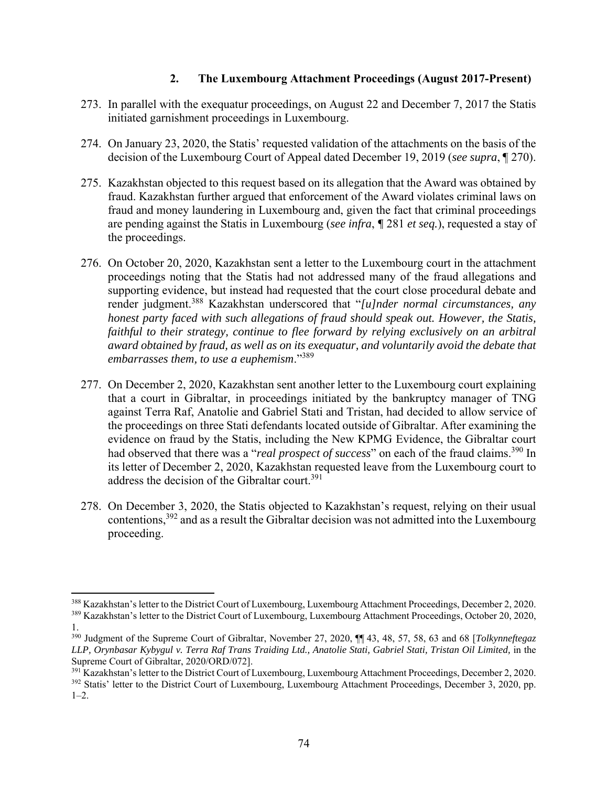## **2. The Luxembourg Attachment Proceedings (August 2017-Present)**

- 273. In parallel with the exequatur proceedings, on August 22 and December 7, 2017 the Statis initiated garnishment proceedings in Luxembourg.
- 274. On January 23, 2020, the Statis' requested validation of the attachments on the basis of the decision of the Luxembourg Court of Appeal dated December 19, 2019 (*see supra*, ¶ 270).
- 275. Kazakhstan objected to this request based on its allegation that the Award was obtained by fraud. Kazakhstan further argued that enforcement of the Award violates criminal laws on fraud and money laundering in Luxembourg and, given the fact that criminal proceedings are pending against the Statis in Luxembourg (*see infra*, *¶* 281 *et seq.*), requested a stay of the proceedings.
- 276. On October 20, 2020, Kazakhstan sent a letter to the Luxembourg court in the attachment proceedings noting that the Statis had not addressed many of the fraud allegations and supporting evidence, but instead had requested that the court close procedural debate and render judgment.388 Kazakhstan underscored that "*[u]nder normal circumstances, any honest party faced with such allegations of fraud should speak out. However, the Statis, faithful to their strategy, continue to flee forward by relying exclusively on an arbitral award obtained by fraud, as well as on its exequatur, and voluntarily avoid the debate that embarrasses them, to use a euphemism*."<sup>389</sup>
- 277. On December 2, 2020, Kazakhstan sent another letter to the Luxembourg court explaining that a court in Gibraltar, in proceedings initiated by the bankruptcy manager of TNG against Terra Raf, Anatolie and Gabriel Stati and Tristan, had decided to allow service of the proceedings on three Stati defendants located outside of Gibraltar. After examining the evidence on fraud by the Statis, including the New KPMG Evidence, the Gibraltar court had observed that there was a "*real prospect of success*" on each of the fraud claims.<sup>390</sup> In its letter of December 2, 2020, Kazakhstan requested leave from the Luxembourg court to address the decision of the Gibraltar court.<sup>391</sup>
- 278. On December 3, 2020, the Statis objected to Kazakhstan's request, relying on their usual contentions,392 and as a result the Gibraltar decision was not admitted into the Luxembourg proceeding.

<sup>&</sup>lt;sup>388</sup> Kazakhstan's letter to the District Court of Luxembourg, Luxembourg Attachment Proceedings, December 2, 2020.

<sup>389</sup> Kazakhstan's letter to the District Court of Luxembourg, Luxembourg Attachment Proceedings, October 20, 2020, 1.

<sup>390</sup> Judgment of the Supreme Court of Gibraltar, November 27, 2020, ¶¶ 43, 48, 57, 58, 63 and 68 [*Tolkynneftegaz LLP, Orynbasar Kybygul v. Terra Raf Trans Traiding Ltd., Anatolie Stati, Gabriel Stati, Tristan Oil Limited,* in the Supreme Court of Gibraltar, 2020/ORD/072].

 $^{391}$  Kazakhstan's letter to the District Court of Luxembourg, Luxembourg Attachment Proceedings, December 2, 2020.

<sup>&</sup>lt;sup>392</sup> Statis' letter to the District Court of Luxembourg, Luxembourg Attachment Proceedings, December 3, 2020, pp.  $1-2.$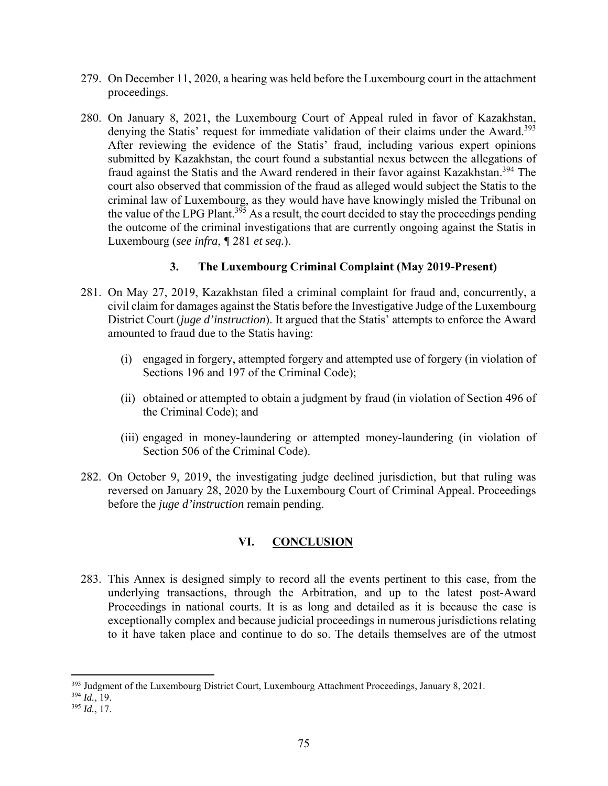- 279. On December 11, 2020, a hearing was held before the Luxembourg court in the attachment proceedings.
- 280. On January 8, 2021, the Luxembourg Court of Appeal ruled in favor of Kazakhstan, denying the Statis' request for immediate validation of their claims under the Award.<sup>393</sup> After reviewing the evidence of the Statis' fraud, including various expert opinions submitted by Kazakhstan, the court found a substantial nexus between the allegations of fraud against the Statis and the Award rendered in their favor against Kazakhstan.<sup>394</sup> The court also observed that commission of the fraud as alleged would subject the Statis to the criminal law of Luxembourg, as they would have have knowingly misled the Tribunal on the value of the LPG Plant.<sup>395</sup> As a result, the court decided to stay the proceedings pending the outcome of the criminal investigations that are currently ongoing against the Statis in Luxembourg (*see infra*, *¶* 281 *et seq.*).

# **3. The Luxembourg Criminal Complaint (May 2019-Present)**

- 281. On May 27, 2019, Kazakhstan filed a criminal complaint for fraud and, concurrently, a civil claim for damages against the Statis before the Investigative Judge of the Luxembourg District Court (*juge d'instruction*). It argued that the Statis' attempts to enforce the Award amounted to fraud due to the Statis having:
	- (i) engaged in forgery, attempted forgery and attempted use of forgery (in violation of Sections 196 and 197 of the Criminal Code);
	- (ii) obtained or attempted to obtain a judgment by fraud (in violation of Section 496 of the Criminal Code); and
	- (iii) engaged in money-laundering or attempted money-laundering (in violation of Section 506 of the Criminal Code).
- 282. On October 9, 2019, the investigating judge declined jurisdiction, but that ruling was reversed on January 28, 2020 by the Luxembourg Court of Criminal Appeal. Proceedings before the *juge d'instruction* remain pending.

# **VI. CONCLUSION**

283. This Annex is designed simply to record all the events pertinent to this case, from the underlying transactions, through the Arbitration, and up to the latest post-Award Proceedings in national courts. It is as long and detailed as it is because the case is exceptionally complex and because judicial proceedings in numerous jurisdictions relating to it have taken place and continue to do so. The details themselves are of the utmost

 <sup>393</sup> Judgment of the Luxembourg District Court, Luxembourg Attachment Proceedings, January 8, 2021.

<sup>394</sup> *Id.*, 19.

<sup>395</sup> *Id.*, 17.